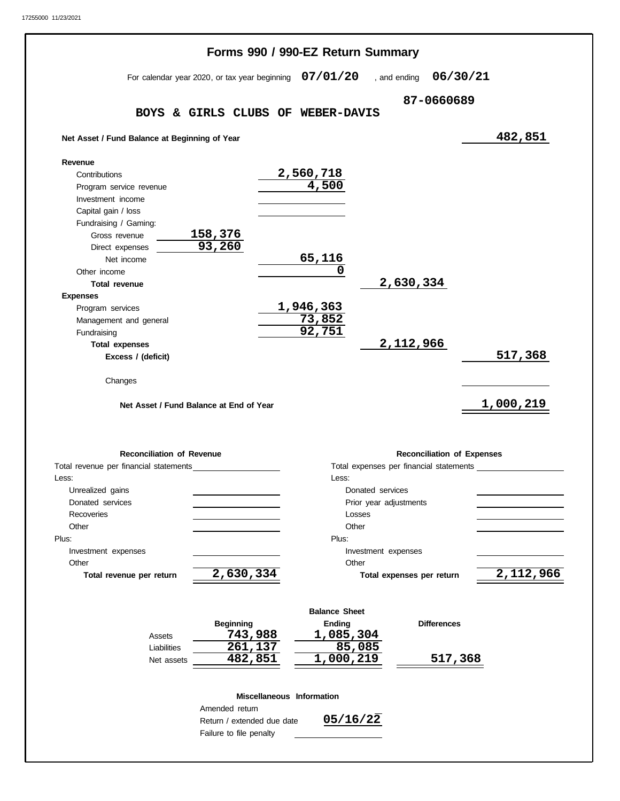|                                                                         | Forms 990 / 990-EZ Return Summary                        |                            |                                         |           |
|-------------------------------------------------------------------------|----------------------------------------------------------|----------------------------|-----------------------------------------|-----------|
|                                                                         | For calendar year 2020, or tax year beginning $07/01/20$ |                            | , and ending                            | 06/30/21  |
|                                                                         |                                                          |                            | 87-0660689                              |           |
|                                                                         | BOYS & GIRLS CLUBS OF WEBER-DAVIS                        |                            |                                         |           |
| Net Asset / Fund Balance at Beginning of Year                           |                                                          |                            |                                         | 482,851   |
| Revenue                                                                 |                                                          |                            |                                         |           |
| Contributions                                                           |                                                          | 2,560,718                  |                                         |           |
| Program service revenue                                                 |                                                          | $\overline{4,500}$         |                                         |           |
| Investment income                                                       |                                                          |                            |                                         |           |
| Capital gain / loss                                                     |                                                          |                            |                                         |           |
| Fundraising / Gaming:                                                   |                                                          |                            |                                         |           |
| Gross revenue<br>Direct expenses                                        | 158,376<br>93,260                                        |                            |                                         |           |
| Net income                                                              |                                                          | 65,116                     |                                         |           |
| Other income                                                            |                                                          | 0                          |                                         |           |
| <b>Total revenue</b>                                                    |                                                          |                            | 2,630,334                               |           |
| <b>Expenses</b>                                                         |                                                          |                            |                                         |           |
| Program services                                                        |                                                          | 1,946,363                  |                                         |           |
| Management and general                                                  |                                                          | 73,852                     |                                         |           |
| Fundraising                                                             |                                                          | 92,751                     |                                         |           |
| <b>Total expenses</b>                                                   |                                                          |                            | 2, 112, 966                             |           |
|                                                                         |                                                          |                            |                                         |           |
| Excess / (deficit)<br>Changes                                           |                                                          |                            |                                         |           |
|                                                                         | Net Asset / Fund Balance at End of Year                  |                            |                                         | 1,000,219 |
| <b>Reconciliation of Revenue</b>                                        |                                                          |                            | <b>Reconciliation of Expenses</b>       |           |
|                                                                         |                                                          |                            | Total expenses per financial statements |           |
|                                                                         |                                                          | Less:                      |                                         |           |
| Unrealized gains                                                        |                                                          |                            | Donated services                        |           |
| Donated services                                                        |                                                          |                            | Prior year adjustments                  |           |
| Recoveries                                                              |                                                          | Losses                     |                                         |           |
| Other                                                                   |                                                          | Other                      |                                         |           |
| Investment expenses                                                     |                                                          | Plus:                      | Investment expenses                     |           |
| Other                                                                   |                                                          | Other                      |                                         |           |
| Total revenue per return                                                | 2,630,334                                                |                            | Total expenses per return               |           |
|                                                                         |                                                          |                            |                                         |           |
|                                                                         |                                                          | <b>Balance Sheet</b>       |                                         |           |
| Assets                                                                  | <b>Beginning</b><br>743,988                              | <b>Ending</b><br>1,085,304 | <b>Differences</b>                      |           |
| Total revenue per financial statements<br>Less:<br>Plus:<br>Liabilities | 261,137                                                  | 85,085                     |                                         | 517,368   |
| Net assets                                                              | 482,851                                                  | 1,000,219                  |                                         | 517,368   |
|                                                                         |                                                          |                            |                                         |           |
|                                                                         | Amended return                                           | Miscellaneous Information  |                                         |           |
|                                                                         | Return / extended due date                               | 05/16/22                   |                                         | 2,112,966 |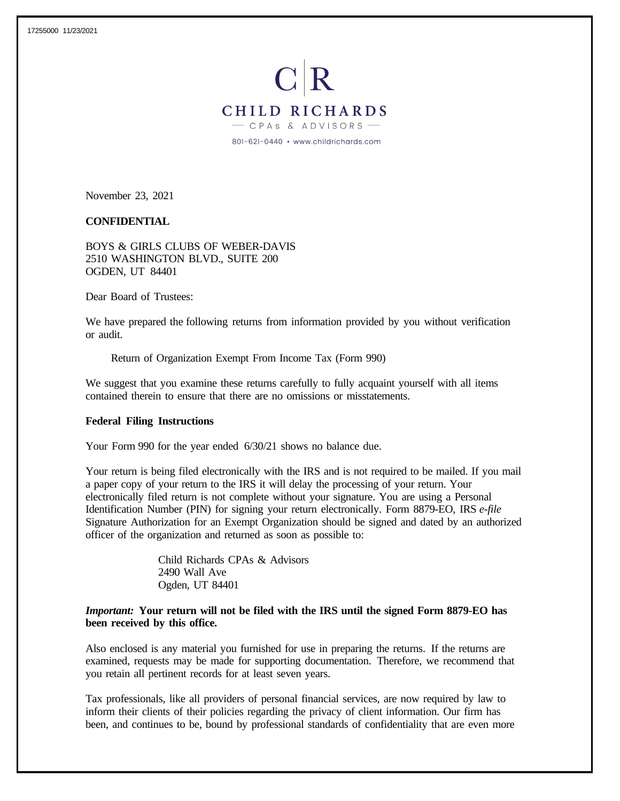

November 23, 2021

#### **CONFIDENTIAL**

BOYS & GIRLS CLUBS OF WEBER-DAVIS 2510 WASHINGTON BLVD., SUITE 200 OGDEN, UT 84401

Dear Board of Trustees:

We have prepared the following returns from information provided by you without verification or audit.

Return of Organization Exempt From Income Tax (Form 990)

We suggest that you examine these returns carefully to fully acquaint yourself with all items contained therein to ensure that there are no omissions or misstatements.

#### **Federal Filing Instructions**

Your Form 990 for the year ended 6/30/21 shows no balance due.

Your return is being filed electronically with the IRS and is not required to be mailed. If you mail a paper copy of your return to the IRS it will delay the processing of your return. Your electronically filed return is not complete without your signature. You are using a Personal Identification Number (PIN) for signing your return electronically. Form 8879-EO, IRS *e-file* Signature Authorization for an Exempt Organization should be signed and dated by an authorized officer of the organization and returned as soon as possible to:

> Child Richards CPAs & Advisors 2490 Wall Ave Ogden, UT 84401

## *Important:* **Your return will not be filed with the IRS until the signed Form 8879-EO has been received by this office.**

Also enclosed is any material you furnished for use in preparing the returns. If the returns are examined, requests may be made for supporting documentation. Therefore, we recommend that you retain all pertinent records for at least seven years.

Tax professionals, like all providers of personal financial services, are now required by law to inform their clients of their policies regarding the privacy of client information. Our firm has been, and continues to be, bound by professional standards of confidentiality that are even more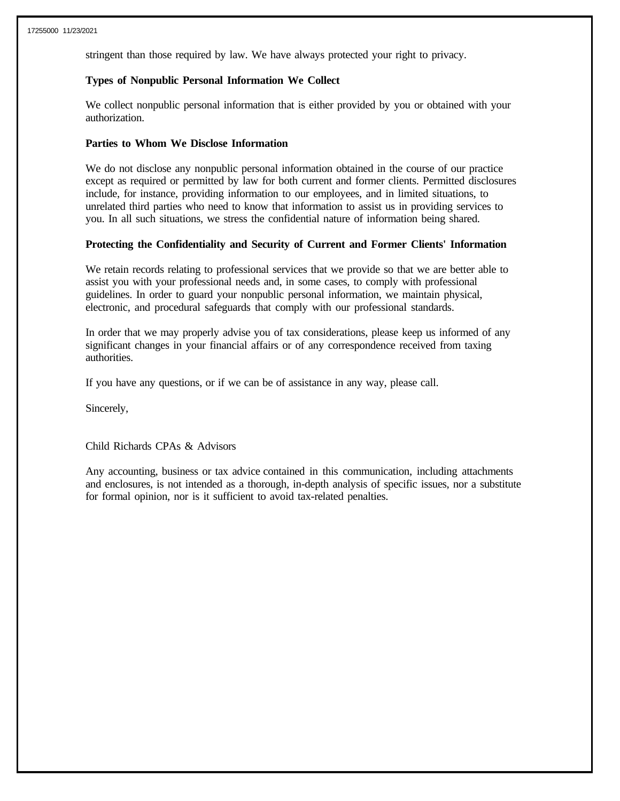stringent than those required by law. We have always protected your right to privacy.

## **Types of Nonpublic Personal Information We Collect**

We collect nonpublic personal information that is either provided by you or obtained with your authorization.

#### **Parties to Whom We Disclose Information**

We do not disclose any nonpublic personal information obtained in the course of our practice except as required or permitted by law for both current and former clients. Permitted disclosures include, for instance, providing information to our employees, and in limited situations, to unrelated third parties who need to know that information to assist us in providing services to you. In all such situations, we stress the confidential nature of information being shared.

# **Protecting the Confidentiality and Security of Current and Former Clients' Information**

We retain records relating to professional services that we provide so that we are better able to assist you with your professional needs and, in some cases, to comply with professional guidelines. In order to guard your nonpublic personal information, we maintain physical, electronic, and procedural safeguards that comply with our professional standards.

In order that we may properly advise you of tax considerations, please keep us informed of any significant changes in your financial affairs or of any correspondence received from taxing authorities.

If you have any questions, or if we can be of assistance in any way, please call.

Sincerely,

Child Richards CPAs & Advisors

Any accounting, business or tax advice contained in this communication, including attachments and enclosures, is not intended as a thorough, in-depth analysis of specific issues, nor a substitute for formal opinion, nor is it sufficient to avoid tax-related penalties.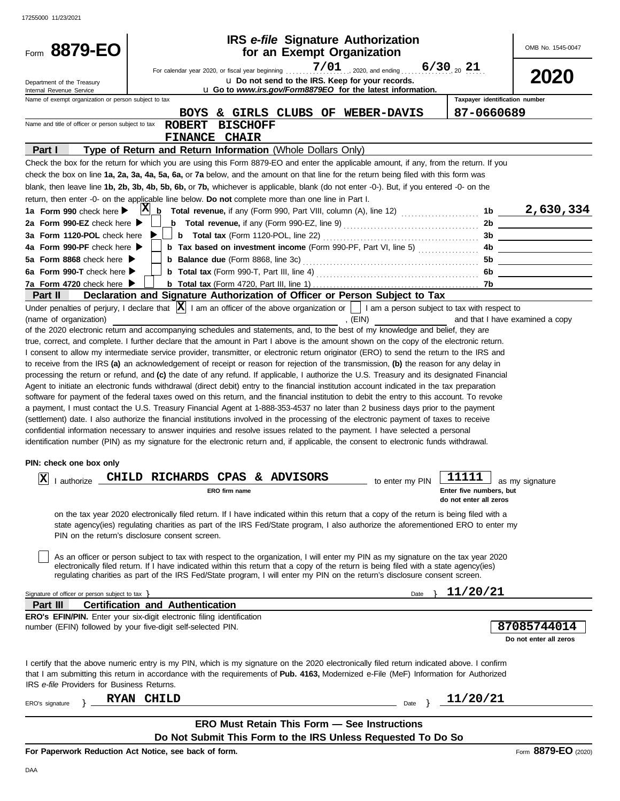| Form 8879-EO                                           | IRS e-file Signature Authorization<br>for an Exempt Organization                                                                                                                                                                                                   |                 |                                | OMB No. 1545-0047                                                                                                    |
|--------------------------------------------------------|--------------------------------------------------------------------------------------------------------------------------------------------------------------------------------------------------------------------------------------------------------------------|-----------------|--------------------------------|----------------------------------------------------------------------------------------------------------------------|
|                                                        |                                                                                                                                                                                                                                                                    |                 |                                |                                                                                                                      |
|                                                        | $7/01$ 2020, and ending 6/30 20 21<br>For calendar year 2020, or fiscal year beginning                                                                                                                                                                             |                 |                                | 2020                                                                                                                 |
| Department of the Treasury<br>Internal Revenue Service | u Do not send to the IRS. Keep for your records.<br>u Go to www.irs.gov/Form8879EO for the latest information.                                                                                                                                                     |                 |                                |                                                                                                                      |
| Name of exempt organization or person subject to tax   |                                                                                                                                                                                                                                                                    |                 | Taxpaver identification number |                                                                                                                      |
|                                                        | & GIRLS CLUBS OF WEBER-DAVIS<br><b>BOYS</b>                                                                                                                                                                                                                        |                 | 87-0660689                     |                                                                                                                      |
| Name and title of officer or person subject to tax     | <b>BISCHOFF</b><br><b>ROBERT</b>                                                                                                                                                                                                                                   |                 |                                |                                                                                                                      |
|                                                        | <b>FINANCE CHAIR</b>                                                                                                                                                                                                                                               |                 |                                |                                                                                                                      |
| Part I                                                 | Type of Return and Return Information (Whole Dollars Only)                                                                                                                                                                                                         |                 |                                |                                                                                                                      |
|                                                        | Check the box for the return for which you are using this Form 8879-EO and enter the applicable amount, if any, from the return. If you                                                                                                                            |                 |                                |                                                                                                                      |
|                                                        | check the box on line 1a, 2a, 3a, 4a, 5a, 6a, or 7a below, and the amount on that line for the return being filed with this form was                                                                                                                               |                 |                                |                                                                                                                      |
|                                                        | blank, then leave line 1b, 2b, 3b, 4b, 5b, 6b, or 7b, whichever is applicable, blank (do not enter -0-). But, if you entered -0- on the                                                                                                                            |                 |                                |                                                                                                                      |
|                                                        | return, then enter -0- on the applicable line below. Do not complete more than one line in Part I.                                                                                                                                                                 |                 |                                |                                                                                                                      |
| 1a Form 990 check here $\blacktriangleright$           | $X_{b}$ Total revenue, if any (Form 990, Part VIII, column (A), line 12) 1b 2, 630, 334                                                                                                                                                                            |                 |                                |                                                                                                                      |
| 2a Form 990-EZ check here ▶                            | <b>b</b> Total revenue, if any (Form 990-EZ, line 9) $\ldots$ $\ldots$ $\ldots$ $\ldots$ $\ldots$ $\ldots$                                                                                                                                                         |                 |                                |                                                                                                                      |
| 3a Form 1120-POL check here                            |                                                                                                                                                                                                                                                                    |                 |                                | 3b                                                                                                                   |
| 4a Form 990-PF check here $\blacktriangleright$        | <b>b</b> Tax based on investment income (Form 990-PF, Part VI, line 5)                                                                                                                                                                                             |                 | 4b                             | <u> 1999 - John Stone, mars and de la partie de la partie de la partie de la partie de la partie de la partie de</u> |
| 5a Form 8868 check here $\blacktriangleright$          |                                                                                                                                                                                                                                                                    |                 | 5b                             | <u> 1980 - Jan Stein Stein Stein Stein Stein Stein Stein Stein Stein Stein Stein Stein Stein Stein Stein Stein S</u> |
| 6a Form 990-T check here $\blacktriangleright$         |                                                                                                                                                                                                                                                                    |                 | 6b                             |                                                                                                                      |
| 7a Form 4720 check here $\blacktriangleright$          |                                                                                                                                                                                                                                                                    |                 |                                | <u> 1989 - Jan James Barbara, politik politik (</u>                                                                  |
| Part II                                                | Declaration and Signature Authorization of Officer or Person Subject to Tax                                                                                                                                                                                        |                 |                                |                                                                                                                      |
|                                                        | Under penalties of perjury, I declare that $ X $ I am an officer of the above organization or $\Box$ I am a person subject to tax with respect to                                                                                                                  |                 |                                |                                                                                                                      |
| (name of organization)                                 | , $(EIN)$                                                                                                                                                                                                                                                          |                 |                                | and that I have examined a copy                                                                                      |
|                                                        | of the 2020 electronic return and accompanying schedules and statements, and, to the best of my knowledge and belief, they are                                                                                                                                     |                 |                                |                                                                                                                      |
|                                                        | true, correct, and complete. I further declare that the amount in Part I above is the amount shown on the copy of the electronic return.                                                                                                                           |                 |                                |                                                                                                                      |
|                                                        | I consent to allow my intermediate service provider, transmitter, or electronic return originator (ERO) to send the return to the IRS and                                                                                                                          |                 |                                |                                                                                                                      |
|                                                        | to receive from the IRS (a) an acknowledgement of receipt or reason for rejection of the transmission, (b) the reason for any delay in                                                                                                                             |                 |                                |                                                                                                                      |
|                                                        | processing the return or refund, and (c) the date of any refund. If applicable, I authorize the U.S. Treasury and its designated Financial                                                                                                                         |                 |                                |                                                                                                                      |
|                                                        | Agent to initiate an electronic funds withdrawal (direct debit) entry to the financial institution account indicated in the tax preparation                                                                                                                        |                 |                                |                                                                                                                      |
|                                                        | software for payment of the federal taxes owed on this return, and the financial institution to debit the entry to this account. To revoke                                                                                                                         |                 |                                |                                                                                                                      |
|                                                        | a payment, I must contact the U.S. Treasury Financial Agent at 1-888-353-4537 no later than 2 business days prior to the payment                                                                                                                                   |                 |                                |                                                                                                                      |
|                                                        | (settlement) date. I also authorize the financial institutions involved in the processing of the electronic payment of taxes to receive                                                                                                                            |                 |                                |                                                                                                                      |
|                                                        | confidential information necessary to answer inquiries and resolve issues related to the payment. I have selected a personal                                                                                                                                       |                 |                                |                                                                                                                      |
|                                                        | identification number (PIN) as my signature for the electronic return and, if applicable, the consent to electronic funds withdrawal.                                                                                                                              |                 |                                |                                                                                                                      |
|                                                        |                                                                                                                                                                                                                                                                    |                 |                                |                                                                                                                      |
| PIN: check one box only                                |                                                                                                                                                                                                                                                                    |                 |                                |                                                                                                                      |
| X                                                      | I authorize CHILD RICHARDS CPAS & ADVISORS                                                                                                                                                                                                                         | to enter my PIN | 11111                          | as my signature                                                                                                      |
|                                                        | ERO firm name                                                                                                                                                                                                                                                      |                 | Enter five numbers, but        |                                                                                                                      |
|                                                        |                                                                                                                                                                                                                                                                    |                 | do not enter all zeros         |                                                                                                                      |
|                                                        | on the tax year 2020 electronically filed return. If I have indicated within this return that a copy of the return is being filed with a                                                                                                                           |                 |                                |                                                                                                                      |
|                                                        | state agency(ies) regulating charities as part of the IRS Fed/State program, I also authorize the aforementioned ERO to enter my                                                                                                                                   |                 |                                |                                                                                                                      |
|                                                        | PIN on the return's disclosure consent screen.                                                                                                                                                                                                                     |                 |                                |                                                                                                                      |
|                                                        |                                                                                                                                                                                                                                                                    |                 |                                |                                                                                                                      |
|                                                        | As an officer or person subject to tax with respect to the organization, I will enter my PIN as my signature on the tax year 2020                                                                                                                                  |                 |                                |                                                                                                                      |
|                                                        | electronically filed return. If I have indicated within this return that a copy of the return is being filed with a state agency(ies)<br>regulating charities as part of the IRS Fed/State program, I will enter my PIN on the return's disclosure consent screen. |                 |                                |                                                                                                                      |
|                                                        |                                                                                                                                                                                                                                                                    |                 |                                |                                                                                                                      |
| Signature of officer or person subject to tax $\}$     |                                                                                                                                                                                                                                                                    | Date            | 11/20/21                       |                                                                                                                      |
| Part III                                               | <b>Certification and Authentication</b>                                                                                                                                                                                                                            |                 |                                |                                                                                                                      |
|                                                        | <b>ERO's EFIN/PIN.</b> Enter your six-digit electronic filing identification                                                                                                                                                                                       |                 |                                |                                                                                                                      |
|                                                        | number (EFIN) followed by your five-digit self-selected PIN.                                                                                                                                                                                                       |                 |                                | 87085744014                                                                                                          |
|                                                        |                                                                                                                                                                                                                                                                    |                 |                                | Do not enter all zeros                                                                                               |
|                                                        |                                                                                                                                                                                                                                                                    |                 |                                |                                                                                                                      |
|                                                        | I certify that the above numeric entry is my PIN, which is my signature on the 2020 electronically filed return indicated above. I confirm                                                                                                                         |                 |                                |                                                                                                                      |
|                                                        | that I am submitting this return in accordance with the requirements of Pub. 4163, Modernized e-File (MeF) Information for Authorized                                                                                                                              |                 |                                |                                                                                                                      |
| IRS e-file Providers for Business Returns.             |                                                                                                                                                                                                                                                                    |                 |                                |                                                                                                                      |
| ERO's signature                                        | RYAN CHILD                                                                                                                                                                                                                                                         | Date }          | 11/20/21                       |                                                                                                                      |
|                                                        |                                                                                                                                                                                                                                                                    |                 |                                |                                                                                                                      |
|                                                        | <b>ERO Must Retain This Form - See Instructions</b>                                                                                                                                                                                                                |                 |                                |                                                                                                                      |
|                                                        | Do Not Submit This Form to the IRS Unless Requested To Do So                                                                                                                                                                                                       |                 |                                |                                                                                                                      |
|                                                        | For Paperwork Reduction Act Notice, see back of form.                                                                                                                                                                                                              |                 |                                | Form 8879-EO (2020)                                                                                                  |

**For Paperwork Reduction Act Notice, see back of form.**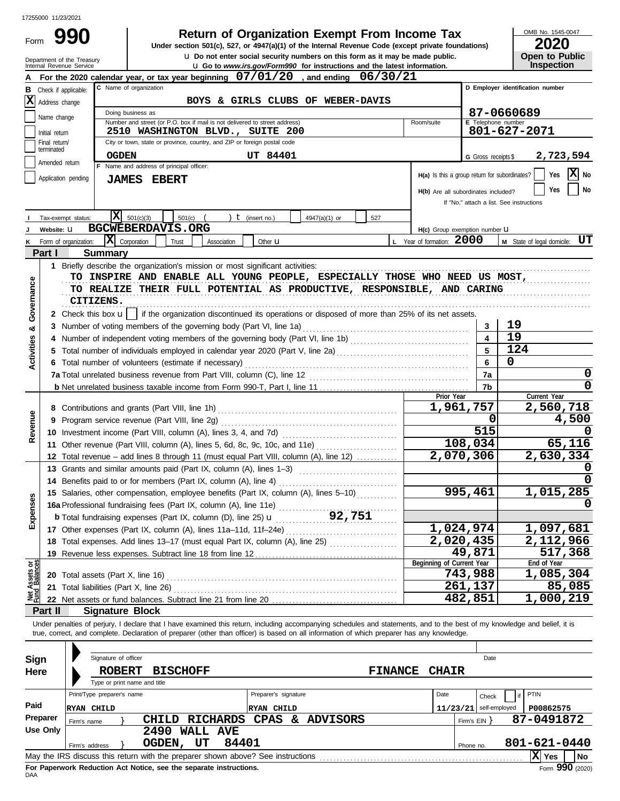Form 990

# **Return of Organization Exempt From Income Tax**

**u** Do not enter social security numbers on this form as it may be made public. **Under section 501(c), 527, or 4947(a)(1) of the Internal Revenue Code (except private foundations)** OMB No. 1545-0047

|  | LVLV                  |
|--|-----------------------|
|  | <b>Open to Public</b> |
|  | <b>Inspection</b>     |

|                                |                                                | Department of the Treasury<br>Internal Revenue Service |                            |                                                                                                                                                                                                                                                                                                                          |             |                      | U Do not enter social security numbers on this form as it may be made public.<br>La Go to www.irs.gov/Form990 for instructions and the latest information. |                |                                               |                          |                                  | Open to Public<br>Inspection             |
|--------------------------------|------------------------------------------------|--------------------------------------------------------|----------------------------|--------------------------------------------------------------------------------------------------------------------------------------------------------------------------------------------------------------------------------------------------------------------------------------------------------------------------|-------------|----------------------|------------------------------------------------------------------------------------------------------------------------------------------------------------|----------------|-----------------------------------------------|--------------------------|----------------------------------|------------------------------------------|
|                                |                                                |                                                        |                            | For the 2020 calendar year, or tax year beginning $07/01/20$ , and ending $06/30/21$                                                                                                                                                                                                                                     |             |                      |                                                                                                                                                            |                |                                               |                          |                                  |                                          |
| в                              | C Name of organization<br>Check if applicable: |                                                        |                            |                                                                                                                                                                                                                                                                                                                          |             |                      |                                                                                                                                                            |                |                                               |                          | D Employer identification number |                                          |
| X                              | Address change                                 |                                                        |                            |                                                                                                                                                                                                                                                                                                                          |             |                      | BOYS & GIRLS CLUBS OF WEBER-DAVIS                                                                                                                          |                |                                               |                          |                                  |                                          |
|                                |                                                |                                                        |                            | Doing business as                                                                                                                                                                                                                                                                                                        |             |                      |                                                                                                                                                            |                |                                               |                          |                                  | 87-0660689                               |
|                                | Name change                                    |                                                        |                            | Number and street (or P.O. box if mail is not delivered to street address)                                                                                                                                                                                                                                               |             |                      |                                                                                                                                                            |                | Room/suite                                    |                          |                                  | <b>E</b> Telephone number                |
|                                | Initial return                                 |                                                        |                            | 2510 WASHINGTON BLVD., SUITE 200                                                                                                                                                                                                                                                                                         |             |                      |                                                                                                                                                            |                |                                               |                          |                                  | 801-627-2071                             |
|                                | Final return/<br>terminated                    |                                                        |                            | City or town, state or province, country, and ZIP or foreign postal code                                                                                                                                                                                                                                                 |             |                      |                                                                                                                                                            |                |                                               |                          |                                  |                                          |
|                                | Amended return                                 |                                                        | <b>OGDEN</b>               |                                                                                                                                                                                                                                                                                                                          |             | <b>UT 84401</b>      |                                                                                                                                                            |                |                                               |                          | G Gross receipts \$              | 2,723,594                                |
|                                |                                                |                                                        |                            | F Name and address of principal officer:                                                                                                                                                                                                                                                                                 |             |                      |                                                                                                                                                            |                | H(a) Is this a group return for subordinates? |                          |                                  | X <br>Yes<br>No                          |
|                                |                                                | Application pending                                    |                            | <b>JAMES EBERT</b>                                                                                                                                                                                                                                                                                                       |             |                      |                                                                                                                                                            |                |                                               |                          |                                  |                                          |
|                                |                                                |                                                        |                            |                                                                                                                                                                                                                                                                                                                          |             |                      |                                                                                                                                                            |                | H(b) Are all subordinates included?           |                          |                                  | No<br>Yes                                |
|                                |                                                |                                                        |                            |                                                                                                                                                                                                                                                                                                                          |             |                      |                                                                                                                                                            |                |                                               |                          |                                  | If "No," attach a list. See instructions |
|                                |                                                | Tax-exempt status:                                     | ΙXΙ                        | 501(c)(3)<br>501(c)                                                                                                                                                                                                                                                                                                      |             | $t$ (insert no.)     | 4947(a)(1) or<br>527                                                                                                                                       |                |                                               |                          |                                  |                                          |
|                                | Website: U                                     |                                                        |                            | <b>BGCWEBERDAVIS.ORG</b>                                                                                                                                                                                                                                                                                                 |             |                      |                                                                                                                                                            |                | H(c) Group exemption number U                 |                          |                                  |                                          |
|                                |                                                | Form of organization:                                  | $ \mathbf{X} $ Corporation | Trust                                                                                                                                                                                                                                                                                                                    | Association | Other $\mathbf u$    |                                                                                                                                                            |                | L Year of formation: 2000                     |                          |                                  | UT<br>M State of legal domicile:         |
|                                | Part I                                         |                                                        | <b>Summary</b>             |                                                                                                                                                                                                                                                                                                                          |             |                      |                                                                                                                                                            |                |                                               |                          |                                  |                                          |
|                                | 1.                                             |                                                        |                            | Briefly describe the organization's mission or most significant activities:                                                                                                                                                                                                                                              |             |                      |                                                                                                                                                            |                |                                               |                          |                                  |                                          |
|                                |                                                |                                                        |                            | TO INSPIRE AND ENABLE ALL YOUNG PEOPLE, ESPECIALLY THOSE WHO NEED US MOST,                                                                                                                                                                                                                                               |             |                      |                                                                                                                                                            |                |                                               |                          |                                  |                                          |
| Governance                     |                                                |                                                        |                            | TO REALIZE THEIR FULL POTENTIAL AS PRODUCTIVE, RESPONSIBLE, AND CARING                                                                                                                                                                                                                                                   |             |                      |                                                                                                                                                            |                |                                               |                          |                                  |                                          |
|                                |                                                | CITIZENS.                                              |                            |                                                                                                                                                                                                                                                                                                                          |             |                      |                                                                                                                                                            |                |                                               |                          |                                  |                                          |
|                                |                                                |                                                        |                            | 2 Check this box <b>u</b>   if the organization discontinued its operations or disposed of more than 25% of its net assets.                                                                                                                                                                                              |             |                      |                                                                                                                                                            |                |                                               |                          |                                  |                                          |
| త                              |                                                |                                                        |                            | 3 Number of voting members of the governing body (Part VI, line 1a)                                                                                                                                                                                                                                                      |             |                      |                                                                                                                                                            |                |                                               |                          | 3                                | 19                                       |
| <b>Activities</b>              |                                                |                                                        |                            |                                                                                                                                                                                                                                                                                                                          |             |                      |                                                                                                                                                            |                |                                               |                          |                                  | 19<br>124                                |
|                                |                                                |                                                        |                            |                                                                                                                                                                                                                                                                                                                          |             |                      |                                                                                                                                                            |                |                                               |                          | 5                                | 0                                        |
|                                |                                                |                                                        |                            | 6 Total number of volunteers (estimate if necessary)                                                                                                                                                                                                                                                                     |             |                      |                                                                                                                                                            |                |                                               |                          | 6                                |                                          |
|                                |                                                |                                                        |                            |                                                                                                                                                                                                                                                                                                                          |             |                      |                                                                                                                                                            |                |                                               |                          | 7a                               | 0                                        |
|                                |                                                |                                                        |                            |                                                                                                                                                                                                                                                                                                                          |             |                      |                                                                                                                                                            |                | Prior Year                                    |                          | 7b                               | Current Year                             |
|                                |                                                |                                                        |                            |                                                                                                                                                                                                                                                                                                                          |             |                      |                                                                                                                                                            |                | 1,961,757                                     |                          | 2,560,718                        |                                          |
| Revenue                        |                                                |                                                        |                            |                                                                                                                                                                                                                                                                                                                          |             |                      |                                                                                                                                                            |                |                                               |                          | 0                                | 4,500                                    |
|                                |                                                |                                                        |                            |                                                                                                                                                                                                                                                                                                                          |             |                      |                                                                                                                                                            |                |                                               |                          | 515                              |                                          |
|                                |                                                |                                                        |                            | 11 Other revenue (Part VIII, column (A), lines 5, 6d, 8c, 9c, 10c, and 11e)                                                                                                                                                                                                                                              |             |                      |                                                                                                                                                            |                |                                               | 108,034                  |                                  | 65,116                                   |
|                                |                                                |                                                        |                            | 12 Total revenue – add lines 8 through 11 (must equal Part VIII, column (A), line 12)                                                                                                                                                                                                                                    |             |                      |                                                                                                                                                            |                |                                               | 2,070,306                |                                  | 2,630,334                                |
|                                |                                                |                                                        |                            | 13 Grants and similar amounts paid (Part IX, column (A), lines 1-3)                                                                                                                                                                                                                                                      |             |                      |                                                                                                                                                            |                |                                               |                          |                                  |                                          |
|                                |                                                |                                                        |                            | 14 Benefits paid to or for members (Part IX, column (A), line 4)                                                                                                                                                                                                                                                         |             |                      |                                                                                                                                                            |                |                                               |                          |                                  |                                          |
|                                |                                                |                                                        |                            | 15 Salaries, other compensation, employee benefits (Part IX, column (A), lines 5-10)                                                                                                                                                                                                                                     |             |                      |                                                                                                                                                            |                |                                               | 995,461                  |                                  | 1,015,285                                |
| <b>1ses</b>                    |                                                |                                                        |                            | 16a Professional fundraising fees (Part IX, column (A), line 11e)                                                                                                                                                                                                                                                        |             |                      |                                                                                                                                                            |                |                                               |                          |                                  | 0                                        |
| Exper                          |                                                |                                                        |                            |                                                                                                                                                                                                                                                                                                                          |             |                      |                                                                                                                                                            |                |                                               |                          |                                  |                                          |
|                                |                                                |                                                        |                            |                                                                                                                                                                                                                                                                                                                          |             |                      |                                                                                                                                                            |                |                                               | 1,024,974                |                                  | 1,097,681                                |
|                                |                                                |                                                        |                            | 18 Total expenses. Add lines 13-17 (must equal Part IX, column (A), line 25) [                                                                                                                                                                                                                                           |             |                      |                                                                                                                                                            |                |                                               | 2,020,435                |                                  | <u>2,112,966</u>                         |
|                                |                                                |                                                        |                            |                                                                                                                                                                                                                                                                                                                          |             |                      |                                                                                                                                                            |                |                                               | 49,871                   |                                  | $\overline{517}$ , 368                   |
|                                |                                                |                                                        |                            |                                                                                                                                                                                                                                                                                                                          |             |                      |                                                                                                                                                            |                | Beginning of Current Year                     |                          |                                  | End of Year                              |
| Net Assets or<br>Fund Balances |                                                |                                                        |                            |                                                                                                                                                                                                                                                                                                                          |             |                      |                                                                                                                                                            |                |                                               | 743,988                  |                                  | 1,085,304                                |
|                                |                                                |                                                        |                            | 21 Total liabilities (Part X, line 26)                                                                                                                                                                                                                                                                                   |             |                      |                                                                                                                                                            |                |                                               | 261,137                  |                                  | 85,085                                   |
|                                |                                                |                                                        |                            |                                                                                                                                                                                                                                                                                                                          |             |                      |                                                                                                                                                            |                |                                               | 482,851                  |                                  | 1,000,219                                |
|                                | Part II                                        |                                                        | <b>Signature Block</b>     |                                                                                                                                                                                                                                                                                                                          |             |                      |                                                                                                                                                            |                |                                               |                          |                                  |                                          |
|                                |                                                |                                                        |                            | Under penalties of perjury, I declare that I have examined this return, including accompanying schedules and statements, and to the best of my knowledge and belief, it is<br>true, correct, and complete. Declaration of preparer (other than officer) is based on all information of which preparer has any knowledge. |             |                      |                                                                                                                                                            |                |                                               |                          |                                  |                                          |
|                                |                                                |                                                        |                            |                                                                                                                                                                                                                                                                                                                          |             |                      |                                                                                                                                                            |                |                                               |                          |                                  |                                          |
|                                |                                                |                                                        |                            |                                                                                                                                                                                                                                                                                                                          |             |                      |                                                                                                                                                            |                |                                               |                          |                                  |                                          |
| Sign                           |                                                |                                                        | Signature of officer       |                                                                                                                                                                                                                                                                                                                          |             |                      |                                                                                                                                                            |                |                                               |                          | Date                             |                                          |
| Here                           |                                                |                                                        | <b>ROBERT</b>              | <b>BISCHOFF</b><br>Type or print name and title                                                                                                                                                                                                                                                                          |             |                      |                                                                                                                                                            | <b>FINANCE</b> | <b>CHAIR</b>                                  |                          |                                  |                                          |
|                                |                                                |                                                        | Print/Type preparer's name |                                                                                                                                                                                                                                                                                                                          |             | Preparer's signature |                                                                                                                                                            |                | Date                                          |                          |                                  | PTIN                                     |
| Paid                           |                                                |                                                        |                            |                                                                                                                                                                                                                                                                                                                          |             |                      |                                                                                                                                                            |                |                                               |                          | Check                            | if                                       |
|                                | Preparer                                       | <b>RYAN CHILD</b>                                      |                            |                                                                                                                                                                                                                                                                                                                          |             | <b>RYAN CHILD</b>    |                                                                                                                                                            |                |                                               | $11/23/21$ self-employed |                                  | P00862575<br>87-0491872                  |
|                                | <b>Use Only</b>                                | Firm's name                                            |                            | <b>RICHARDS</b><br><b>CHILD</b><br>2490 WALL AVE                                                                                                                                                                                                                                                                         |             | CPAS &               | <b>ADVISORS</b>                                                                                                                                            |                |                                               | Firm's EIN               |                                  |                                          |
|                                |                                                |                                                        |                            | OGDEN, UT                                                                                                                                                                                                                                                                                                                | 84401       |                      |                                                                                                                                                            |                |                                               |                          |                                  | 801-621-0440                             |
|                                |                                                | Firm's address                                         |                            | May the IRS discuss this return with the preparer shown above? See instructions [11] May the IRS discuss this return with the preparer shown above? See instructions                                                                                                                                                     |             |                      |                                                                                                                                                            |                |                                               | Phone no.                |                                  | $ X $ Yes<br><b>No</b>                   |
|                                |                                                |                                                        |                            |                                                                                                                                                                                                                                                                                                                          |             |                      |                                                                                                                                                            |                |                                               |                          |                                  |                                          |

| Sign     | Signature of officer                                                            | Date                                  |
|----------|---------------------------------------------------------------------------------|---------------------------------------|
| Here     | <b>BISCHOFF</b><br><b>ROBERT</b>                                                | <b>FINANCE</b><br><b>CHAIR</b>        |
|          | Type or print name and title                                                    |                                       |
|          | Preparer's signature<br>Print/Type preparer's name                              | PTIN<br>Date<br>Check                 |
| Paid     | RYAN CHILD<br>RYAN CHILD                                                        | $11/23/21$ self-employed<br>P00862575 |
| Preparer | <b>CPAS</b><br><b>RICHARDS</b><br>ADVISORS<br>CHILD<br>&.<br>Firm's name        | 87-0491872<br>Firm's EIN Y            |
| Use Only | 2490<br>WALL AVE                                                                |                                       |
|          | 84401<br>UT<br>OGDEN,<br>Firm's address                                         | 801-621-0440<br>Phone no.             |
|          | May the IRS discuss this return with the preparer shown above? See instructions | l No<br>Yes                           |
|          | For Paperwork Reduction Act Notice, see the separate instructions.              | Form $990(2020)$                      |

DAA **For Paperwork Reduction Act Notice, see the separate instructions.**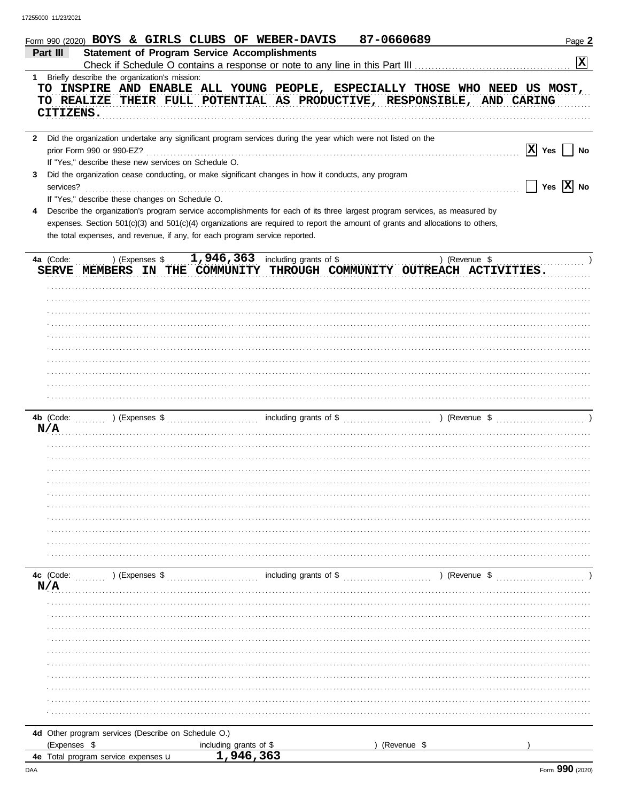|              | 87-0660689<br>Form 990 (2020) BOYS & GIRLS CLUBS OF WEBER-DAVIS                                                                                                                                                                                                                                                                                                                                | Page 2          |
|--------------|------------------------------------------------------------------------------------------------------------------------------------------------------------------------------------------------------------------------------------------------------------------------------------------------------------------------------------------------------------------------------------------------|-----------------|
|              | <b>Statement of Program Service Accomplishments</b><br>Part III<br>Check if Schedule O contains a response or note to any line in this Part III                                                                                                                                                                                                                                                | $ \mathbf{x} $  |
| $1 \quad$    | Briefly describe the organization's mission:<br>TO INSPIRE AND ENABLE ALL YOUNG PEOPLE, ESPECIALLY THOSE WHO NEED US MOST,<br>TO REALIZE THEIR FULL POTENTIAL AS PRODUCTIVE, RESPONSIBLE, AND CARING<br>CITIZENS.                                                                                                                                                                              |                 |
| $\mathbf{2}$ | Did the organization undertake any significant program services during the year which were not listed on the<br>prior Form 990 or 990-EZ?                                                                                                                                                                                                                                                      | $ X $ Yes<br>No |
| 3            | If "Yes," describe these new services on Schedule O.<br>Did the organization cease conducting, or make significant changes in how it conducts, any program<br>services?                                                                                                                                                                                                                        | Yes $X$ No      |
| 4            | If "Yes," describe these changes on Schedule O.<br>Describe the organization's program service accomplishments for each of its three largest program services, as measured by<br>expenses. Section 501(c)(3) and 501(c)(4) organizations are required to report the amount of grants and allocations to others,<br>the total expenses, and revenue, if any, for each program service reported. |                 |
|              | 1,946,363<br>) (Expenses \$<br>including grants of \$<br>4a (Code:<br>) (Revenue \$<br>SERVE MEMBERS IN THE COMMUNITY THROUGH COMMUNITY OUTREACH ACTIVITIES.                                                                                                                                                                                                                                   |                 |
|              |                                                                                                                                                                                                                                                                                                                                                                                                |                 |
|              |                                                                                                                                                                                                                                                                                                                                                                                                |                 |
|              |                                                                                                                                                                                                                                                                                                                                                                                                |                 |
|              |                                                                                                                                                                                                                                                                                                                                                                                                |                 |
|              |                                                                                                                                                                                                                                                                                                                                                                                                |                 |
|              | including grants of \$<br>4b (Code:<br>) (Revenue \$<br>) (Expenses \$<br>N/A                                                                                                                                                                                                                                                                                                                  |                 |
|              |                                                                                                                                                                                                                                                                                                                                                                                                |                 |
|              |                                                                                                                                                                                                                                                                                                                                                                                                |                 |
|              |                                                                                                                                                                                                                                                                                                                                                                                                |                 |
|              |                                                                                                                                                                                                                                                                                                                                                                                                |                 |
|              |                                                                                                                                                                                                                                                                                                                                                                                                |                 |
|              | including grants of \$<br>4c (Code:<br>) (Expenses \$<br>) (Revenue \$<br>N/A                                                                                                                                                                                                                                                                                                                  |                 |
|              |                                                                                                                                                                                                                                                                                                                                                                                                |                 |
|              |                                                                                                                                                                                                                                                                                                                                                                                                |                 |
|              |                                                                                                                                                                                                                                                                                                                                                                                                |                 |
|              |                                                                                                                                                                                                                                                                                                                                                                                                |                 |
|              |                                                                                                                                                                                                                                                                                                                                                                                                |                 |
|              |                                                                                                                                                                                                                                                                                                                                                                                                |                 |
|              |                                                                                                                                                                                                                                                                                                                                                                                                |                 |
|              |                                                                                                                                                                                                                                                                                                                                                                                                |                 |
|              | 4d Other program services (Describe on Schedule O.)                                                                                                                                                                                                                                                                                                                                            |                 |
|              | (Expenses \$<br>(Revenue \$<br>including grants of \$<br>1,946,363                                                                                                                                                                                                                                                                                                                             |                 |
|              | <b>4e</b> Total program service expenses <b>u</b>                                                                                                                                                                                                                                                                                                                                              |                 |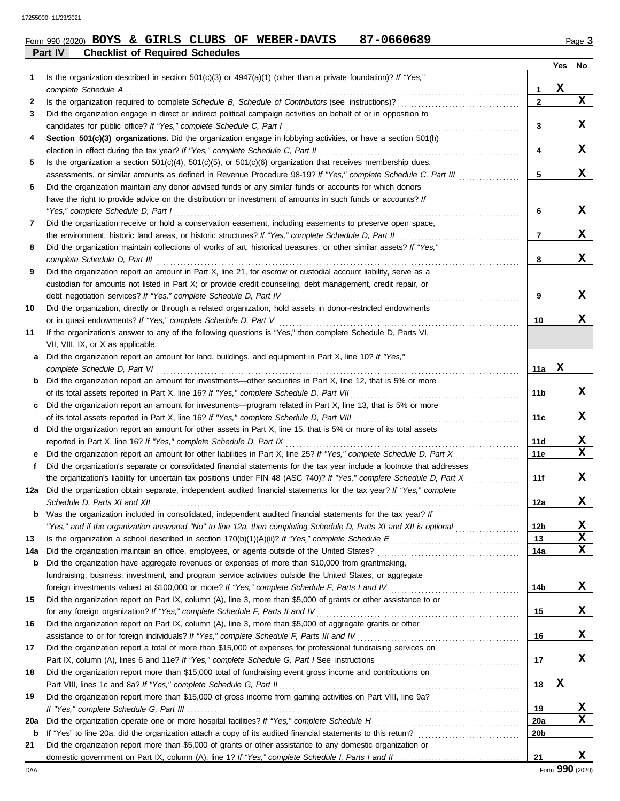|         |  |                                        |  | Form 990 (2020) BOYS & GIRLS CLUBS OF WEBER-DAVIS | 87-0660689 | $P$ age $3$ |
|---------|--|----------------------------------------|--|---------------------------------------------------|------------|-------------|
| Part IV |  | <b>Checklist of Required Schedules</b> |  |                                                   |            |             |

| 1      | Is the organization described in section $501(c)(3)$ or $4947(a)(1)$ (other than a private foundation)? If "Yes,"                                                                            |                 | Yes | No          |
|--------|----------------------------------------------------------------------------------------------------------------------------------------------------------------------------------------------|-----------------|-----|-------------|
|        | complete Schedule A                                                                                                                                                                          | 1               | X   |             |
| 2      | Is the organization required to complete Schedule B, Schedule of Contributors (see instructions)?                                                                                            | $\mathbf{2}$    |     | X           |
| 3      | Did the organization engage in direct or indirect political campaign activities on behalf of or in opposition to                                                                             |                 |     |             |
|        | candidates for public office? If "Yes," complete Schedule C, Part I                                                                                                                          | 3               |     | X.          |
| 4      | Section 501(c)(3) organizations. Did the organization engage in lobbying activities, or have a section 501(h)                                                                                |                 |     |             |
|        | election in effect during the tax year? If "Yes," complete Schedule C, Part II                                                                                                               | 4               |     | X.          |
| 5      | Is the organization a section $501(c)(4)$ , $501(c)(5)$ , or $501(c)(6)$ organization that receives membership dues,                                                                         |                 |     |             |
|        | assessments, or similar amounts as defined in Revenue Procedure 98-19? If "Yes," complete Schedule C, Part III                                                                               | 5               |     | X           |
| 6      | Did the organization maintain any donor advised funds or any similar funds or accounts for which donors                                                                                      |                 |     |             |
|        | have the right to provide advice on the distribution or investment of amounts in such funds or accounts? If                                                                                  |                 |     |             |
|        | "Yes," complete Schedule D, Part I                                                                                                                                                           | 6               |     | x           |
| 7      | Did the organization receive or hold a conservation easement, including easements to preserve open space,                                                                                    |                 |     |             |
|        | the environment, historic land areas, or historic structures? If "Yes," complete Schedule D, Part II                                                                                         | 7               |     | x           |
| 8      | Did the organization maintain collections of works of art, historical treasures, or other similar assets? If "Yes,"                                                                          |                 |     |             |
|        | complete Schedule D, Part III                                                                                                                                                                | 8               |     | X           |
| 9      | Did the organization report an amount in Part X, line 21, for escrow or custodial account liability, serve as a                                                                              |                 |     |             |
|        | custodian for amounts not listed in Part X; or provide credit counseling, debt management, credit repair, or                                                                                 |                 |     |             |
|        | debt negotiation services? If "Yes," complete Schedule D, Part IV                                                                                                                            | 9               |     | X.          |
| 10     | Did the organization, directly or through a related organization, hold assets in donor-restricted endowments                                                                                 |                 |     |             |
|        | or in quasi endowments? If "Yes," complete Schedule D, Part V                                                                                                                                | 10              |     | x           |
| 11     | If the organization's answer to any of the following questions is "Yes," then complete Schedule D, Parts VI,                                                                                 |                 |     |             |
|        | VII, VIII, IX, or X as applicable.                                                                                                                                                           |                 |     |             |
| a      | Did the organization report an amount for land, buildings, and equipment in Part X, line 10? If "Yes,"                                                                                       |                 |     |             |
|        | complete Schedule D, Part VI                                                                                                                                                                 | 11a             | x   |             |
| b      | Did the organization report an amount for investments—other securities in Part X, line 12, that is 5% or more                                                                                |                 |     |             |
|        | of its total assets reported in Part X, line 16? If "Yes," complete Schedule D, Part VII                                                                                                     | 11b             |     | X.          |
| C      | Did the organization report an amount for investments—program related in Part X, line 13, that is 5% or more                                                                                 |                 |     |             |
|        | of its total assets reported in Part X, line 16? If "Yes," complete Schedule D, Part VIII                                                                                                    | 11c             |     | X           |
| d      | Did the organization report an amount for other assets in Part X, line 15, that is 5% or more of its total assets                                                                            |                 |     | X           |
|        | reported in Part X, line 16? If "Yes," complete Schedule D, Part IX<br>Did the organization report an amount for other liabilities in Part X, line 25? If "Yes," complete Schedule D, Part X | 11d<br>11e      |     | $\mathbf x$ |
| е<br>f | Did the organization's separate or consolidated financial statements for the tax year include a footnote that addresses                                                                      |                 |     |             |
|        | the organization's liability for uncertain tax positions under FIN 48 (ASC 740)? If "Yes," complete Schedule D, Part X                                                                       | 11f             |     | X.          |
| 12a    | Did the organization obtain separate, independent audited financial statements for the tax year? If "Yes," complete                                                                          |                 |     |             |
|        |                                                                                                                                                                                              | 12a             |     | X           |
| b      | Was the organization included in consolidated, independent audited financial statements for the tax year? If                                                                                 |                 |     |             |
|        | "Yes," and if the organization answered "No" to line 12a, then completing Schedule D, Parts XI and XII is optional                                                                           | 12 <sub>b</sub> |     | X           |
| 13     |                                                                                                                                                                                              | 13              |     | X           |
| 14a    | Did the organization maintain an office, employees, or agents outside of the United States?                                                                                                  | 14a             |     | X           |
| b      | Did the organization have aggregate revenues or expenses of more than \$10,000 from grantmaking,                                                                                             |                 |     |             |
|        | fundraising, business, investment, and program service activities outside the United States, or aggregate                                                                                    |                 |     |             |
|        |                                                                                                                                                                                              | 14b             |     | X,          |
| 15     | Did the organization report on Part IX, column (A), line 3, more than \$5,000 of grants or other assistance to or                                                                            |                 |     |             |
|        | for any foreign organization? If "Yes," complete Schedule F, Parts II and IV                                                                                                                 | 15              |     | X,          |
| 16     | Did the organization report on Part IX, column (A), line 3, more than \$5,000 of aggregate grants or other                                                                                   |                 |     |             |
|        | assistance to or for foreign individuals? If "Yes," complete Schedule F, Parts III and IV                                                                                                    | 16              |     | X,          |
| 17     | Did the organization report a total of more than \$15,000 of expenses for professional fundraising services on                                                                               |                 |     |             |
|        |                                                                                                                                                                                              | 17              |     | X.          |
| 18     | Did the organization report more than \$15,000 total of fundraising event gross income and contributions on                                                                                  |                 |     |             |
|        | Part VIII, lines 1c and 8a? If "Yes," complete Schedule G, Part II                                                                                                                           | 18              | x   |             |
| 19     | Did the organization report more than \$15,000 of gross income from gaming activities on Part VIII, line 9a?                                                                                 |                 |     |             |
|        |                                                                                                                                                                                              | 19              |     | X           |
| 20a    |                                                                                                                                                                                              | 20a             |     | $\mathbf x$ |
| b      |                                                                                                                                                                                              | 20b             |     |             |
| 21     | Did the organization report more than \$5,000 of grants or other assistance to any domestic organization or                                                                                  |                 |     |             |
|        |                                                                                                                                                                                              | 21              |     | x           |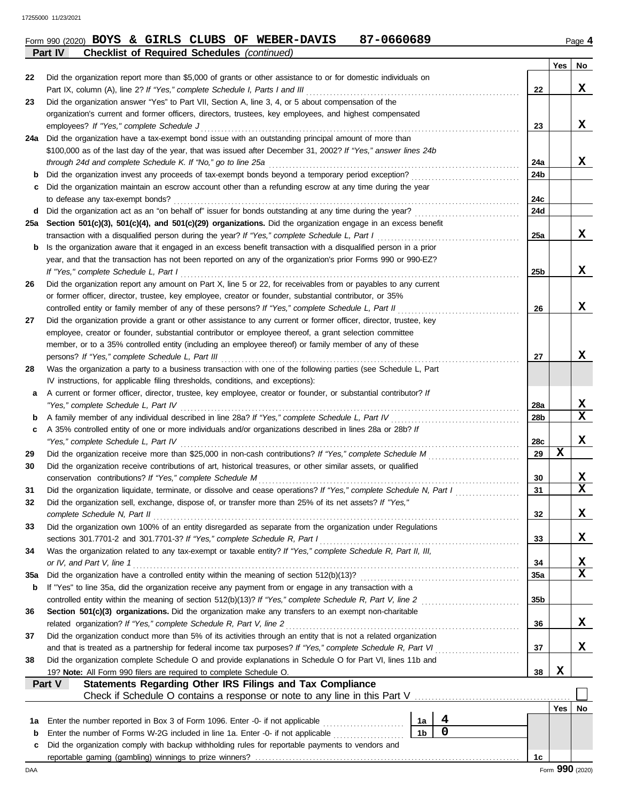|         |  |  | Form 990 (2020) BOYS & GIRLS CLUBS OF WEBER-DAVIS  | 87-0660689 | Page 4 |
|---------|--|--|----------------------------------------------------|------------|--------|
| Part IV |  |  | <b>Checklist of Required Schedules (continued)</b> |            |        |

|     |                                                                                                                                                                                                               |                |   |     |   | Yes | No          |
|-----|---------------------------------------------------------------------------------------------------------------------------------------------------------------------------------------------------------------|----------------|---|-----|---|-----|-------------|
| 22  | Did the organization report more than \$5,000 of grants or other assistance to or for domestic individuals on                                                                                                 |                |   |     |   |     |             |
|     | Part IX, column (A), line 2? If "Yes," complete Schedule I, Parts I and III                                                                                                                                   |                |   | 22  |   |     | x           |
| 23  | Did the organization answer "Yes" to Part VII, Section A, line 3, 4, or 5 about compensation of the                                                                                                           |                |   |     |   |     |             |
|     | organization's current and former officers, directors, trustees, key employees, and highest compensated                                                                                                       |                |   |     |   |     |             |
|     | employees? If "Yes," complete Schedule J                                                                                                                                                                      |                |   | 23  |   |     | x           |
| 24a | Did the organization have a tax-exempt bond issue with an outstanding principal amount of more than                                                                                                           |                |   |     |   |     |             |
|     | \$100,000 as of the last day of the year, that was issued after December 31, 2002? If "Yes," answer lines 24b                                                                                                 |                |   |     |   |     |             |
|     | through 24d and complete Schedule K. If "No," go to line 25a                                                                                                                                                  |                |   | 24a |   |     | x           |
| b   | Did the organization invest any proceeds of tax-exempt bonds beyond a temporary period exception?                                                                                                             |                |   | 24b |   |     |             |
| c   | Did the organization maintain an escrow account other than a refunding escrow at any time during the year                                                                                                     |                |   |     |   |     |             |
|     | to defease any tax-exempt bonds?                                                                                                                                                                              |                |   | 24с |   |     |             |
| d   |                                                                                                                                                                                                               |                |   | 24d |   |     |             |
| 25a | Section 501(c)(3), 501(c)(4), and 501(c)(29) organizations. Did the organization engage in an excess benefit<br>transaction with a disqualified person during the year? If "Yes," complete Schedule L, Part I |                |   | 25a |   |     | x           |
| b   | Is the organization aware that it engaged in an excess benefit transaction with a disqualified person in a prior                                                                                              |                |   |     |   |     |             |
|     | year, and that the transaction has not been reported on any of the organization's prior Forms 990 or 990-EZ?                                                                                                  |                |   |     |   |     |             |
|     | If "Yes," complete Schedule L, Part I                                                                                                                                                                         |                |   | 25b |   |     | x           |
| 26  | Did the organization report any amount on Part X, line 5 or 22, for receivables from or payables to any current                                                                                               |                |   |     |   |     |             |
|     | or former officer, director, trustee, key employee, creator or founder, substantial contributor, or 35%                                                                                                       |                |   |     |   |     |             |
|     | controlled entity or family member of any of these persons? If "Yes," complete Schedule L, Part II                                                                                                            |                |   | 26  |   |     | x           |
| 27  | Did the organization provide a grant or other assistance to any current or former officer, director, trustee, key                                                                                             |                |   |     |   |     |             |
|     | employee, creator or founder, substantial contributor or employee thereof, a grant selection committee                                                                                                        |                |   |     |   |     |             |
|     | member, or to a 35% controlled entity (including an employee thereof) or family member of any of these                                                                                                        |                |   |     |   |     |             |
|     | persons? If "Yes," complete Schedule L, Part III                                                                                                                                                              |                |   | 27  |   |     | x           |
| 28  | Was the organization a party to a business transaction with one of the following parties (see Schedule L, Part                                                                                                |                |   |     |   |     |             |
|     | IV instructions, for applicable filing thresholds, conditions, and exceptions):                                                                                                                               |                |   |     |   |     |             |
| а   | A current or former officer, director, trustee, key employee, creator or founder, or substantial contributor? If                                                                                              |                |   |     |   |     |             |
|     | "Yes," complete Schedule L, Part IV                                                                                                                                                                           |                |   | 28a |   |     | X           |
| b   | A family member of any individual described in line 28a? If "Yes," complete Schedule L, Part IV                                                                                                               |                |   | 28b |   |     | $\mathbf x$ |
| c   | A 35% controlled entity of one or more individuals and/or organizations described in lines 28a or 28b? If                                                                                                     |                |   |     |   |     |             |
|     | "Yes," complete Schedule L, Part IV                                                                                                                                                                           |                |   | 28c |   |     | X           |
| 29  |                                                                                                                                                                                                               |                |   | 29  | x |     |             |
| 30  | Did the organization receive contributions of art, historical treasures, or other similar assets, or qualified                                                                                                |                |   |     |   |     |             |
|     | conservation contributions? If "Yes," complete Schedule M                                                                                                                                                     |                |   | 30  |   |     | X           |
| 31  | Did the organization liquidate, terminate, or dissolve and cease operations? If "Yes," complete Schedule N, Part I                                                                                            |                |   | 31  |   |     | $\mathbf x$ |
| 32  | Did the organization sell, exchange, dispose of, or transfer more than 25% of its net assets? If "Yes,"                                                                                                       |                |   |     |   |     |             |
|     | complete Schedule N, Part II                                                                                                                                                                                  |                |   | 32  |   |     | х           |
| 33  | Did the organization own 100% of an entity disregarded as separate from the organization under Regulations                                                                                                    |                |   |     |   |     |             |
|     | sections 301.7701-2 and 301.7701-3? If "Yes," complete Schedule R, Part I                                                                                                                                     |                |   | 33  |   |     | x           |
| 34  | Was the organization related to any tax-exempt or taxable entity? If "Yes," complete Schedule R, Part II, III,                                                                                                |                |   |     |   |     |             |
|     | or IV, and Part V, line 1                                                                                                                                                                                     |                |   | 34  |   |     | X           |
| 35a | Did the organization have a controlled entity within the meaning of section 512(b)(13)?                                                                                                                       |                |   | 35a |   |     | $\mathbf x$ |
| b   | If "Yes" to line 35a, did the organization receive any payment from or engage in any transaction with a                                                                                                       |                |   |     |   |     |             |
|     | controlled entity within the meaning of section 512(b)(13)? If "Yes," complete Schedule R, Part V, line 2                                                                                                     |                |   | 35b |   |     |             |
| 36  | Section 501(c)(3) organizations. Did the organization make any transfers to an exempt non-charitable                                                                                                          |                |   |     |   |     | x           |
|     | related organization? If "Yes," complete Schedule R, Part V, line 2<br>Did the organization conduct more than 5% of its activities through an entity that is not a related organization                       |                |   | 36  |   |     |             |
| 37  | and that is treated as a partnership for federal income tax purposes? If "Yes," complete Schedule R, Part VI                                                                                                  |                |   | 37  |   |     | X           |
| 38  | Did the organization complete Schedule O and provide explanations in Schedule O for Part VI, lines 11b and                                                                                                    |                |   |     |   |     |             |
|     | 19? Note: All Form 990 filers are required to complete Schedule O.                                                                                                                                            |                |   | 38  | X |     |             |
|     | Statements Regarding Other IRS Filings and Tax Compliance<br>Part V                                                                                                                                           |                |   |     |   |     |             |
|     |                                                                                                                                                                                                               |                |   |     |   |     |             |
|     |                                                                                                                                                                                                               |                |   |     |   | Yes | No          |
| 1a  | Enter the number reported in Box 3 of Form 1096. Enter -0- if not applicable                                                                                                                                  | 1a             | 4 |     |   |     |             |
| b   | Enter the number of Forms W-2G included in line 1a. Enter -0- if not applicable                                                                                                                               | 1 <sub>b</sub> | 0 |     |   |     |             |
| с   | Did the organization comply with backup withholding rules for reportable payments to vendors and                                                                                                              |                |   |     |   |     |             |
|     |                                                                                                                                                                                                               |                |   | 1c  |   |     |             |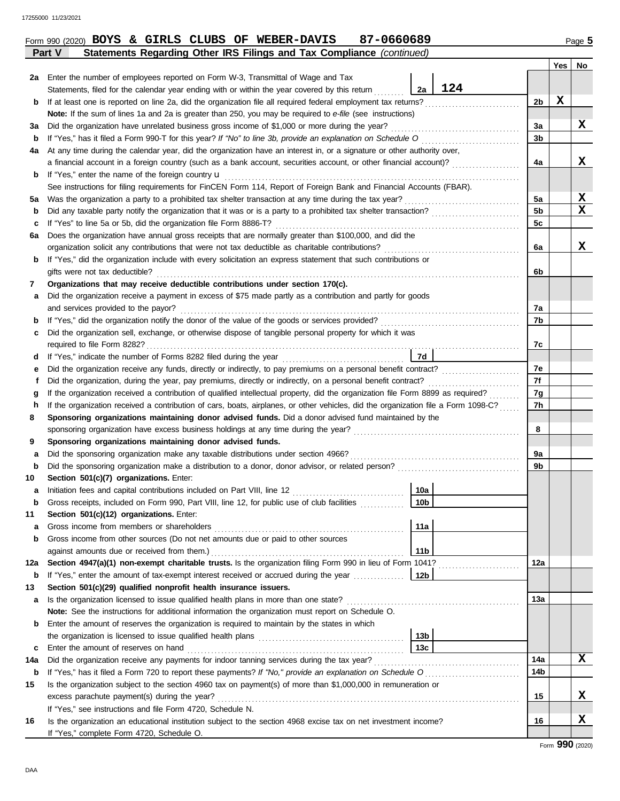|     |                                                                                                                                    |                 |     |                | Yes | No |
|-----|------------------------------------------------------------------------------------------------------------------------------------|-----------------|-----|----------------|-----|----|
| 2a  | Enter the number of employees reported on Form W-3, Transmittal of Wage and Tax                                                    |                 |     |                |     |    |
|     | Statements, filed for the calendar year ending with or within the year covered by this return                                      | 2a              | 124 |                |     |    |
| b   | If at least one is reported on line 2a, did the organization file all required federal employment tax returns?                     |                 |     | 2b             | x   |    |
|     | Note: If the sum of lines 1a and 2a is greater than 250, you may be required to e-file (see instructions)                          |                 |     |                |     |    |
| За  | Did the organization have unrelated business gross income of \$1,000 or more during the year?                                      |                 |     | 3a             |     | X  |
| b   | If "Yes," has it filed a Form 990-T for this year? If "No" to line 3b, provide an explanation on Schedule O [ [ [ [ [ ] ]          |                 |     | 3b             |     |    |
| 4a  | At any time during the calendar year, did the organization have an interest in, or a signature or other authority over,            |                 |     |                |     |    |
|     | a financial account in a foreign country (such as a bank account, securities account, or other financial account)?                 |                 |     | 4a             |     | x  |
| b   | If "Yes," enter the name of the foreign country <b>u</b>                                                                           |                 |     |                |     |    |
|     | See instructions for filing requirements for FinCEN Form 114, Report of Foreign Bank and Financial Accounts (FBAR).                |                 |     |                |     |    |
| 5a  | Was the organization a party to a prohibited tax shelter transaction at any time during the tax year?                              |                 |     | 5a             |     | X  |
| b   |                                                                                                                                    |                 |     | 5 <sub>b</sub> |     | X  |
| c   | If "Yes" to line 5a or 5b, did the organization file Form 8886-T?                                                                  |                 |     | 5 <sub>c</sub> |     |    |
| 6a  | Does the organization have annual gross receipts that are normally greater than \$100,000, and did the                             |                 |     |                |     |    |
|     | organization solicit any contributions that were not tax deductible as charitable contributions?                                   |                 |     | 6a             |     | X  |
| b   | If "Yes," did the organization include with every solicitation an express statement that such contributions or                     |                 |     |                |     |    |
|     | gifts were not tax deductible?                                                                                                     |                 |     | 6b             |     |    |
| 7   | Organizations that may receive deductible contributions under section 170(c).                                                      |                 |     |                |     |    |
| а   | Did the organization receive a payment in excess of \$75 made partly as a contribution and partly for goods                        |                 |     |                |     |    |
|     | and services provided to the payor?                                                                                                |                 |     | 7a             |     |    |
| b   |                                                                                                                                    |                 |     | 7b             |     |    |
| C   | Did the organization sell, exchange, or otherwise dispose of tangible personal property for which it was                           |                 |     |                |     |    |
|     |                                                                                                                                    |                 |     | 7c             |     |    |
| d   |                                                                                                                                    | 7d              |     |                |     |    |
| е   | Did the organization receive any funds, directly or indirectly, to pay premiums on a personal benefit contract?                    |                 |     | 7e             |     |    |
| f   | Did the organization, during the year, pay premiums, directly or indirectly, on a personal benefit contract?                       |                 |     | 7f             |     |    |
| g   | If the organization received a contribution of qualified intellectual property, did the organization file Form 8899 as required?   |                 |     | 7g             |     |    |
| h   | If the organization received a contribution of cars, boats, airplanes, or other vehicles, did the organization file a Form 1098-C? |                 |     | 7h             |     |    |
| 8   | Sponsoring organizations maintaining donor advised funds. Did a donor advised fund maintained by the                               |                 |     |                |     |    |
|     |                                                                                                                                    |                 |     | 8              |     |    |
| 9   | Sponsoring organizations maintaining donor advised funds.                                                                          |                 |     |                |     |    |
| а   | Did the sponsoring organization make any taxable distributions under section 4966?                                                 |                 |     | 9a             |     |    |
| b   |                                                                                                                                    |                 |     | 9b             |     |    |
| 10  | Section 501(c)(7) organizations. Enter:                                                                                            |                 |     |                |     |    |
| а   |                                                                                                                                    | 10a             |     |                |     |    |
|     | Gross receipts, included on Form 990, Part VIII, line 12, for public use of club facilities                                        | 10 <sub>b</sub> |     |                |     |    |
| 11  | Section 501(c)(12) organizations. Enter:                                                                                           |                 |     |                |     |    |
| а   | Gross income from members or shareholders                                                                                          | 11a             |     |                |     |    |
| b   | Gross income from other sources (Do not net amounts due or paid to other sources                                                   |                 |     |                |     |    |
|     | against amounts due or received from them.)                                                                                        | 11 <sub>b</sub> |     |                |     |    |
| 12a | Section 4947(a)(1) non-exempt charitable trusts. Is the organization filing Form 990 in lieu of Form 1041?                         |                 |     | 12a            |     |    |
| b   | If "Yes," enter the amount of tax-exempt interest received or accrued during the year                                              | 12 <sub>b</sub> |     |                |     |    |
| 13  | Section 501(c)(29) qualified nonprofit health insurance issuers.                                                                   |                 |     |                |     |    |
| а   | Is the organization licensed to issue qualified health plans in more than one state?                                               |                 |     | 13а            |     |    |
|     | Note: See the instructions for additional information the organization must report on Schedule O.                                  |                 |     |                |     |    |
| b   | Enter the amount of reserves the organization is required to maintain by the states in which                                       |                 |     |                |     |    |
|     | the organization is licensed to issue qualified health plans                                                                       | 13 <sub>b</sub> |     |                |     |    |
|     |                                                                                                                                    |                 |     |                |     |    |

Enter the amount of reserves on hand . . . . . . . . . . . . . . . . . . . . . . . . . . . . . . . . . . . . . . . . . . . . . . . . . . . . . . . . . . . . . . . . **c 13c**

**14a** Did the organization receive any payments for indoor tanning services during the tax year? . . . . . . . . . . . . . . . . . . . . . . . . . . . . . . . . . . . . . . . . . . .

**15** Is the organization subject to the section 4960 tax on payment(s) of more than \$1,000,000 in remuneration or excess parachute payment(s) during the year? . . . . . . . . . . . . . . . . . . . . . . . . . . . . . . . . . . . . . . . . . . . . . . . . . . . . . . . . . . . . . . . . . . . . . . . . . . . . . . . . . . . . . . . . .

**16** Is the organization an educational institution subject to the section 4968 excise tax on net investment income?

If "Yes," see instructions and file Form 4720, Schedule N.

If "Yes," complete Form 4720, Schedule O.

**b 14b** If "Yes," has it filed a Form 720 to report these payments? *If "No," provide an explanation on Schedule O* . . . . . . . . . . . . . . . . . . . . . . . . . . . .

**X**

**X**

**X**

**14a**

**15**

**16**

Form 990 (2020) Page **5 BOYS & GIRLS CLUBS OF WEBER-DAVIS 87-0660689**

| ٠<br>c<br>٩ |  |
|-------------|--|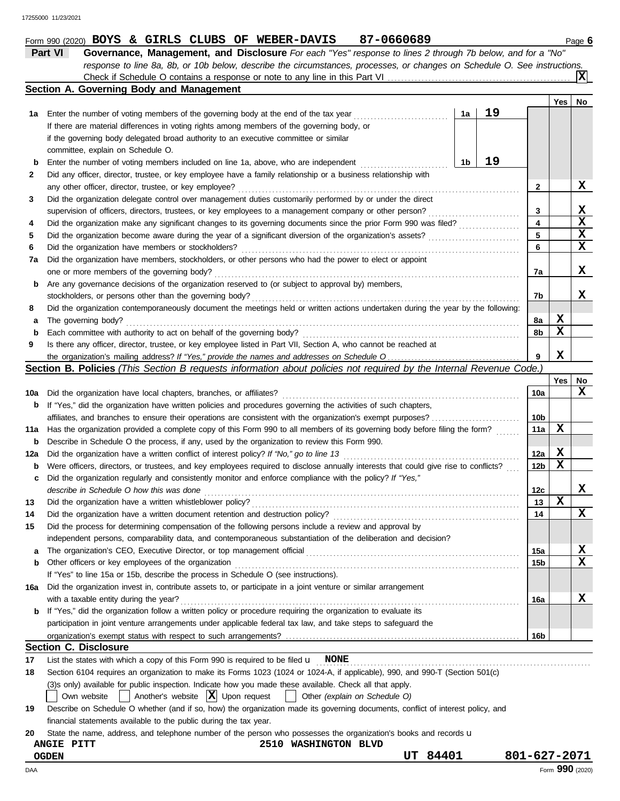|     | 87-0660689<br>Form 990 (2020) BOYS & GIRLS CLUBS OF WEBER-DAVIS                                                                     |                 |     | Page 6      |
|-----|-------------------------------------------------------------------------------------------------------------------------------------|-----------------|-----|-------------|
|     | Part VI<br>Governance, Management, and Disclosure For each "Yes" response to lines 2 through 7b below, and for a "No"               |                 |     |             |
|     | response to line 8a, 8b, or 10b below, describe the circumstances, processes, or changes on Schedule O. See instructions.           |                 |     |             |
|     |                                                                                                                                     |                 |     | Ixl         |
|     | Section A. Governing Body and Management                                                                                            |                 |     |             |
|     |                                                                                                                                     |                 | Yes | No          |
| 1а  | 19<br>1a<br>Enter the number of voting members of the governing body at the end of the tax year                                     |                 |     |             |
|     | If there are material differences in voting rights among members of the governing body, or                                          |                 |     |             |
|     | if the governing body delegated broad authority to an executive committee or similar                                                |                 |     |             |
|     | committee, explain on Schedule O.                                                                                                   |                 |     |             |
| b   | 19<br>1b<br>Enter the number of voting members included on line 1a, above, who are independent                                      |                 |     |             |
| 2   | Did any officer, director, trustee, or key employee have a family relationship or a business relationship with                      |                 |     |             |
|     | any other officer, director, trustee, or key employee?                                                                              | 2               |     | X           |
| 3   | Did the organization delegate control over management duties customarily performed by or under the direct                           |                 |     |             |
|     | supervision of officers, directors, trustees, or key employees to a management company or other person?                             | 3               |     | X           |
| 4   | Did the organization make any significant changes to its governing documents since the prior Form 990 was filed?                    | 4               |     | X           |
|     | Did the organization become aware during the year of a significant diversion of the organization's assets?                          | 5               |     | $\mathbf x$ |
| 5   |                                                                                                                                     | 6               |     | X           |
| 6   | Did the organization have members or stockholders?                                                                                  |                 |     |             |
| 7а  | Did the organization have members, stockholders, or other persons who had the power to elect or appoint                             |                 |     | X           |
|     | one or more members of the governing body?                                                                                          | 7a              |     |             |
| b   | Are any governance decisions of the organization reserved to (or subject to approval by) members,                                   |                 |     |             |
|     | stockholders, or persons other than the governing body?                                                                             | 7b              |     | x           |
| 8   | Did the organization contemporaneously document the meetings held or written actions undertaken during the year by the following:   |                 |     |             |
| а   | The governing body?                                                                                                                 | 8а              | X   |             |
| b   | Each committee with authority to act on behalf of the governing body?                                                               | 8b              | x   |             |
| 9   | Is there any officer, director, trustee, or key employee listed in Part VII, Section A, who cannot be reached at                    |                 |     |             |
|     |                                                                                                                                     |                 | X   |             |
|     | <b>Section B. Policies</b> (This Section B requests information about policies not required by the Internal Revenue Code.)          |                 |     |             |
|     |                                                                                                                                     |                 | Yes | No          |
| 10a | Did the organization have local chapters, branches, or affiliates?                                                                  | 10a             |     | x           |
| b   | If "Yes," did the organization have written policies and procedures governing the activities of such chapters,                      |                 |     |             |
|     | affiliates, and branches to ensure their operations are consistent with the organization's exempt purposes?                         | 10b             |     |             |
| 11a | Has the organization provided a complete copy of this Form 990 to all members of its governing body before filing the form?         | 11a             | X   |             |
| b   | Describe in Schedule O the process, if any, used by the organization to review this Form 990.                                       |                 |     |             |
| 12a | Did the organization have a written conflict of interest policy? If "No," go to line 13                                             | 12a             | X   |             |
| b   | Were officers, directors, or trustees, and key employees required to disclose annually interests that could give rise to conflicts? | 12 <sub>b</sub> | X   |             |
| c   | Did the organization regularly and consistently monitor and enforce compliance with the policy? If "Yes,"                           |                 |     |             |
|     | describe in Schedule O how this was done                                                                                            | 12 <sub>c</sub> |     | ▵           |
| 13  | Did the organization have a written whistleblower policy?                                                                           | 13              | X   |             |
| 14  | Did the organization have a written document retention and destruction policy?                                                      | 14              |     | x           |
| 15  | Did the process for determining compensation of the following persons include a review and approval by                              |                 |     |             |
|     | independent persons, comparability data, and contemporaneous substantiation of the deliberation and decision?                       |                 |     |             |
| а   | The organization's CEO, Executive Director, or top management official                                                              | 15a             |     | X           |
| b   | Other officers or key employees of the organization                                                                                 | 15b             |     | X           |
|     | If "Yes" to line 15a or 15b, describe the process in Schedule O (see instructions).                                                 |                 |     |             |
| 16a | Did the organization invest in, contribute assets to, or participate in a joint venture or similar arrangement                      |                 |     |             |
|     | with a taxable entity during the year?                                                                                              | 16a             |     | X           |
| b   | If "Yes," did the organization follow a written policy or procedure requiring the organization to evaluate its                      |                 |     |             |
|     | participation in joint venture arrangements under applicable federal tax law, and take steps to safeguard the                       |                 |     |             |
|     |                                                                                                                                     | 16b             |     |             |
|     | <b>Section C. Disclosure</b>                                                                                                        |                 |     |             |
| 17  | List the states with which a copy of this Form 990 is required to be filed $\mathbf{u}$ NONE                                        |                 |     |             |
| 18  | Section 6104 requires an organization to make its Forms 1023 (1024 or 1024-A, if applicable), 990, and 990-T (Section 501(c)        |                 |     |             |
|     | (3)s only) available for public inspection. Indicate how you made these available. Check all that apply.                            |                 |     |             |
|     | Another's website $ \mathbf{X} $ Upon request<br>Own website<br>Other (explain on Schedule O)                                       |                 |     |             |
| 19  | Describe on Schedule O whether (and if so, how) the organization made its governing documents, conflict of interest policy, and     |                 |     |             |
|     | financial statements available to the public during the tax year.                                                                   |                 |     |             |
| 20  | State the name, address, and telephone number of the person who possesses the organization's books and records u                    |                 |     |             |
|     | 2510 WASHINGTON BLVD<br><b>ANGIE PITT</b>                                                                                           |                 |     |             |
|     | UT 84401<br><b>OGDEN</b>                                                                                                            | 801-627-2071    |     |             |
|     |                                                                                                                                     |                 |     |             |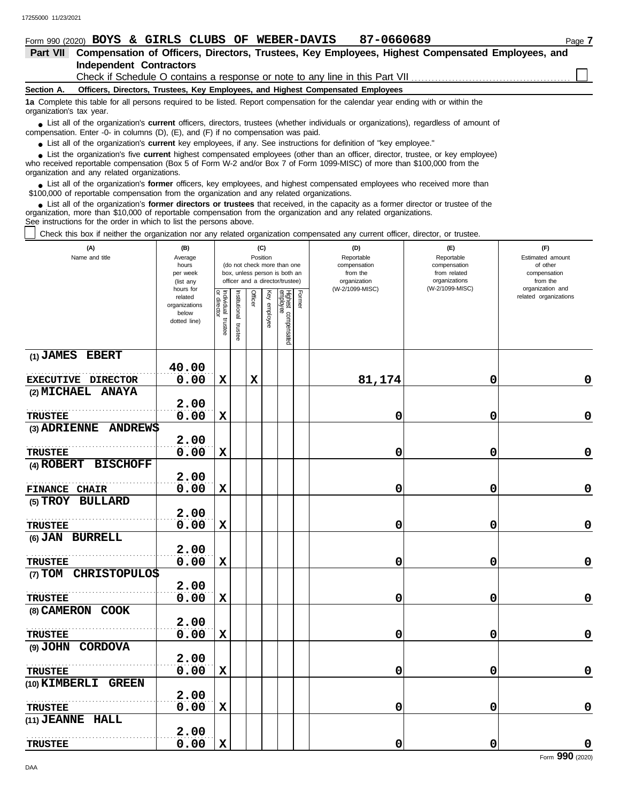| 87-0660689<br>Form 990 (2020) BOYS & GIRLS CLUBS OF WEBER-DAVIS                                                                                                                                                                                                                                          | Page 7 |
|----------------------------------------------------------------------------------------------------------------------------------------------------------------------------------------------------------------------------------------------------------------------------------------------------------|--------|
| Compensation of Officers, Directors, Trustees, Key Employees, Highest Compensated Employees, and<br><b>Part VII</b>                                                                                                                                                                                      |        |
| <b>Independent Contractors</b>                                                                                                                                                                                                                                                                           |        |
| Check if Schedule O contains a response or note to any line in this Part VII                                                                                                                                                                                                                             |        |
| Officers, Directors, Trustees, Key Employees, and Highest Compensated Employees<br>Section A.                                                                                                                                                                                                            |        |
| 1a Complete this table for all persons required to be listed. Report compensation for the calendar year ending with or within the<br>organization's tax year.                                                                                                                                            |        |
| • List all of the organization's <b>current</b> officers, directors, trustees (whether individuals or organizations), regardless of amount of<br>compensation. Enter -0- in columns $(D)$ , $(E)$ , and $(F)$ if no compensation was paid.                                                               |        |
| • List all of the organization's current key employees, if any. See instructions for definition of "key employee."                                                                                                                                                                                       |        |
| List the organization's five current highest compensated employees (other than an officer, director, trustee, or key employee)<br>who received reportable compensation (Box 5 of Form W-2 and/or Box 7 of Form 1099-MISC) of more than \$100,000 from the<br>organization and any related organizations. |        |
| <b>List all of the organization's former officers, key employees, and highest compensated employees who received more than</b>                                                                                                                                                                           |        |

• List all of the organization's **former** officers, key employees, and highest compensate \$100,000 of reportable compensation from the organization and any related organizations.

List all of the organization's **former directors or trustees** that received, in the capacity as a former director or trustee of the organization, more than \$10,000 of reportable compensation from the organization and any related organizations. See instructions for the order in which to list the persons above. **•**

Check this box if neither the organization nor any related organization compensated any current officer, director, or trustee.

| (A)<br>Name and title              | (B)<br>Average<br>hours<br>per week<br>(list any<br>hours for | (C)<br>Position<br>(do not check more than one<br>box, unless person is both an<br>officer and a director/trustee) |                          |             |              |                                 |        | (D)<br>Reportable<br>compensation<br>from the<br>organization<br>(W-2/1099-MISC) | (E)<br>Reportable<br>compensation<br>from related<br>organizations<br>(W-2/1099-MISC) | (F)<br>Estimated amount<br>of other<br>compensation<br>from the<br>organization and |  |
|------------------------------------|---------------------------------------------------------------|--------------------------------------------------------------------------------------------------------------------|--------------------------|-------------|--------------|---------------------------------|--------|----------------------------------------------------------------------------------|---------------------------------------------------------------------------------------|-------------------------------------------------------------------------------------|--|
|                                    | related<br>organizations<br>below<br>dotted line)             | Individual<br>or director<br>trustee                                                                               | Institutional<br>trustee | Officer     | Key employee | Highest compensated<br>employee | Former |                                                                                  |                                                                                       | related organizations                                                               |  |
| (1) JAMES EBERT                    | 40.00                                                         |                                                                                                                    |                          |             |              |                                 |        |                                                                                  |                                                                                       |                                                                                     |  |
| EXECUTIVE DIRECTOR                 | 0.00                                                          | $\mathbf x$                                                                                                        |                          | $\mathbf x$ |              |                                 |        | 81,174                                                                           | 0                                                                                     | $\mathbf 0$                                                                         |  |
| (2) MICHAEL ANAYA                  |                                                               |                                                                                                                    |                          |             |              |                                 |        |                                                                                  |                                                                                       |                                                                                     |  |
|                                    | 2.00                                                          |                                                                                                                    |                          |             |              |                                 |        |                                                                                  |                                                                                       |                                                                                     |  |
| <b>TRUSTEE</b>                     | 0.00                                                          | $\mathbf x$                                                                                                        |                          |             |              |                                 |        | 0                                                                                | 0                                                                                     | 0                                                                                   |  |
| <b>ANDREWS</b><br>(3) ADRIENNE     |                                                               |                                                                                                                    |                          |             |              |                                 |        |                                                                                  |                                                                                       |                                                                                     |  |
|                                    | 2.00                                                          |                                                                                                                    |                          |             |              |                                 |        |                                                                                  |                                                                                       |                                                                                     |  |
| <b>TRUSTEE</b>                     | 0.00                                                          | $\mathbf x$                                                                                                        |                          |             |              |                                 |        | 0                                                                                | 0                                                                                     | $\mathbf 0$                                                                         |  |
| (4) ROBERT BISCHOFF                |                                                               |                                                                                                                    |                          |             |              |                                 |        |                                                                                  |                                                                                       |                                                                                     |  |
|                                    | 2.00                                                          |                                                                                                                    |                          |             |              |                                 |        |                                                                                  |                                                                                       |                                                                                     |  |
| <b>CHAIR</b><br><b>FINANCE</b>     | 0.00                                                          | $\mathbf x$                                                                                                        |                          |             |              |                                 |        | 0                                                                                | 0                                                                                     | $\mathbf 0$                                                                         |  |
| (5) TROY BULLARD                   |                                                               |                                                                                                                    |                          |             |              |                                 |        |                                                                                  |                                                                                       |                                                                                     |  |
|                                    | 2.00                                                          |                                                                                                                    |                          |             |              |                                 |        |                                                                                  |                                                                                       |                                                                                     |  |
| <b>TRUSTEE</b>                     | 0.00                                                          | $\mathbf x$                                                                                                        |                          |             |              |                                 |        | 0                                                                                | 0                                                                                     | 0                                                                                   |  |
| (6) JAN BURRELL                    |                                                               |                                                                                                                    |                          |             |              |                                 |        |                                                                                  |                                                                                       |                                                                                     |  |
|                                    | 2.00                                                          |                                                                                                                    |                          |             |              |                                 |        |                                                                                  |                                                                                       |                                                                                     |  |
| <b>TRUSTEE</b>                     | 0.00                                                          | $\mathbf x$                                                                                                        |                          |             |              |                                 |        | 0                                                                                | 0                                                                                     | $\mathbf 0$                                                                         |  |
| (7) TOM CHRISTOPULOS               |                                                               |                                                                                                                    |                          |             |              |                                 |        |                                                                                  |                                                                                       |                                                                                     |  |
|                                    | 2.00                                                          |                                                                                                                    |                          |             |              |                                 |        |                                                                                  |                                                                                       |                                                                                     |  |
| <b>TRUSTEE</b>                     | 0.00                                                          | $\mathbf x$                                                                                                        |                          |             |              |                                 |        | 0                                                                                | 0                                                                                     | $\mathbf 0$                                                                         |  |
| (8) CAMERON COOK                   |                                                               |                                                                                                                    |                          |             |              |                                 |        |                                                                                  |                                                                                       |                                                                                     |  |
|                                    | 2.00                                                          |                                                                                                                    |                          |             |              |                                 |        |                                                                                  |                                                                                       | $\mathbf 0$                                                                         |  |
| <b>TRUSTEE</b><br>(9) JOHN CORDOVA | 0.00                                                          | $\mathbf x$                                                                                                        |                          |             |              |                                 |        | 0                                                                                | 0                                                                                     |                                                                                     |  |
|                                    | 2.00                                                          |                                                                                                                    |                          |             |              |                                 |        |                                                                                  |                                                                                       |                                                                                     |  |
| <b>TRUSTEE</b>                     | 0.00                                                          | X                                                                                                                  |                          |             |              |                                 |        | 0                                                                                | 0                                                                                     | 0                                                                                   |  |
| (10) KIMBERLI GREEN                |                                                               |                                                                                                                    |                          |             |              |                                 |        |                                                                                  |                                                                                       |                                                                                     |  |
|                                    | 2.00                                                          |                                                                                                                    |                          |             |              |                                 |        |                                                                                  |                                                                                       |                                                                                     |  |
| <b>TRUSTEE</b>                     | 0.00                                                          | $\mathbf x$                                                                                                        |                          |             |              |                                 |        | 0                                                                                | 0                                                                                     | 0                                                                                   |  |
| (11) JEANNE HALL                   |                                                               |                                                                                                                    |                          |             |              |                                 |        |                                                                                  |                                                                                       |                                                                                     |  |
|                                    | 2.00                                                          |                                                                                                                    |                          |             |              |                                 |        |                                                                                  |                                                                                       |                                                                                     |  |
| <b>TRUSTEE</b>                     | 0.00                                                          | $\mathbf x$                                                                                                        |                          |             |              |                                 |        | 0                                                                                | 0                                                                                     | 0                                                                                   |  |
|                                    |                                                               |                                                                                                                    |                          |             |              |                                 |        |                                                                                  |                                                                                       |                                                                                     |  |

Form **990** (2020)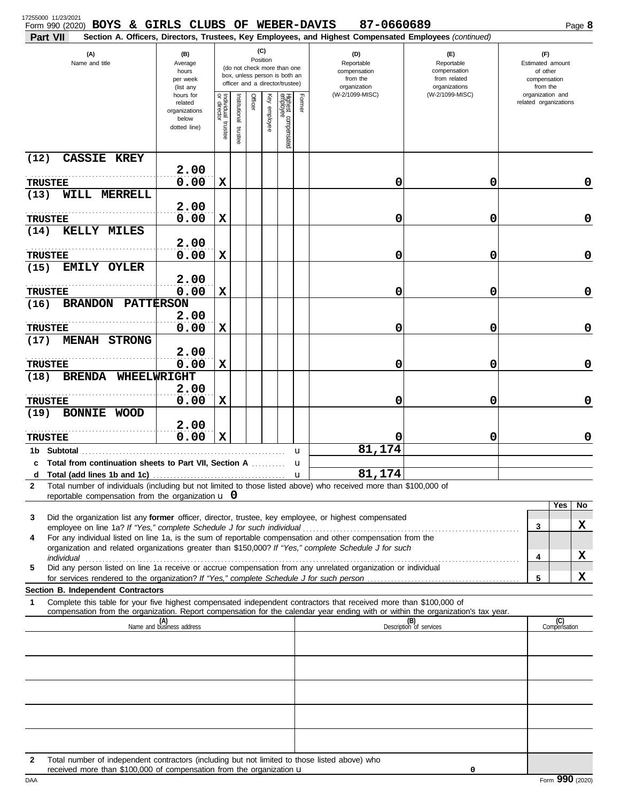| 17255000 11/23/2021<br>Form 990 (2020) BOYS & GIRLS CLUBS OF WEBER-DAVIS<br>Part VII                                                                                                                                                                                                                                                                      |                                                                |                                      |                                                                                                                    |         |              |                                 |                                                               | 87-0660689<br>Section A. Officers, Directors, Trustees, Key Employees, and Highest Compensated Employees (continued) |                                                                    |  |                                                                 | Page 8              |
|-----------------------------------------------------------------------------------------------------------------------------------------------------------------------------------------------------------------------------------------------------------------------------------------------------------------------------------------------------------|----------------------------------------------------------------|--------------------------------------|--------------------------------------------------------------------------------------------------------------------|---------|--------------|---------------------------------|---------------------------------------------------------------|----------------------------------------------------------------------------------------------------------------------|--------------------------------------------------------------------|--|-----------------------------------------------------------------|---------------------|
| (A)<br>Name and title                                                                                                                                                                                                                                                                                                                                     | (B)<br>Average<br>hours<br>per week<br>(list any               |                                      | (C)<br>Position<br>(do not check more than one<br>box, unless person is both an<br>officer and a director/trustee) |         |              |                                 | (D)<br>Reportable<br>compensation<br>from the<br>organization |                                                                                                                      | (E)<br>Reportable<br>compensation<br>from related<br>organizations |  | (F)<br>Estimated amount<br>of other<br>compensation<br>from the |                     |
|                                                                                                                                                                                                                                                                                                                                                           | hours for<br>related<br>organizations<br>below<br>dotted line) | Individual<br>or director<br>trustee | Institutional trustee                                                                                              | Officer | Key employee | Highest compensated<br>employee | Former                                                        | (W-2/1099-MISC)                                                                                                      | (W-2/1099-MISC)                                                    |  | organization and<br>related organizations                       |                     |
| <b>CASSIE KREY</b><br>(12)                                                                                                                                                                                                                                                                                                                                |                                                                |                                      |                                                                                                                    |         |              |                                 |                                                               |                                                                                                                      |                                                                    |  |                                                                 |                     |
| <b>TRUSTEE</b>                                                                                                                                                                                                                                                                                                                                            | 2.00<br>0.00                                                   | $\mathbf x$                          |                                                                                                                    |         |              |                                 |                                                               | 0                                                                                                                    | 0                                                                  |  |                                                                 | 0                   |
| (13)<br>WILL MERRELL                                                                                                                                                                                                                                                                                                                                      |                                                                |                                      |                                                                                                                    |         |              |                                 |                                                               |                                                                                                                      |                                                                    |  |                                                                 |                     |
|                                                                                                                                                                                                                                                                                                                                                           | 2.00                                                           |                                      |                                                                                                                    |         |              |                                 |                                                               |                                                                                                                      |                                                                    |  |                                                                 |                     |
| <b>TRUSTEE</b><br>(14)<br><b>KELLY MILES</b>                                                                                                                                                                                                                                                                                                              | 0.00                                                           | $\mathbf x$                          |                                                                                                                    |         |              |                                 |                                                               | 0                                                                                                                    | 0                                                                  |  |                                                                 | 0                   |
|                                                                                                                                                                                                                                                                                                                                                           | 2.00                                                           |                                      |                                                                                                                    |         |              |                                 |                                                               |                                                                                                                      |                                                                    |  |                                                                 |                     |
| <b>TRUSTEE</b>                                                                                                                                                                                                                                                                                                                                            | 0.00                                                           | $\mathbf x$                          |                                                                                                                    |         |              |                                 |                                                               | 0                                                                                                                    | 0                                                                  |  |                                                                 | 0                   |
| (15)<br>EMILY OYLER                                                                                                                                                                                                                                                                                                                                       | 2.00                                                           |                                      |                                                                                                                    |         |              |                                 |                                                               |                                                                                                                      |                                                                    |  |                                                                 |                     |
| <b>TRUSTEE</b>                                                                                                                                                                                                                                                                                                                                            | 0.00                                                           | $\mathbf x$                          |                                                                                                                    |         |              |                                 |                                                               | 0                                                                                                                    | 0                                                                  |  |                                                                 | 0                   |
| <b>PATTERSON</b><br>(16)<br><b>BRANDON</b>                                                                                                                                                                                                                                                                                                                |                                                                |                                      |                                                                                                                    |         |              |                                 |                                                               |                                                                                                                      |                                                                    |  |                                                                 |                     |
| <b>TRUSTEE</b>                                                                                                                                                                                                                                                                                                                                            | 2.00<br>0.00                                                   | X                                    |                                                                                                                    |         |              |                                 |                                                               | 0                                                                                                                    | 0                                                                  |  |                                                                 | 0                   |
| <b>MENAH STRONG</b><br>(17)                                                                                                                                                                                                                                                                                                                               |                                                                |                                      |                                                                                                                    |         |              |                                 |                                                               |                                                                                                                      |                                                                    |  |                                                                 |                     |
|                                                                                                                                                                                                                                                                                                                                                           | 2.00                                                           |                                      |                                                                                                                    |         |              |                                 |                                                               |                                                                                                                      |                                                                    |  |                                                                 |                     |
| <b>TRUSTEE</b><br><b>BRENDA</b><br>WHEELWRIGHT<br>(18)                                                                                                                                                                                                                                                                                                    | 0.00                                                           | $\mathbf x$                          |                                                                                                                    |         |              |                                 |                                                               | 0                                                                                                                    | 0                                                                  |  |                                                                 | 0                   |
|                                                                                                                                                                                                                                                                                                                                                           | 2.00                                                           |                                      |                                                                                                                    |         |              |                                 |                                                               |                                                                                                                      |                                                                    |  |                                                                 |                     |
| <b>TRUSTEE</b>                                                                                                                                                                                                                                                                                                                                            | 0.00                                                           | X                                    |                                                                                                                    |         |              |                                 |                                                               | 0                                                                                                                    | 0                                                                  |  |                                                                 | 0                   |
| (19)<br>BONNIE WOOD                                                                                                                                                                                                                                                                                                                                       | 2.00                                                           |                                      |                                                                                                                    |         |              |                                 |                                                               |                                                                                                                      |                                                                    |  |                                                                 |                     |
| <b>TRUSTEE</b>                                                                                                                                                                                                                                                                                                                                            | 0.00                                                           | $\mathbf x$                          |                                                                                                                    |         |              |                                 |                                                               | 0                                                                                                                    | 0                                                                  |  |                                                                 | 0                   |
| 1b Subtotal                                                                                                                                                                                                                                                                                                                                               |                                                                |                                      |                                                                                                                    |         |              |                                 | u                                                             | 81,174                                                                                                               |                                                                    |  |                                                                 |                     |
| c Total from continuation sheets to Part VII, Section A                                                                                                                                                                                                                                                                                                   |                                                                |                                      |                                                                                                                    |         |              |                                 | u                                                             | 81,174                                                                                                               |                                                                    |  |                                                                 |                     |
| d<br>Total number of individuals (including but not limited to those listed above) who received more than \$100,000 of<br>$\mathbf{2}$                                                                                                                                                                                                                    |                                                                |                                      |                                                                                                                    |         |              |                                 | $\mathbf{u}$                                                  |                                                                                                                      |                                                                    |  |                                                                 |                     |
| reportable compensation from the organization $\mathbf u$ 0                                                                                                                                                                                                                                                                                               |                                                                |                                      |                                                                                                                    |         |              |                                 |                                                               |                                                                                                                      |                                                                    |  |                                                                 |                     |
| Did the organization list any former officer, director, trustee, key employee, or highest compensated<br>3                                                                                                                                                                                                                                                |                                                                |                                      |                                                                                                                    |         |              |                                 |                                                               |                                                                                                                      |                                                                    |  |                                                                 | Yes<br>No           |
|                                                                                                                                                                                                                                                                                                                                                           |                                                                |                                      |                                                                                                                    |         |              |                                 |                                                               |                                                                                                                      |                                                                    |  | 3                                                               | X                   |
| For any individual listed on line 1a, is the sum of reportable compensation and other compensation from the<br>4<br>organization and related organizations greater than \$150,000? If "Yes," complete Schedule J for such                                                                                                                                 |                                                                |                                      |                                                                                                                    |         |              |                                 |                                                               |                                                                                                                      |                                                                    |  |                                                                 |                     |
| individual <b>construction in the construction of the construction of the construction of the construction</b> of the construction of the construction of the construction of the construction of the construction of the construct<br>Did any person listed on line 1a receive or accrue compensation from any unrelated organization or individual<br>5 |                                                                |                                      |                                                                                                                    |         |              |                                 |                                                               |                                                                                                                      |                                                                    |  | 4                                                               | X                   |
|                                                                                                                                                                                                                                                                                                                                                           |                                                                |                                      |                                                                                                                    |         |              |                                 |                                                               |                                                                                                                      |                                                                    |  | 5                                                               | X                   |
| Section B. Independent Contractors                                                                                                                                                                                                                                                                                                                        |                                                                |                                      |                                                                                                                    |         |              |                                 |                                                               |                                                                                                                      |                                                                    |  |                                                                 |                     |
| Complete this table for your five highest compensated independent contractors that received more than \$100,000 of<br>1<br>compensation from the organization. Report compensation for the calendar year ending with or within the organization's tax year.                                                                                               |                                                                |                                      |                                                                                                                    |         |              |                                 |                                                               |                                                                                                                      |                                                                    |  |                                                                 |                     |
|                                                                                                                                                                                                                                                                                                                                                           | (A)<br>Name and business address                               |                                      |                                                                                                                    |         |              |                                 |                                                               |                                                                                                                      | (B)<br>Description of services                                     |  |                                                                 | (C)<br>Compensation |
|                                                                                                                                                                                                                                                                                                                                                           |                                                                |                                      |                                                                                                                    |         |              |                                 |                                                               |                                                                                                                      |                                                                    |  |                                                                 |                     |
|                                                                                                                                                                                                                                                                                                                                                           |                                                                |                                      |                                                                                                                    |         |              |                                 |                                                               |                                                                                                                      |                                                                    |  |                                                                 |                     |
|                                                                                                                                                                                                                                                                                                                                                           |                                                                |                                      |                                                                                                                    |         |              |                                 |                                                               |                                                                                                                      |                                                                    |  |                                                                 |                     |
|                                                                                                                                                                                                                                                                                                                                                           |                                                                |                                      |                                                                                                                    |         |              |                                 |                                                               |                                                                                                                      |                                                                    |  |                                                                 |                     |
|                                                                                                                                                                                                                                                                                                                                                           |                                                                |                                      |                                                                                                                    |         |              |                                 |                                                               |                                                                                                                      |                                                                    |  |                                                                 |                     |
|                                                                                                                                                                                                                                                                                                                                                           |                                                                |                                      |                                                                                                                    |         |              |                                 |                                                               |                                                                                                                      |                                                                    |  |                                                                 |                     |
|                                                                                                                                                                                                                                                                                                                                                           |                                                                |                                      |                                                                                                                    |         |              |                                 |                                                               |                                                                                                                      |                                                                    |  |                                                                 |                     |
|                                                                                                                                                                                                                                                                                                                                                           |                                                                |                                      |                                                                                                                    |         |              |                                 |                                                               |                                                                                                                      |                                                                    |  |                                                                 |                     |
| Total number of independent contractors (including but not limited to those listed above) who<br>2<br>received more than \$100,000 of compensation from the organization $\mathbf u$                                                                                                                                                                      |                                                                |                                      |                                                                                                                    |         |              |                                 |                                                               |                                                                                                                      | 0                                                                  |  |                                                                 |                     |

DAA Form **990** (2020)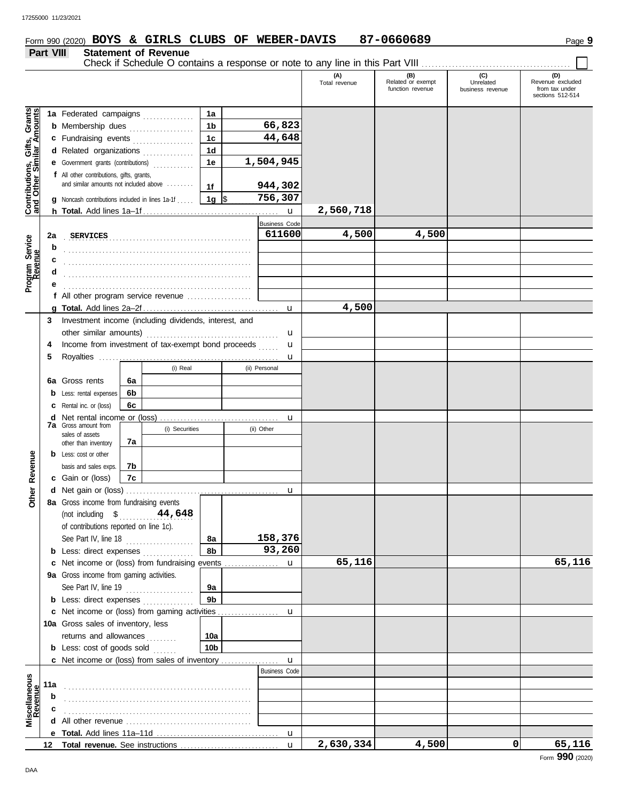# Form 990 (2020) Page **9 BOYS & GIRLS CLUBS OF WEBER-DAVIS 87-0660689**

#### **Part VIII Statement of Revenue** Check if Schedule O contains a response or note to any line in this Part VIII. **(A) (B) (C) (D)** Total revenue Related or exempt Unrelated Revenue excluded function revenue business revenue from tax under sections 512-514 Grants<br> **Amounts Contributions, Gifts, Grants and Other Similar Amounts 1a** Federated campaigns **. . . . . . . . . . . . 1a 66,823 1b b** Membership dues . . . . . . . . . . . . . . . . **44,648 1c** Gifts,<br>nilar Ar **c** Fundraising events . . . . . . . . . . . . . . . . **1d d** Related organizations ................ **1,504,945 1e** Contributions,<br>and Other Sim **e** Government grants (contributions) . . . . . . . . . . . . **f** All other contributions, gifts, grants, and similar amounts not included above ........ **944,302 1f 1g** \$ . . . . . . . . . . . . . . . . . . . . . **756,307 g** Noncash contributions included in lines 1a-1f . . . . . **2,560,718** u **h Total.** Add lines 1a–1f . . . . . . . . . . . . . . . . . . . . . . . . . . . . . . . . . . . . . . . . Business Code **2a SERVICES 611600 4,500 4,500** Program Service<br>Revenue . . . . . . . . . . . . . . . . . . . . . . . . . . . . . . . . . . . . . . . . . . . . . . . . . . . . . . . **Program Service b c** . . . . . . . . . . . . . . . . . . . . . . . . . . . . . . . . . . . . . . . . . . . . . . . . . . . . . . . **d** . . . . . . . . . . . . . . . . . . . . . . . . . . . . . . . . . . . . . . . . . . . . . . . . . . . . . . . **e** . . . . . . . . . . . . . . . . . . . . . . . . . . . . . . . . . . . . . . . . . . . . . . . . . . . . . . . **f** All other program service revenue . . . . . . . . . . . . . . . . . . . **4,500 g Total.** Add lines 2a–2f . . . . . . . . . . . . . . . . . . . . . . . . . . . . . . . . . . . . . . . . u **3** Investment income (including dividends, interest, and other similar amounts) . . . . . . . . . . . . . . . . . . . . . . . . . . . . . . . . . . . . . . . u u **4** Income from investment of tax-exempt bond proceeds ...... **5** Royalties . . . . . . . . . . . . . . . . . . . . . . . . . . . . . . . . . . . . . . . . . . . . . . . . . . . . . u (i) Real (ii) Personal **6a 6a** Gross rents **6b b** Less: rental expenses **6c c** Rental inc. or (loss) **d** Net rental income or (loss) . . . . . . . . . . . . . . . . . . . . . . . . . . . . . . . . . . . u **7a** Gross amount from (i) Securities (ii) Other sales of assets **7a** other than inventory Revenue **b** Less: cost or other **Other Revenue** basis and sales exps. **7b 7c c** Gain or (loss) Other I **d** u Net gain or (loss) . . . . . . . . . . . . . . . . . . . . . . . . . . . . . . . . . . . . . . . . . . . . . **8a** Gross income from fundraising events (not including \$ . . . . . . . . . . . . . . . . . . . . . . **44,648** of contributions reported on line 1c). See Part IV, line 18 . . . . . . . . . . . . . . . . . . . . **8a 158,376 8b 93,260 b** Less: direct expenses ................ **65,116 65,116** u **c** Net income or (loss) from fundraising events ................ **9a** Gross income from gaming activities. See Part IV, line 19 . . . . . . . . . . . . . . . . . . . . **9a 9b b** Less: direct expenses ............... u Net income or (loss) from gaming activities . . . . . . . . . . . . . . . . . . **c** 10a Gross sales of inventory, less returns and allowances . . . . . . . . **10a 10b b** Less: cost of goods sold ...... **c** Net income or (loss) from sales of inventory ................ u Business Code **Scellaneous**<br>Revenue **Miscellaneous 11a** . . . . . . . . . . . . . . . . . . . . . . . . . . . . . . . . . . . . . . . . . . . . . . . . . . . . . . . **b** . . . . . . . . . . . . . . . . . . . . . . . . . . . . . . . . . . . . . . . . . . . . . . . . . . . . . . . **c d** All other revenue . . . . . . . . . . . . . . . . . . . . . . . . . . . . . . . . . . . . . **Total.** Add lines 11a-11d u **e 2,630,334 4,500 0 65,116** Total revenue. See instructions **12** u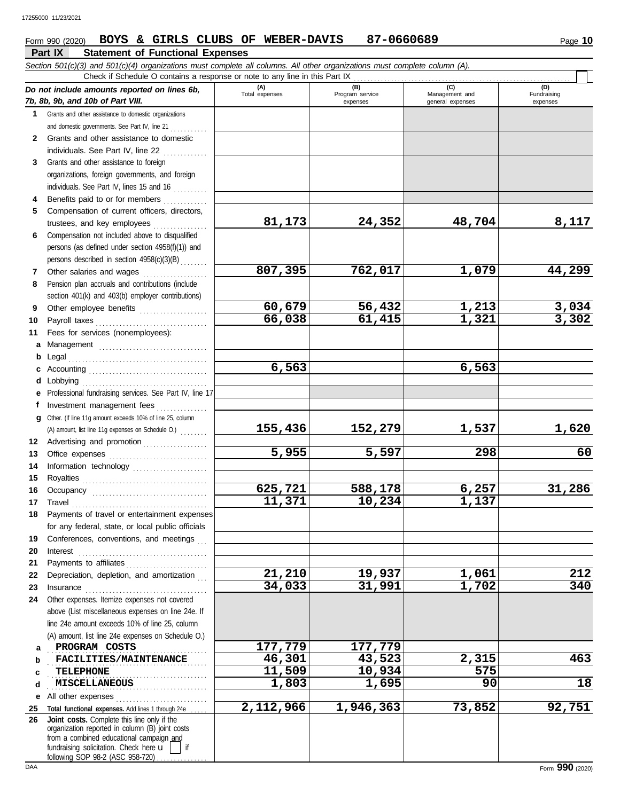#### **Part IX Statement of Functional Expenses** Form 990 (2020) Page **10 BOYS & GIRLS CLUBS OF WEBER-DAVIS 87-0660689**

|              | Section 501(c)(3) and 501(c)(4) organizations must complete all columns. All other organizations must complete column (A).<br>Check if Schedule O contains a response or note to any line in this Part IX                                                                                                                                                                                                                                                                                                                   |                       |                        |                                    |                       |
|--------------|-----------------------------------------------------------------------------------------------------------------------------------------------------------------------------------------------------------------------------------------------------------------------------------------------------------------------------------------------------------------------------------------------------------------------------------------------------------------------------------------------------------------------------|-----------------------|------------------------|------------------------------------|-----------------------|
|              | Do not include amounts reported on lines 6b,                                                                                                                                                                                                                                                                                                                                                                                                                                                                                | (A)<br>Total expenses | (B)<br>Program service | (C)                                | (D)<br>Fundraising    |
|              | 7b, 8b, 9b, and 10b of Part VIII.                                                                                                                                                                                                                                                                                                                                                                                                                                                                                           |                       | expenses               | Management and<br>general expenses | expenses              |
|              | 1 Grants and other assistance to domestic organizations                                                                                                                                                                                                                                                                                                                                                                                                                                                                     |                       |                        |                                    |                       |
|              | and domestic governments. See Part IV, line 21                                                                                                                                                                                                                                                                                                                                                                                                                                                                              |                       |                        |                                    |                       |
| $\mathbf{2}$ | Grants and other assistance to domestic                                                                                                                                                                                                                                                                                                                                                                                                                                                                                     |                       |                        |                                    |                       |
|              | individuals. See Part IV, line 22                                                                                                                                                                                                                                                                                                                                                                                                                                                                                           |                       |                        |                                    |                       |
| 3            | Grants and other assistance to foreign                                                                                                                                                                                                                                                                                                                                                                                                                                                                                      |                       |                        |                                    |                       |
|              | organizations, foreign governments, and foreign                                                                                                                                                                                                                                                                                                                                                                                                                                                                             |                       |                        |                                    |                       |
|              | individuals. See Part IV, lines 15 and 16                                                                                                                                                                                                                                                                                                                                                                                                                                                                                   |                       |                        |                                    |                       |
| 4            | Benefits paid to or for members                                                                                                                                                                                                                                                                                                                                                                                                                                                                                             |                       |                        |                                    |                       |
| 5            | Compensation of current officers, directors,                                                                                                                                                                                                                                                                                                                                                                                                                                                                                |                       |                        |                                    |                       |
|              |                                                                                                                                                                                                                                                                                                                                                                                                                                                                                                                             | 81,173                | 24,352                 | 48,704                             | 8,117                 |
| 6            | Compensation not included above to disqualified                                                                                                                                                                                                                                                                                                                                                                                                                                                                             |                       |                        |                                    |                       |
|              | persons (as defined under section 4958(f)(1)) and                                                                                                                                                                                                                                                                                                                                                                                                                                                                           |                       |                        |                                    |                       |
|              | persons described in section 4958(c)(3)(B)                                                                                                                                                                                                                                                                                                                                                                                                                                                                                  | 807,395               | 762,017                | 1,079                              | 44,299                |
| 7            | Other salaries and wages<br>Pension plan accruals and contributions (include                                                                                                                                                                                                                                                                                                                                                                                                                                                |                       |                        |                                    |                       |
| 8            |                                                                                                                                                                                                                                                                                                                                                                                                                                                                                                                             |                       |                        |                                    |                       |
| 9            | section 401(k) and 403(b) employer contributions)<br>Other employee benefits                                                                                                                                                                                                                                                                                                                                                                                                                                                | 60,679                | 56,432                 | 1,213                              |                       |
| 10           |                                                                                                                                                                                                                                                                                                                                                                                                                                                                                                                             | 66,038                | 61,415                 | 1,321                              | $\frac{3,034}{3,302}$ |
| 11           | Fees for services (nonemployees):                                                                                                                                                                                                                                                                                                                                                                                                                                                                                           |                       |                        |                                    |                       |
|              | a Management                                                                                                                                                                                                                                                                                                                                                                                                                                                                                                                |                       |                        |                                    |                       |
| b            |                                                                                                                                                                                                                                                                                                                                                                                                                                                                                                                             |                       |                        |                                    |                       |
|              |                                                                                                                                                                                                                                                                                                                                                                                                                                                                                                                             | 6,563                 |                        | 6,563                              |                       |
| d            |                                                                                                                                                                                                                                                                                                                                                                                                                                                                                                                             |                       |                        |                                    |                       |
|              | e Professional fundraising services. See Part IV, line 17                                                                                                                                                                                                                                                                                                                                                                                                                                                                   |                       |                        |                                    |                       |
|              | Investment management fees                                                                                                                                                                                                                                                                                                                                                                                                                                                                                                  |                       |                        |                                    |                       |
| g            | Other. (If line 11g amount exceeds 10% of line 25, column                                                                                                                                                                                                                                                                                                                                                                                                                                                                   |                       |                        |                                    |                       |
|              | (A) amount, list line 11g expenses on Schedule O.)                                                                                                                                                                                                                                                                                                                                                                                                                                                                          | 155,436               | 152,279                | 1,537                              | <u>1,620</u>          |
| 12           | Advertising and promotion                                                                                                                                                                                                                                                                                                                                                                                                                                                                                                   |                       |                        |                                    |                       |
| 13           |                                                                                                                                                                                                                                                                                                                                                                                                                                                                                                                             | 5,955                 | 5,597                  | 298                                | 60                    |
| 14           | Information technology                                                                                                                                                                                                                                                                                                                                                                                                                                                                                                      |                       |                        |                                    |                       |
| 15           |                                                                                                                                                                                                                                                                                                                                                                                                                                                                                                                             |                       |                        |                                    |                       |
| 16           |                                                                                                                                                                                                                                                                                                                                                                                                                                                                                                                             | 625,721               | 588,178                | 6,257                              | 31,286                |
| 17           | $\begin{minipage}[c]{0.9\linewidth} \begin{tabular}{l} \textbf{True} \end{tabular} \end{minipage} \begin{minipage}[c]{0.9\linewidth} \begin{tabular}{l} \textbf{True} \end{tabular} \end{minipage} \end{minipage} \begin{minipage}[c]{0.9\linewidth} \begin{tabular}{l} \textbf{True} \end{tabular} \end{minipage} \end{minipage} \begin{minipage}[c]{0.9\linewidth} \begin{tabular}{l} \textbf{True} \end{tabular} \end{minipage} \end{minipage} \begin{minipage}[c]{0.9\linewidth} \begin{tabular}{l} \textbf{True} \end$ | 11, 371               | 10,234                 | 1,137                              |                       |
| 18           | Payments of travel or entertainment expenses                                                                                                                                                                                                                                                                                                                                                                                                                                                                                |                       |                        |                                    |                       |
|              | for any federal, state, or local public officials                                                                                                                                                                                                                                                                                                                                                                                                                                                                           |                       |                        |                                    |                       |
| 19           | Conferences, conventions, and meetings                                                                                                                                                                                                                                                                                                                                                                                                                                                                                      |                       |                        |                                    |                       |
| 20           | Interest                                                                                                                                                                                                                                                                                                                                                                                                                                                                                                                    |                       |                        |                                    |                       |
| 21<br>22     | Depreciation, depletion, and amortization                                                                                                                                                                                                                                                                                                                                                                                                                                                                                   | 21,210                | 19,937                 | 1,061                              | 212                   |
| 23           |                                                                                                                                                                                                                                                                                                                                                                                                                                                                                                                             | 34,033                | 31,991                 | 1,702                              | 340                   |
| 24           | $In \textbf{surance} \begin{tabular}{@{}l@{}} \hline \textbf{} & \textbf{} & \textbf{} & \textbf{} & \textbf{} \\ \hline \textbf{} & \textbf{} & \textbf{} & \textbf{} & \textbf{} \\ \hline \textbf{} & \textbf{} & \textbf{} & \textbf{} & \textbf{} \\ \hline \textbf{} & \textbf{} & \textbf{} & \textbf{} & \textbf{} \\ \hline \textbf{} & \textbf{} & \textbf{} & \textbf{} & \textbf{} & \textbf{} \\ \hline$<br>Other expenses. Itemize expenses not covered                                                       |                       |                        |                                    |                       |
|              | above (List miscellaneous expenses on line 24e. If                                                                                                                                                                                                                                                                                                                                                                                                                                                                          |                       |                        |                                    |                       |
|              | line 24e amount exceeds 10% of line 25, column                                                                                                                                                                                                                                                                                                                                                                                                                                                                              |                       |                        |                                    |                       |
|              | (A) amount, list line 24e expenses on Schedule O.)                                                                                                                                                                                                                                                                                                                                                                                                                                                                          |                       |                        |                                    |                       |
| a            | PROGRAM COSTS                                                                                                                                                                                                                                                                                                                                                                                                                                                                                                               | 177,779               | 177,779                |                                    |                       |
| b            | FACILITIES/MAINTENANCE                                                                                                                                                                                                                                                                                                                                                                                                                                                                                                      | 46,301                | 43,523                 | 2,315                              | 463                   |
| C            | <b>TELEPHONE</b>                                                                                                                                                                                                                                                                                                                                                                                                                                                                                                            | 11,509                | 10,934                 | 575                                |                       |
| d            | <b>MISCELLANEOUS</b>                                                                                                                                                                                                                                                                                                                                                                                                                                                                                                        | 1,803                 | 1,695                  | 90                                 | 18                    |
| е            | All other expenses                                                                                                                                                                                                                                                                                                                                                                                                                                                                                                          |                       |                        |                                    |                       |
| 25           | Total functional expenses. Add lines 1 through 24e.                                                                                                                                                                                                                                                                                                                                                                                                                                                                         | 2,112,966             | 1,946,363              | 73,852                             | 92,751                |
| 26           | Joint costs. Complete this line only if the<br>organization reported in column (B) joint costs<br>from a combined educational campaign and<br>fundraising solicitation. Check here $\mathbf u$<br>if<br>following SOP 98-2 (ASC 958-720)                                                                                                                                                                                                                                                                                    |                       |                        |                                    |                       |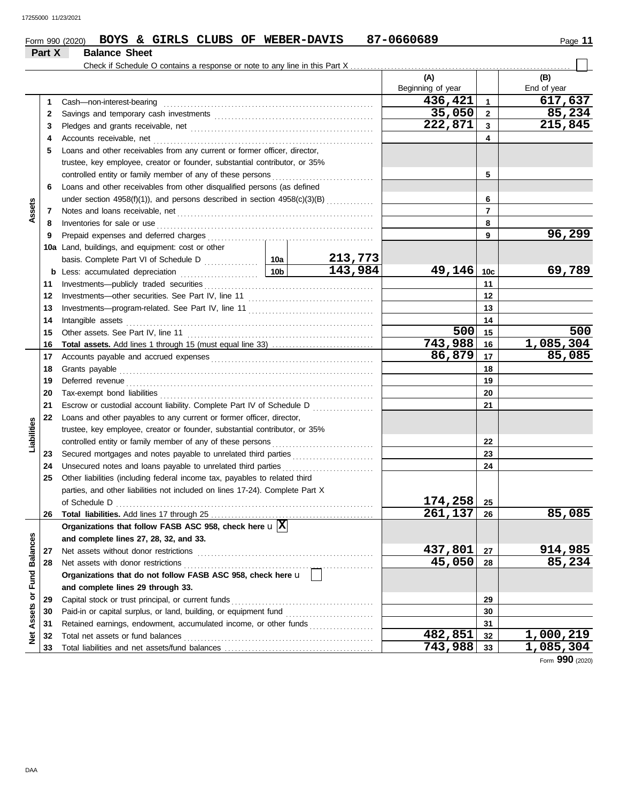|                         |        | BOYS & GIRLS CLUBS OF WEBER-DAVIS<br>Form 990 (2020)                               |                 |              | 87-0660689               |                         | Page 11            |
|-------------------------|--------|------------------------------------------------------------------------------------|-----------------|--------------|--------------------------|-------------------------|--------------------|
|                         | Part X | <b>Balance Sheet</b>                                                               |                 |              |                          |                         |                    |
|                         |        |                                                                                    |                 |              |                          |                         |                    |
|                         |        |                                                                                    |                 |              | (A)<br>Beginning of year |                         | (B)<br>End of year |
|                         | 1      | Cash-non-interest-bearing                                                          |                 |              | 436,421                  | $\overline{\mathbf{1}}$ | 617,637            |
|                         | 2      |                                                                                    |                 |              | 35,050                   | $\overline{\mathbf{2}}$ | 85,234             |
|                         | 3      |                                                                                    | 222,871         | $\mathbf{3}$ | 215,845                  |                         |                    |
|                         | 4      | Accounts receivable, net                                                           |                 |              |                          | 4                       |                    |
|                         | 5      | Loans and other receivables from any current or former officer, director,          |                 |              |                          |                         |                    |
|                         |        | trustee, key employee, creator or founder, substantial contributor, or 35%         |                 |              |                          |                         |                    |
|                         |        | controlled entity or family member of any of these persons                         |                 | 5            |                          |                         |                    |
|                         | 6      | Loans and other receivables from other disqualified persons (as defined            |                 |              |                          |                         |                    |
|                         |        | under section 4958(f)(1)), and persons described in section 4958(c)(3)(B)          |                 |              |                          | 6                       |                    |
| Assets                  | 7      |                                                                                    |                 |              |                          | $\overline{7}$          |                    |
|                         | 8      | Inventories for sale or use                                                        |                 |              |                          | 8                       |                    |
|                         | 9      | Prepaid expenses and deferred charges                                              |                 |              |                          | 9                       | 96,299             |
|                         |        | 10a Land, buildings, and equipment: cost or other                                  |                 |              |                          |                         |                    |
|                         |        |                                                                                    |                 | 213,773      |                          |                         |                    |
|                         | b      | Less: accumulated depreciation                                                     | 10 <sub>b</sub> | 143,984      | 49,146 10c               |                         | 69,789             |
|                         | 11     |                                                                                    |                 | 11           |                          |                         |                    |
|                         | 12     |                                                                                    |                 |              |                          | 12                      |                    |
|                         | 13     |                                                                                    |                 | 13           |                          |                         |                    |
|                         | 14     | Intangible assets                                                                  |                 |              |                          | 14                      |                    |
|                         | 15     | Other assets. See Part IV, line 11                                                 |                 |              | 500                      | 15                      | 500                |
|                         | 16     |                                                                                    |                 |              | 743,988                  | 16                      | 1,085,304          |
|                         | 17     |                                                                                    |                 |              | 86,879                   | 17                      | 85,085             |
|                         | 18     | Grants payable                                                                     |                 |              |                          | 18                      |                    |
|                         | 19     | Deferred revenue                                                                   |                 |              |                          | 19                      |                    |
|                         | 20     |                                                                                    |                 |              |                          | 20                      |                    |
|                         | 21     | Escrow or custodial account liability. Complete Part IV of Schedule D              |                 |              |                          | 21                      |                    |
|                         | 22     | Loans and other payables to any current or former officer, director,               |                 |              |                          |                         |                    |
| Liabilities             |        | trustee, key employee, creator or founder, substantial contributor, or 35%         |                 |              |                          |                         |                    |
|                         |        | controlled entity or family member of any of these persons                         |                 |              |                          | 22                      |                    |
|                         | 23     | Secured mortgages and notes payable to unrelated third parties                     |                 |              |                          | 23                      |                    |
|                         | 24     | Unsecured notes and loans payable to unrelated third parties                       |                 |              |                          | 24                      |                    |
|                         | 25     | Other liabilities (including federal income tax, payables to related third         |                 |              |                          |                         |                    |
|                         |        | parties, and other liabilities not included on lines 17-24). Complete Part X       |                 |              |                          |                         |                    |
|                         |        | of Schedule D                                                                      |                 |              | 174,258                  | 25                      |                    |
|                         | 26     |                                                                                    |                 |              | 261,137                  | 26                      | 85,085             |
|                         |        | Organizations that follow FASB ASC 958, check here $\mathbf{u} \boxed{\mathbf{X}}$ |                 |              |                          |                         |                    |
|                         |        | and complete lines 27, 28, 32, and 33.                                             |                 |              |                          |                         |                    |
|                         | 27     | Net assets without donor restrictions                                              |                 |              | 437,801<br>45,050        | 27                      | 914,985<br>85,234  |
|                         | 28     | Net assets with donor restrictions                                                 |                 |              |                          | 28                      |                    |
|                         |        | Organizations that do not follow FASB ASC 958, check here u                        |                 |              |                          |                         |                    |
| Assets or Fund Balances |        | and complete lines 29 through 33.                                                  |                 |              |                          |                         |                    |
|                         | 29     | Capital stock or trust principal, or current funds                                 |                 |              |                          | 29                      |                    |
|                         | 30     | Paid-in or capital surplus, or land, building, or equipment fund                   |                 |              |                          | 30                      |                    |
|                         | 31     | Retained earnings, endowment, accumulated income, or other funds                   |                 |              | 482,851                  | 31                      | 1,000,219          |
| <b>Net</b>              | 32     | Total net assets or fund balances                                                  |                 |              | 743,988                  | 32<br>33                | 1,085,304          |
|                         | 33     |                                                                                    |                 |              |                          |                         |                    |

Form **990** (2020)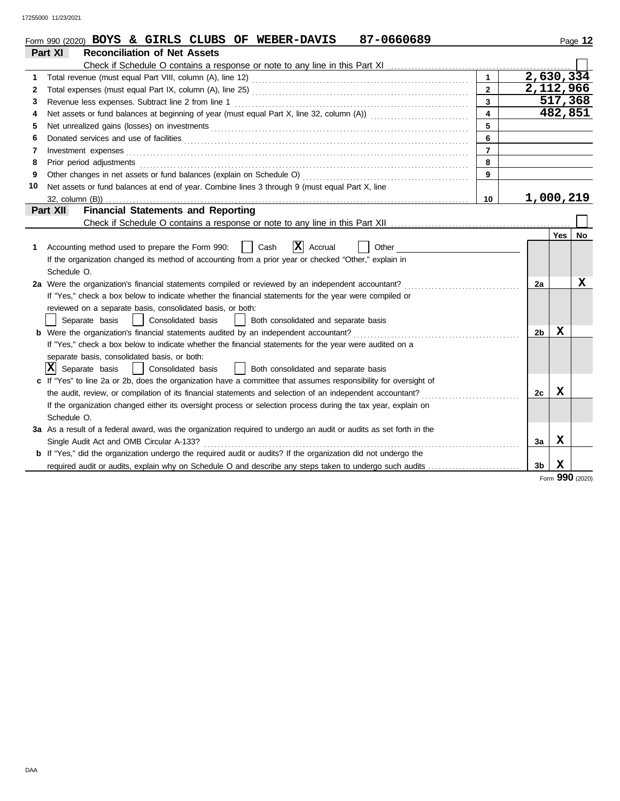17255000 11/23/2021

|    | 87-0660689<br>Form 990 (2020) BOYS & GIRLS CLUBS OF WEBER-DAVIS                                                              |                         |                        |         | Page 12   |
|----|------------------------------------------------------------------------------------------------------------------------------|-------------------------|------------------------|---------|-----------|
|    | Part XI<br><b>Reconciliation of Net Assets</b>                                                                               |                         |                        |         |           |
|    |                                                                                                                              |                         |                        |         |           |
| 1  |                                                                                                                              | $\mathbf{1}$            | $2,630,3\overline{34}$ |         |           |
| 2  |                                                                                                                              | $\overline{2}$          | 2,112,966              |         |           |
| 3  | Revenue less expenses. Subtract line 2 from line 1                                                                           | $\overline{3}$          |                        | 517,368 |           |
| 4  | Net assets or fund balances at beginning of year (must equal Part X, line 32, column (A)) contational contact                | $\overline{\mathbf{4}}$ |                        | 482,851 |           |
| 5  | Net unrealized gains (losses) on investments [11] results and the university of the unrealized gains (losses) on investments | 5                       |                        |         |           |
| 6  |                                                                                                                              | $6\phantom{a}$          |                        |         |           |
| 7  | Investment expenses <b>contract and the expenses</b>                                                                         | $\overline{7}$          |                        |         |           |
| 8  |                                                                                                                              | 8                       |                        |         |           |
| 9  |                                                                                                                              | 9                       |                        |         |           |
| 10 | Net assets or fund balances at end of year. Combine lines 3 through 9 (must equal Part X, line                               |                         |                        |         |           |
|    |                                                                                                                              | 10                      | 1,000,219              |         |           |
|    | <b>Financial Statements and Reporting</b><br>Part XII                                                                        |                         |                        |         |           |
|    |                                                                                                                              |                         |                        |         |           |
|    |                                                                                                                              |                         |                        | Yes     | <b>No</b> |
| 1  | $ \mathbf{X} $ Accrual<br>Cash<br>Accounting method used to prepare the Form 990:<br>Other                                   |                         |                        |         |           |
|    | If the organization changed its method of accounting from a prior year or checked "Other," explain in                        |                         |                        |         |           |
|    | Schedule O.                                                                                                                  |                         |                        |         |           |
|    | 2a Were the organization's financial statements compiled or reviewed by an independent accountant?                           |                         | 2a                     |         | x         |
|    | If "Yes," check a box below to indicate whether the financial statements for the year were compiled or                       |                         |                        |         |           |
|    | reviewed on a separate basis, consolidated basis, or both:                                                                   |                         |                        |         |           |
|    | Separate basis<br>Consolidated basis<br>Both consolidated and separate basis                                                 |                         |                        |         |           |
|    |                                                                                                                              |                         | 2b                     | X       |           |
|    | If "Yes," check a box below to indicate whether the financial statements for the year were audited on a                      |                         |                        |         |           |
|    | separate basis, consolidated basis, or both:                                                                                 |                         |                        |         |           |
|    | $ \mathbf{X} $ Separate basis<br>Consolidated basis<br>Both consolidated and separate basis                                  |                         |                        |         |           |
|    | c If "Yes" to line 2a or 2b, does the organization have a committee that assumes responsibility for oversight of             |                         |                        |         |           |
|    | the audit, review, or compilation of its financial statements and selection of an independent accountant?                    |                         | 2с                     | х       |           |
|    | If the organization changed either its oversight process or selection process during the tax year, explain on                |                         |                        |         |           |
|    | Schedule O.                                                                                                                  |                         |                        |         |           |
|    | 3a As a result of a federal award, was the organization required to undergo an audit or audits as set forth in the           |                         |                        |         |           |
|    | Single Audit Act and OMB Circular A-133?                                                                                     |                         | 3a                     | X       |           |
|    | <b>b</b> If "Yes," did the organization undergo the required audit or audits? If the organization did not undergo the        |                         |                        |         |           |
|    | required audit or audits, explain why on Schedule O and describe any steps taken to undergo such audits                      |                         | 3 <sub>b</sub>         | X       |           |
|    |                                                                                                                              |                         |                        | 000     |           |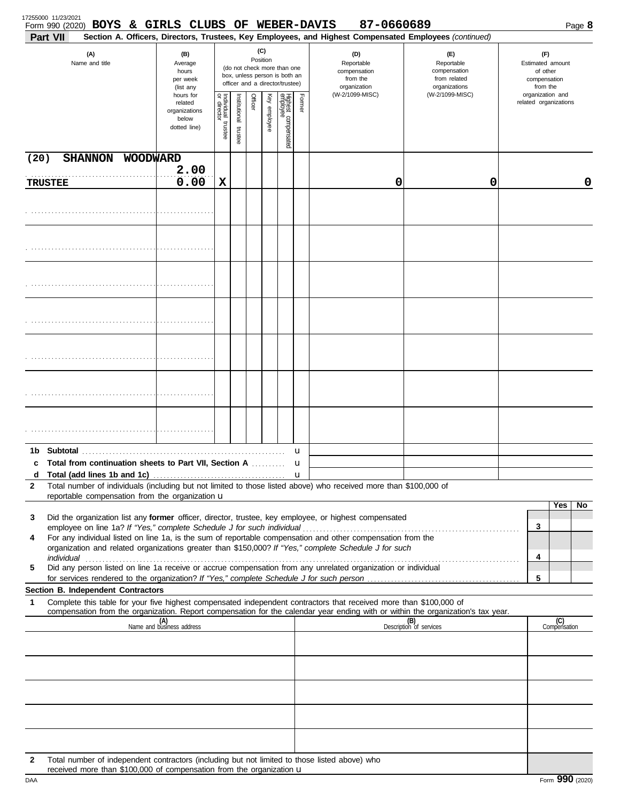| Part VII       | Form 990 (2020) BOYS & GIRLS CLUBS OF WEBER-DAVIS                                                                                                                                                                                                      |                                                               |                                                                                                                    |                      |         |              |                                 |        | 87-0660689<br>Section A. Officers, Directors, Trustees, Key Employees, and Highest Compensated Employees (continued) |                                                                    |                                                                 | Page 8              |
|----------------|--------------------------------------------------------------------------------------------------------------------------------------------------------------------------------------------------------------------------------------------------------|---------------------------------------------------------------|--------------------------------------------------------------------------------------------------------------------|----------------------|---------|--------------|---------------------------------|--------|----------------------------------------------------------------------------------------------------------------------|--------------------------------------------------------------------|-----------------------------------------------------------------|---------------------|
|                | (A)<br>Name and title                                                                                                                                                                                                                                  | (B)<br>Average<br>hours<br>per week<br>(list any<br>hours for | (C)<br>Position<br>(do not check more than one<br>box, unless person is both an<br>officer and a director/trustee) |                      |         |              |                                 |        | (D)<br>Reportable<br>compensation<br>from the<br>organization                                                        | (E)<br>Reportable<br>compensation<br>from related<br>organizations | (F)<br>Estimated amount<br>of other<br>compensation<br>from the |                     |
|                |                                                                                                                                                                                                                                                        |                                                               | Individual trustee<br>or director                                                                                  | nstitutional trustee | Officer | Key employee | Highest compensated<br>employee | Former | (W-2/1099-MISC)                                                                                                      | (W-2/1099-MISC)                                                    | organization and<br>related organizations                       |                     |
| (20)           | SHANNON WOODWARD                                                                                                                                                                                                                                       |                                                               |                                                                                                                    |                      |         |              |                                 |        |                                                                                                                      |                                                                    |                                                                 |                     |
| <b>TRUSTEE</b> |                                                                                                                                                                                                                                                        | 2.00<br>0.00                                                  | X                                                                                                                  |                      |         |              |                                 |        | 0                                                                                                                    | 0                                                                  |                                                                 | 0                   |
|                |                                                                                                                                                                                                                                                        |                                                               |                                                                                                                    |                      |         |              |                                 |        |                                                                                                                      |                                                                    |                                                                 |                     |
|                |                                                                                                                                                                                                                                                        |                                                               |                                                                                                                    |                      |         |              |                                 |        |                                                                                                                      |                                                                    |                                                                 |                     |
|                |                                                                                                                                                                                                                                                        |                                                               |                                                                                                                    |                      |         |              |                                 |        |                                                                                                                      |                                                                    |                                                                 |                     |
|                |                                                                                                                                                                                                                                                        |                                                               |                                                                                                                    |                      |         |              |                                 |        |                                                                                                                      |                                                                    |                                                                 |                     |
|                |                                                                                                                                                                                                                                                        |                                                               |                                                                                                                    |                      |         |              |                                 |        |                                                                                                                      |                                                                    |                                                                 |                     |
|                |                                                                                                                                                                                                                                                        |                                                               |                                                                                                                    |                      |         |              |                                 |        |                                                                                                                      |                                                                    |                                                                 |                     |
|                |                                                                                                                                                                                                                                                        |                                                               |                                                                                                                    |                      |         |              |                                 |        |                                                                                                                      |                                                                    |                                                                 |                     |
|                |                                                                                                                                                                                                                                                        |                                                               |                                                                                                                    |                      |         |              |                                 | u      |                                                                                                                      |                                                                    |                                                                 |                     |
| d              | c Total from continuation sheets to Part VII, Section A                                                                                                                                                                                                |                                                               |                                                                                                                    |                      |         |              |                                 | u      |                                                                                                                      |                                                                    |                                                                 |                     |
| 2              | Total number of individuals (including but not limited to those listed above) who received more than \$100,000 of<br>reportable compensation from the organization u                                                                                   |                                                               |                                                                                                                    |                      |         |              |                                 | u      |                                                                                                                      |                                                                    |                                                                 |                     |
| 3              | Did the organization list any former officer, director, trustee, key employee, or highest compensated                                                                                                                                                  |                                                               |                                                                                                                    |                      |         |              |                                 |        |                                                                                                                      |                                                                    |                                                                 | Yes<br>No           |
| 4              | For any individual listed on line 1a, is the sum of reportable compensation and other compensation from the                                                                                                                                            |                                                               |                                                                                                                    |                      |         |              |                                 |        |                                                                                                                      |                                                                    | 3                                                               |                     |
|                | organization and related organizations greater than \$150,000? If "Yes," complete Schedule J for such                                                                                                                                                  |                                                               |                                                                                                                    |                      |         |              |                                 |        |                                                                                                                      |                                                                    | 4                                                               |                     |
| 5              | Did any person listed on line 1a receive or accrue compensation from any unrelated organization or individual                                                                                                                                          |                                                               |                                                                                                                    |                      |         |              |                                 |        |                                                                                                                      |                                                                    | 5                                                               |                     |
|                | Section B. Independent Contractors                                                                                                                                                                                                                     |                                                               |                                                                                                                    |                      |         |              |                                 |        |                                                                                                                      |                                                                    |                                                                 |                     |
| 1              | Complete this table for your five highest compensated independent contractors that received more than \$100,000 of<br>compensation from the organization. Report compensation for the calendar year ending with or within the organization's tax year. |                                                               |                                                                                                                    |                      |         |              |                                 |        |                                                                                                                      |                                                                    |                                                                 |                     |
|                |                                                                                                                                                                                                                                                        | (A)<br>Name and business address                              |                                                                                                                    |                      |         |              |                                 |        |                                                                                                                      | (B)<br>Description of services                                     |                                                                 | (C)<br>Compensation |
|                |                                                                                                                                                                                                                                                        |                                                               |                                                                                                                    |                      |         |              |                                 |        |                                                                                                                      |                                                                    |                                                                 |                     |
|                |                                                                                                                                                                                                                                                        |                                                               |                                                                                                                    |                      |         |              |                                 |        |                                                                                                                      |                                                                    |                                                                 |                     |
|                |                                                                                                                                                                                                                                                        |                                                               |                                                                                                                    |                      |         |              |                                 |        |                                                                                                                      |                                                                    |                                                                 |                     |
|                |                                                                                                                                                                                                                                                        |                                                               |                                                                                                                    |                      |         |              |                                 |        |                                                                                                                      |                                                                    |                                                                 |                     |
|                |                                                                                                                                                                                                                                                        |                                                               |                                                                                                                    |                      |         |              |                                 |        |                                                                                                                      |                                                                    |                                                                 |                     |
| $\mathbf{2}$   | Total number of independent contractors (including but not limited to those listed above) who<br>received more than \$100,000 of compensation from the organization $\mathbf u$                                                                        |                                                               |                                                                                                                    |                      |         |              |                                 |        |                                                                                                                      |                                                                    |                                                                 |                     |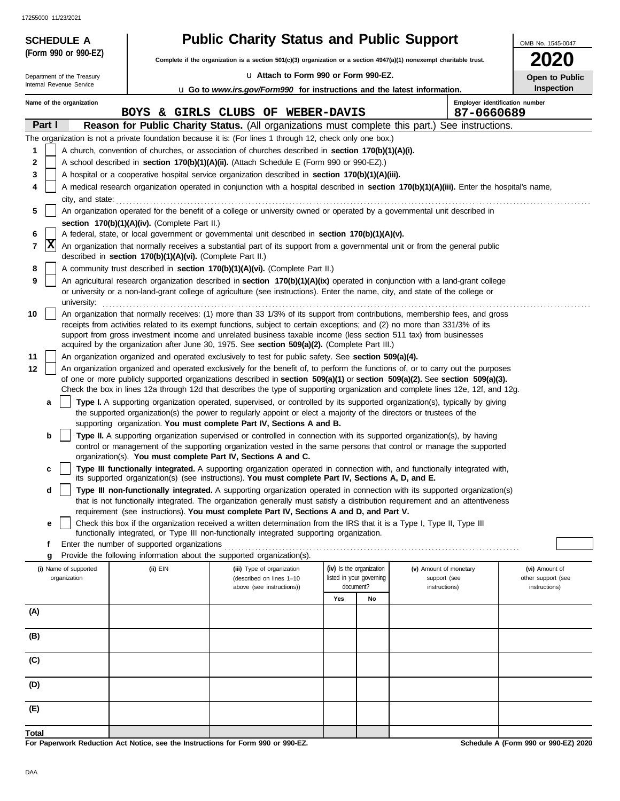17255000 11/23/2021

|        | <b>SCHEDULE A</b>                                                                                                                          |                                                            | <b>Public Charity Status and Public Support</b>                                                                                                                                                                                                                 |     |                                                      |                                        | OMB No. 1545-0047                    |  |  |  |
|--------|--------------------------------------------------------------------------------------------------------------------------------------------|------------------------------------------------------------|-----------------------------------------------------------------------------------------------------------------------------------------------------------------------------------------------------------------------------------------------------------------|-----|------------------------------------------------------|----------------------------------------|--------------------------------------|--|--|--|
|        | (Form 990 or 990-EZ)                                                                                                                       |                                                            | Complete if the organization is a section $501(c)(3)$ organization or a section $4947(a)(1)$ nonexempt charitable trust.                                                                                                                                        |     |                                                      |                                        | 2020                                 |  |  |  |
|        | Department of the Treasury                                                                                                                 |                                                            | La Attach to Form 990 or Form 990-EZ.                                                                                                                                                                                                                           |     |                                                      |                                        | Open to Public                       |  |  |  |
|        | Internal Revenue Service                                                                                                                   |                                                            | <b>u</b> Go to <i>www.irs.gov/Form990</i> for instructions and the latest information.                                                                                                                                                                          |     |                                                      |                                        | Inspection                           |  |  |  |
|        | Name of the organization                                                                                                                   |                                                            |                                                                                                                                                                                                                                                                 |     |                                                      | Employer identification number         |                                      |  |  |  |
| Part I |                                                                                                                                            |                                                            | BOYS & GIRLS CLUBS OF WEBER-DAVIS<br>Reason for Public Charity Status. (All organizations must complete this part.)                                                                                                                                             |     |                                                      | 87-0660689<br>See instructions.        |                                      |  |  |  |
|        |                                                                                                                                            |                                                            | The organization is not a private foundation because it is: (For lines 1 through 12, check only one box.)                                                                                                                                                       |     |                                                      |                                        |                                      |  |  |  |
| 1      |                                                                                                                                            |                                                            | A church, convention of churches, or association of churches described in section 170(b)(1)(A)(i).                                                                                                                                                              |     |                                                      |                                        |                                      |  |  |  |
| 2      |                                                                                                                                            |                                                            | A school described in section 170(b)(1)(A)(ii). (Attach Schedule E (Form 990 or 990-EZ).)                                                                                                                                                                       |     |                                                      |                                        |                                      |  |  |  |
| 3      |                                                                                                                                            |                                                            | A hospital or a cooperative hospital service organization described in section 170(b)(1)(A)(iii).                                                                                                                                                               |     |                                                      |                                        |                                      |  |  |  |
| 4      | A medical research organization operated in conjunction with a hospital described in section 170(b)(1)(A)(iii). Enter the hospital's name, |                                                            |                                                                                                                                                                                                                                                                 |     |                                                      |                                        |                                      |  |  |  |
| 5      | city, and state:                                                                                                                           |                                                            | An organization operated for the benefit of a college or university owned or operated by a governmental unit described in                                                                                                                                       |     |                                                      |                                        |                                      |  |  |  |
|        |                                                                                                                                            | section 170(b)(1)(A)(iv). (Complete Part II.)              |                                                                                                                                                                                                                                                                 |     |                                                      |                                        |                                      |  |  |  |
| 6      |                                                                                                                                            |                                                            | A federal, state, or local government or governmental unit described in section 170(b)(1)(A)(v).                                                                                                                                                                |     |                                                      |                                        |                                      |  |  |  |
| 7      | X                                                                                                                                          | described in section 170(b)(1)(A)(vi). (Complete Part II.) | An organization that normally receives a substantial part of its support from a governmental unit or from the general public                                                                                                                                    |     |                                                      |                                        |                                      |  |  |  |
| 8      |                                                                                                                                            |                                                            | A community trust described in section 170(b)(1)(A)(vi). (Complete Part II.)                                                                                                                                                                                    |     |                                                      |                                        |                                      |  |  |  |
| 9      | university:                                                                                                                                |                                                            | An agricultural research organization described in section 170(b)(1)(A)(ix) operated in conjunction with a land-grant college<br>or university or a non-land-grant college of agriculture (see instructions). Enter the name, city, and state of the college or |     |                                                      |                                        |                                      |  |  |  |
| 10     |                                                                                                                                            |                                                            | An organization that normally receives: (1) more than 33 1/3% of its support from contributions, membership fees, and gross                                                                                                                                     |     |                                                      |                                        |                                      |  |  |  |
|        |                                                                                                                                            |                                                            | receipts from activities related to its exempt functions, subject to certain exceptions; and (2) no more than 331/3% of its                                                                                                                                     |     |                                                      |                                        |                                      |  |  |  |
|        |                                                                                                                                            |                                                            | support from gross investment income and unrelated business taxable income (less section 511 tax) from businesses<br>acquired by the organization after June 30, 1975. See section 509(a)(2). (Complete Part III.)                                              |     |                                                      |                                        |                                      |  |  |  |
| 11     |                                                                                                                                            |                                                            | An organization organized and operated exclusively to test for public safety. See section 509(a)(4).                                                                                                                                                            |     |                                                      |                                        |                                      |  |  |  |
| 12     |                                                                                                                                            |                                                            | An organization organized and operated exclusively for the benefit of, to perform the functions of, or to carry out the purposes                                                                                                                                |     |                                                      |                                        |                                      |  |  |  |
|        |                                                                                                                                            |                                                            | of one or more publicly supported organizations described in section 509(a)(1) or section 509(a)(2). See section 509(a)(3).<br>Check the box in lines 12a through 12d that describes the type of supporting organization and complete lines 12e, 12f, and 12g.  |     |                                                      |                                        |                                      |  |  |  |
|        | а                                                                                                                                          |                                                            | Type I. A supporting organization operated, supervised, or controlled by its supported organization(s), typically by giving                                                                                                                                     |     |                                                      |                                        |                                      |  |  |  |
|        |                                                                                                                                            |                                                            | the supported organization(s) the power to regularly appoint or elect a majority of the directors or trustees of the<br>supporting organization. You must complete Part IV, Sections A and B.                                                                   |     |                                                      |                                        |                                      |  |  |  |
|        | b                                                                                                                                          |                                                            | Type II. A supporting organization supervised or controlled in connection with its supported organization(s), by having<br>control or management of the supporting organization vested in the same persons that control or manage the supported                 |     |                                                      |                                        |                                      |  |  |  |
|        |                                                                                                                                            |                                                            | organization(s). You must complete Part IV, Sections A and C.                                                                                                                                                                                                   |     |                                                      |                                        |                                      |  |  |  |
|        | c                                                                                                                                          |                                                            | Type III functionally integrated. A supporting organization operated in connection with, and functionally integrated with,<br>its supported organization(s) (see instructions). You must complete Part IV, Sections A, D, and E.                                |     |                                                      |                                        |                                      |  |  |  |
|        | d                                                                                                                                          |                                                            | Type III non-functionally integrated. A supporting organization operated in connection with its supported organization(s)<br>that is not functionally integrated. The organization generally must satisfy a distribution requirement and an attentiveness       |     |                                                      |                                        |                                      |  |  |  |
|        |                                                                                                                                            |                                                            | requirement (see instructions). You must complete Part IV, Sections A and D, and Part V.                                                                                                                                                                        |     |                                                      |                                        |                                      |  |  |  |
|        | е                                                                                                                                          |                                                            | Check this box if the organization received a written determination from the IRS that it is a Type I, Type II, Type III<br>functionally integrated, or Type III non-functionally integrated supporting organization.                                            |     |                                                      |                                        |                                      |  |  |  |
|        | f<br>g                                                                                                                                     | Enter the number of supported organizations                | Provide the following information about the supported organization(s).                                                                                                                                                                                          |     |                                                      |                                        |                                      |  |  |  |
|        | (i) Name of supported<br>organization                                                                                                      | (ii) EIN                                                   | (iii) Type of organization<br>(described on lines 1-10                                                                                                                                                                                                          |     | (iv) Is the organization<br>listed in your governing | (v) Amount of monetary<br>support (see | (vi) Amount of<br>other support (see |  |  |  |
|        |                                                                                                                                            |                                                            | above (see instructions))                                                                                                                                                                                                                                       |     | document?                                            | instructions)                          | instructions)                        |  |  |  |
| (A)    |                                                                                                                                            |                                                            |                                                                                                                                                                                                                                                                 | Yes | No                                                   |                                        |                                      |  |  |  |
| (B)    |                                                                                                                                            |                                                            |                                                                                                                                                                                                                                                                 |     |                                                      |                                        |                                      |  |  |  |
|        |                                                                                                                                            |                                                            |                                                                                                                                                                                                                                                                 |     |                                                      |                                        |                                      |  |  |  |
| (C)    |                                                                                                                                            |                                                            |                                                                                                                                                                                                                                                                 |     |                                                      |                                        |                                      |  |  |  |
| (D)    |                                                                                                                                            |                                                            |                                                                                                                                                                                                                                                                 |     |                                                      |                                        |                                      |  |  |  |
| (E)    |                                                                                                                                            |                                                            |                                                                                                                                                                                                                                                                 |     |                                                      |                                        |                                      |  |  |  |
| Total  |                                                                                                                                            |                                                            |                                                                                                                                                                                                                                                                 |     |                                                      |                                        |                                      |  |  |  |
|        |                                                                                                                                            |                                                            | For Paperwork Reduction Act Notice, see the Instructions for Form 990 or 990-EZ.                                                                                                                                                                                |     |                                                      |                                        | Schedule A (Form 990 or 990-EZ) 2020 |  |  |  |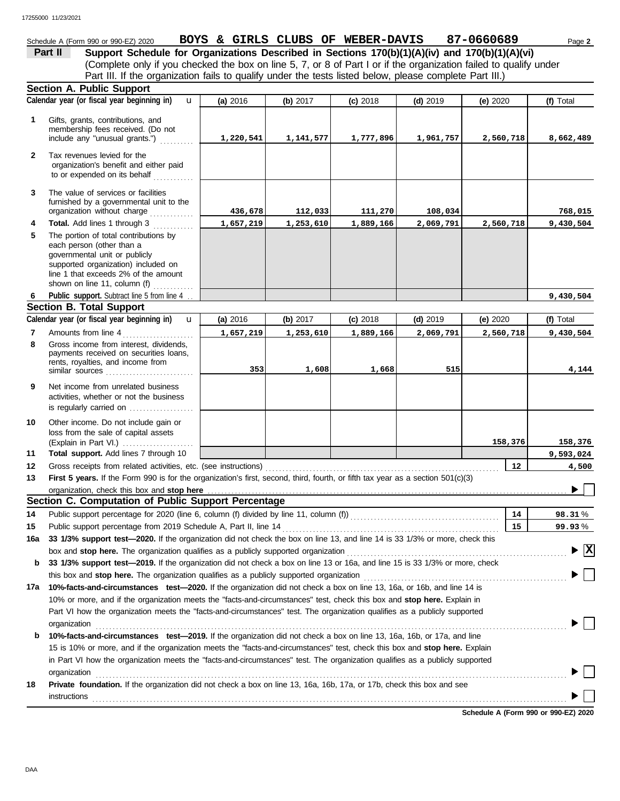# Schedule A (Form 990 or 990-EZ) 2020 **BOYS & GIRLS CLUBS OF WEBER-DAVIS** 87-0660689 Page 2

(Complete only if you checked the box on line 5, 7, or 8 of Part I or if the organization failed to qualify under **Part II** Support Schedule for Organizations Described in Sections 170(b)(1)(A)(iv) and 170(b)(1)(A)(vi) Part III. If the organization fails to qualify under the tests listed below, please complete Part III.)

|              | <b>Section A. Public Support</b>                                                                                                                                                                                            |                                                                                                                                                                                                                                                            |           |            |            |                                      |                      |  |  |  |  |  |
|--------------|-----------------------------------------------------------------------------------------------------------------------------------------------------------------------------------------------------------------------------|------------------------------------------------------------------------------------------------------------------------------------------------------------------------------------------------------------------------------------------------------------|-----------|------------|------------|--------------------------------------|----------------------|--|--|--|--|--|
|              | Calendar year (or fiscal year beginning in)<br>$\mathbf{u}$                                                                                                                                                                 | (a) 2016                                                                                                                                                                                                                                                   | (b) 2017  | $(c)$ 2018 | $(d)$ 2019 | (e) 2020                             | (f) Total            |  |  |  |  |  |
| 1            | Gifts, grants, contributions, and<br>membership fees received. (Do not<br>include any "unusual grants.")                                                                                                                    | 1,220,541                                                                                                                                                                                                                                                  | 1,141,577 | 1,777,896  | 1,961,757  | 2,560,718                            | 8,662,489            |  |  |  |  |  |
| $\mathbf{2}$ | Tax revenues levied for the<br>organization's benefit and either paid<br>to or expended on its behalf                                                                                                                       |                                                                                                                                                                                                                                                            |           |            |            |                                      |                      |  |  |  |  |  |
| 3            | The value of services or facilities<br>furnished by a governmental unit to the<br>organization without charge                                                                                                               | 436,678                                                                                                                                                                                                                                                    | 112,033   | 111,270    | 108,034    |                                      | 768,015              |  |  |  |  |  |
| 4            | Total. Add lines 1 through 3                                                                                                                                                                                                | 1,657,219                                                                                                                                                                                                                                                  | 1,253,610 | 1,889,166  | 2,069,791  | 2,560,718                            | 9,430,504            |  |  |  |  |  |
| 5            | The portion of total contributions by<br>each person (other than a<br>governmental unit or publicly<br>supported organization) included on<br>line 1 that exceeds 2% of the amount<br>shown on line 11, column (f) $\ldots$ |                                                                                                                                                                                                                                                            |           |            |            |                                      |                      |  |  |  |  |  |
| 6            | Public support. Subtract line 5 from line 4                                                                                                                                                                                 |                                                                                                                                                                                                                                                            |           |            |            |                                      | 9,430,504            |  |  |  |  |  |
|              | <b>Section B. Total Support</b>                                                                                                                                                                                             |                                                                                                                                                                                                                                                            |           |            |            |                                      |                      |  |  |  |  |  |
|              | Calendar year (or fiscal year beginning in)<br>$\mathbf{u}$                                                                                                                                                                 | (a) 2016                                                                                                                                                                                                                                                   | (b) 2017  | $(c)$ 2018 | $(d)$ 2019 | (e) 2020                             | (f) Total            |  |  |  |  |  |
| 7            | Amounts from line 4                                                                                                                                                                                                         | 1,657,219                                                                                                                                                                                                                                                  | 1,253,610 | 1,889,166  | 2,069,791  | 2,560,718                            | 9,430,504            |  |  |  |  |  |
| 8            | Gross income from interest, dividends,<br>payments received on securities loans.<br>rents, royalties, and income from<br>similar sources                                                                                    | 353                                                                                                                                                                                                                                                        | 1,608     | 1,668      | 515        |                                      | 4,144                |  |  |  |  |  |
| 9            | Net income from unrelated business<br>activities, whether or not the business<br>is regularly carried on                                                                                                                    |                                                                                                                                                                                                                                                            |           |            |            |                                      |                      |  |  |  |  |  |
| 10<br>11     | Other income. Do not include gain or<br>loss from the sale of capital assets<br>Total support. Add lines 7 through 10                                                                                                       |                                                                                                                                                                                                                                                            |           |            |            | 158,376                              | 158,376<br>9,593,024 |  |  |  |  |  |
| 12           | Gross receipts from related activities, etc. (see instructions)                                                                                                                                                             |                                                                                                                                                                                                                                                            |           |            |            | 12                                   | 4,500                |  |  |  |  |  |
| 13           | First 5 years. If the Form 990 is for the organization's first, second, third, fourth, or fifth tax year as a section 501(c)(3)                                                                                             |                                                                                                                                                                                                                                                            |           |            |            |                                      |                      |  |  |  |  |  |
|              | organization, check this box and stop here                                                                                                                                                                                  |                                                                                                                                                                                                                                                            |           |            |            |                                      |                      |  |  |  |  |  |
|              | Section C. Computation of Public Support Percentage                                                                                                                                                                         |                                                                                                                                                                                                                                                            |           |            |            |                                      |                      |  |  |  |  |  |
| 14           |                                                                                                                                                                                                                             |                                                                                                                                                                                                                                                            |           |            |            | 14                                   | 98.31%               |  |  |  |  |  |
| 15           | Public support percentage from 2019 Schedule A, Part II, line 14                                                                                                                                                            |                                                                                                                                                                                                                                                            |           |            |            | 15                                   | 99.93%               |  |  |  |  |  |
|              | 16a 33 1/3% support test-2020. If the organization did not check the box on line 13, and line 14 is 33 1/3% or more, check this                                                                                             |                                                                                                                                                                                                                                                            |           |            |            |                                      |                      |  |  |  |  |  |
|              | box and stop here. The organization qualifies as a publicly supported organization                                                                                                                                          |                                                                                                                                                                                                                                                            |           |            |            |                                      | $\sqrt{X}$           |  |  |  |  |  |
| b            | 33 1/3% support test-2019. If the organization did not check a box on line 13 or 16a, and line 15 is 33 1/3% or more, check                                                                                                 |                                                                                                                                                                                                                                                            |           |            |            |                                      |                      |  |  |  |  |  |
|              |                                                                                                                                                                                                                             |                                                                                                                                                                                                                                                            |           |            |            |                                      |                      |  |  |  |  |  |
|              | 17a 10%-facts-and-circumstances test-2020. If the organization did not check a box on line 13, 16a, or 16b, and line 14 is                                                                                                  |                                                                                                                                                                                                                                                            |           |            |            |                                      |                      |  |  |  |  |  |
|              | 10% or more, and if the organization meets the "facts-and-circumstances" test, check this box and stop here. Explain in                                                                                                     |                                                                                                                                                                                                                                                            |           |            |            |                                      |                      |  |  |  |  |  |
|              | Part VI how the organization meets the "facts-and-circumstances" test. The organization qualifies as a publicly supported                                                                                                   |                                                                                                                                                                                                                                                            |           |            |            |                                      |                      |  |  |  |  |  |
|              | organization                                                                                                                                                                                                                |                                                                                                                                                                                                                                                            |           |            |            |                                      |                      |  |  |  |  |  |
| b            | 10%-facts-and-circumstances test-2019. If the organization did not check a box on line 13, 16a, 16b, or 17a, and line                                                                                                       |                                                                                                                                                                                                                                                            |           |            |            |                                      |                      |  |  |  |  |  |
|              |                                                                                                                                                                                                                             | 15 is 10% or more, and if the organization meets the "facts-and-circumstances" test, check this box and stop here. Explain<br>in Part VI how the organization meets the "facts-and-circumstances" test. The organization qualifies as a publicly supported |           |            |            |                                      |                      |  |  |  |  |  |
|              |                                                                                                                                                                                                                             |                                                                                                                                                                                                                                                            |           |            |            |                                      |                      |  |  |  |  |  |
|              | organization                                                                                                                                                                                                                |                                                                                                                                                                                                                                                            |           |            |            |                                      |                      |  |  |  |  |  |
| 18           | Private foundation. If the organization did not check a box on line 13, 16a, 16b, 17a, or 17b, check this box and see                                                                                                       |                                                                                                                                                                                                                                                            |           |            |            |                                      |                      |  |  |  |  |  |
|              | instructions                                                                                                                                                                                                                |                                                                                                                                                                                                                                                            |           |            |            |                                      |                      |  |  |  |  |  |
|              |                                                                                                                                                                                                                             |                                                                                                                                                                                                                                                            |           |            |            | Schedule A (Form 990 or 990-EZ) 2020 |                      |  |  |  |  |  |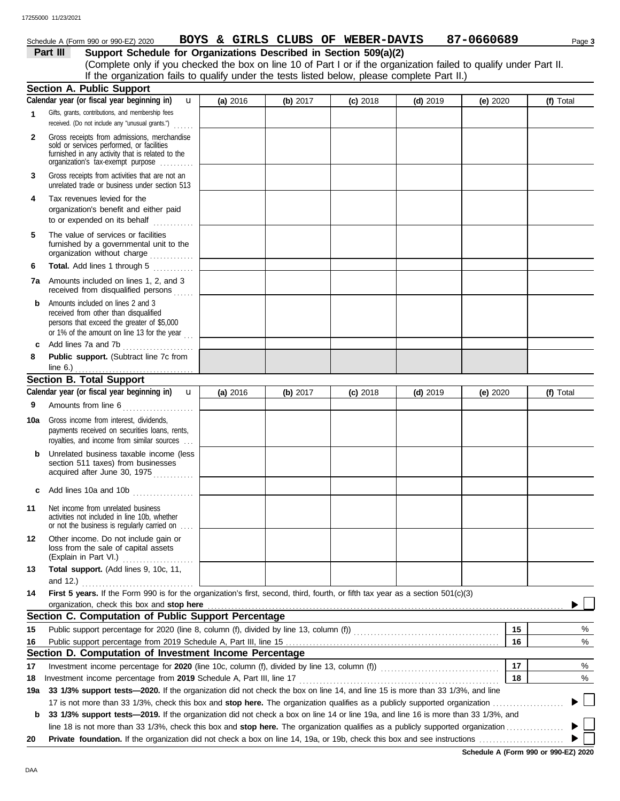# Schedule A (Form 990 or 990-EZ) 2020 Page **3 BOYS & GIRLS CLUBS OF WEBER-DAVIS 87-0660689**

# **Part III Support Schedule for Organizations Described in Section 509(a)(2)**

(Complete only if you checked the box on line 10 of Part I or if the organization failed to qualify under Part II. If the organization fails to qualify under the tests listed below, please complete Part II.)

|     | <b>Section A. Public Support</b>                                                                                                                                                  |            |            |            |            |            |    |           |  |
|-----|-----------------------------------------------------------------------------------------------------------------------------------------------------------------------------------|------------|------------|------------|------------|------------|----|-----------|--|
|     | Calendar year (or fiscal year beginning in)<br>u                                                                                                                                  | (a) 2016   | (b) 2017   | $(c)$ 2018 | $(d)$ 2019 | (e) $2020$ |    | (f) Total |  |
| 1   | Gifts, grants, contributions, and membership fees<br>received. (Do not include any "unusual grants.")                                                                             |            |            |            |            |            |    |           |  |
| 2   | Gross receipts from admissions, merchandise<br>sold or services performed, or facilities<br>furnished in any activity that is related to the<br>organization's tax-exempt purpose |            |            |            |            |            |    |           |  |
| 3   | Gross receipts from activities that are not an<br>unrelated trade or business under section 513                                                                                   |            |            |            |            |            |    |           |  |
| 4   | Tax revenues levied for the<br>organization's benefit and either paid<br>to or expended on its behalf<br>.                                                                        |            |            |            |            |            |    |           |  |
| 5   | The value of services or facilities<br>furnished by a governmental unit to the<br>organization without charge                                                                     |            |            |            |            |            |    |           |  |
| 6   | Total. Add lines 1 through 5                                                                                                                                                      |            |            |            |            |            |    |           |  |
| 7а  | Amounts included on lines 1, 2, and 3<br>received from disqualified persons                                                                                                       |            |            |            |            |            |    |           |  |
| b   | Amounts included on lines 2 and 3<br>received from other than disqualified<br>persons that exceed the greater of \$5,000<br>or 1% of the amount on line 13 for the year $\ldots$  |            |            |            |            |            |    |           |  |
| c   | Add lines 7a and 7b<br>.                                                                                                                                                          |            |            |            |            |            |    |           |  |
| 8   | Public support. (Subtract line 7c from                                                                                                                                            |            |            |            |            |            |    |           |  |
|     | line $6.$ )                                                                                                                                                                       |            |            |            |            |            |    |           |  |
|     | <b>Section B. Total Support</b>                                                                                                                                                   |            |            |            |            |            |    |           |  |
|     | Calendar year (or fiscal year beginning in)<br>$\mathbf{u}$                                                                                                                       | (a) $2016$ | (b) $2017$ | $(c)$ 2018 | $(d)$ 2019 | (e) $2020$ |    | (f) Total |  |
| 9   | Amounts from line 6                                                                                                                                                               |            |            |            |            |            |    |           |  |
| 10a | Gross income from interest, dividends,<br>payments received on securities loans, rents,<br>royalties, and income from similar sources                                             |            |            |            |            |            |    |           |  |
|     | Unrelated business taxable income (less<br>section 511 taxes) from businesses<br>acquired after June 30, 1975                                                                     |            |            |            |            |            |    |           |  |
| C   | Add lines 10a and 10b $\ldots$ $\ldots$ $\ldots$                                                                                                                                  |            |            |            |            |            |    |           |  |
| 11  | Net income from unrelated business<br>activities not included in line 10b, whether<br>or not the business is regularly carried on                                                 |            |            |            |            |            |    |           |  |
| 12  | Other income. Do not include gain or<br>loss from the sale of capital assets<br>(Explain in Part VI.)                                                                             |            |            |            |            |            |    |           |  |
| 13  | Total support. (Add lines 9, 10c, 11,                                                                                                                                             |            |            |            |            |            |    |           |  |
|     | and 12.)                                                                                                                                                                          |            |            |            |            |            |    |           |  |
| 14  | First 5 years. If the Form 990 is for the organization's first, second, third, fourth, or fifth tax year as a section 501(c)(3)                                                   |            |            |            |            |            |    |           |  |
|     | organization, check this box and stop here                                                                                                                                        |            |            |            |            |            |    |           |  |
|     | Section C. Computation of Public Support Percentage                                                                                                                               |            |            |            |            |            |    |           |  |
| 15  |                                                                                                                                                                                   |            |            |            |            |            | 15 | %         |  |
| 16  | Public support percentage from 2019 Schedule A, Part III, line 15                                                                                                                 |            |            |            |            |            | 16 | %         |  |
|     | Section D. Computation of Investment Income Percentage                                                                                                                            |            |            |            |            |            |    |           |  |
| 17  |                                                                                                                                                                                   |            |            |            |            |            | 17 | %         |  |
| 18  | Investment income percentage from 2019 Schedule A, Part III, line 17                                                                                                              |            |            |            |            |            | 18 | %         |  |
| 19a | 33 1/3% support tests-2020. If the organization did not check the box on line 14, and line 15 is more than 33 1/3%, and line                                                      |            |            |            |            |            |    |           |  |
|     | 17 is not more than 33 1/3%, check this box and stop here. The organization qualifies as a publicly supported organization                                                        |            |            |            |            |            |    |           |  |
| b   | 33 1/3% support tests-2019. If the organization did not check a box on line 14 or line 19a, and line 16 is more than 33 1/3%, and                                                 |            |            |            |            |            |    |           |  |
| 20  |                                                                                                                                                                                   |            |            |            |            |            |    |           |  |
|     |                                                                                                                                                                                   |            |            |            |            |            |    |           |  |

**Schedule A (Form 990 or 990-EZ) 2020**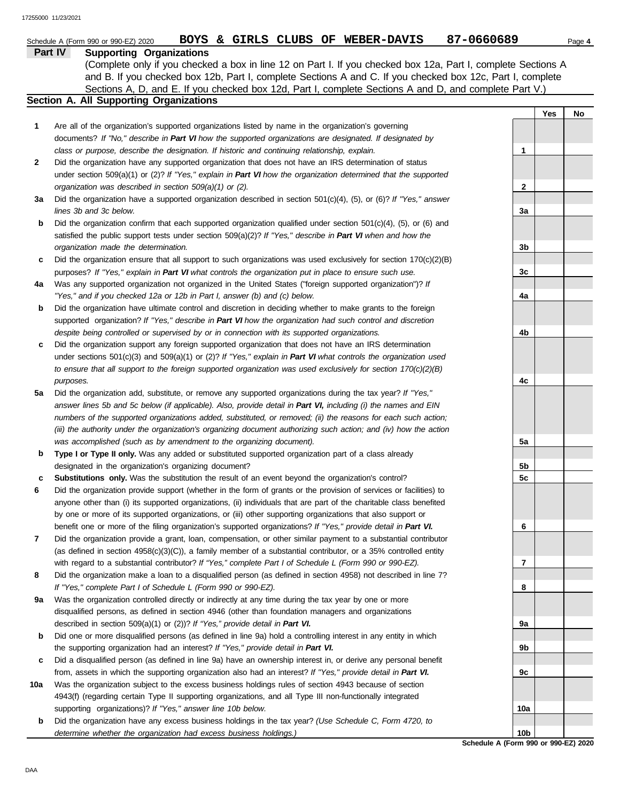# **Part IV Supporting Organizations** Sections A, D, and E. If you checked box 12d, Part I, complete Sections A and D, and complete Part V.) Schedule A (Form 990 or 990-EZ) 2020 **BOYS & GIRLS CLUBS OF WEBER-DAVIS** 87-0660689 Page 4 (Complete only if you checked a box in line 12 on Part I. If you checked box 12a, Part I, complete Sections A and B. If you checked box 12b, Part I, complete Sections A and C. If you checked box 12c, Part I, complete

# **Section A. All Supporting Organizations**

Are all of the organization's supported organizations listed by name in the organization's governing documents? *If "No," describe in Part VI how the supported organizations are designated. If designated by class or purpose, describe the designation. If historic and continuing relationship, explain.* **1**

Did the organization have any supported organization that does not have an IRS determination of status under section 509(a)(1) or (2)? *If "Yes," explain in Part VI how the organization determined that the supported organization was described in section 509(a)(1) or (2).* **2**

**3a** Did the organization have a supported organization described in section 501(c)(4), (5), or (6)? *If "Yes," answer lines 3b and 3c below.*

| <b>b</b> Did the organization confirm that each supported organization qualified under section $501(c)(4)$ , (5), or (6) and |
|------------------------------------------------------------------------------------------------------------------------------|
| satisfied the public support tests under section $509(a)(2)$ ? If "Yes," describe in Part VI when and how the                |
| organization made the determination.                                                                                         |

**c** Did the organization ensure that all support to such organizations was used exclusively for section  $170(c)(2)(B)$ purposes? *If "Yes," explain in Part VI what controls the organization put in place to ensure such use.*

| 4a l | Was any supported organization not organized in the United States ("foreign supported organization")? If |
|------|----------------------------------------------------------------------------------------------------------|
|      | "Yes," and if you checked 12a or 12b in Part I, answer (b) and (c) below.                                |

**b** Did the organization have ultimate control and discretion in deciding whether to make grants to the foreign supported organization? *If "Yes," describe in Part VI how the organization had such control and discretion despite being controlled or supervised by or in connection with its supported organizations.*

**c** Did the organization support any foreign supported organization that does not have an IRS determination under sections 501(c)(3) and 509(a)(1) or (2)? *If "Yes," explain in Part VI what controls the organization used to ensure that all support to the foreign supported organization was used exclusively for section 170(c)(2)(B) purposes.*

**5a** Did the organization add, substitute, or remove any supported organizations during the tax year? *If "Yes," answer lines 5b and 5c below (if applicable). Also, provide detail in Part VI, including (i) the names and EIN numbers of the supported organizations added, substituted, or removed; (ii) the reasons for each such action; (iii) the authority under the organization's organizing document authorizing such action; and (iv) how the action was accomplished (such as by amendment to the organizing document).*

**b Type I or Type II only.** Was any added or substituted supported organization part of a class already designated in the organization's organizing document?

**c Substitutions only.** Was the substitution the result of an event beyond the organization's control?

**6** Did the organization provide support (whether in the form of grants or the provision of services or facilities) to anyone other than (i) its supported organizations, (ii) individuals that are part of the charitable class benefited by one or more of its supported organizations, or (iii) other supporting organizations that also support or benefit one or more of the filing organization's supported organizations? *If "Yes," provide detail in Part VI.*

**7** Did the organization provide a grant, loan, compensation, or other similar payment to a substantial contributor (as defined in section 4958(c)(3)(C)), a family member of a substantial contributor, or a 35% controlled entity with regard to a substantial contributor? *If "Yes," complete Part I of Schedule L (Form 990 or 990-EZ).*

**8** Did the organization make a loan to a disqualified person (as defined in section 4958) not described in line 7? *If "Yes," complete Part I of Schedule L (Form 990 or 990-EZ).*

**9a** Was the organization controlled directly or indirectly at any time during the tax year by one or more disqualified persons, as defined in section 4946 (other than foundation managers and organizations described in section 509(a)(1) or (2))? *If "Yes," provide detail in Part VI.*

**b** Did one or more disqualified persons (as defined in line 9a) hold a controlling interest in any entity in which the supporting organization had an interest? *If "Yes," provide detail in Part VI.*

**c** Did a disqualified person (as defined in line 9a) have an ownership interest in, or derive any personal benefit from, assets in which the supporting organization also had an interest? *If "Yes," provide detail in Part VI.*

**10a** Was the organization subject to the excess business holdings rules of section 4943 because of section 4943(f) (regarding certain Type II supporting organizations, and all Type III non-functionally integrated supporting organizations)? *If "Yes," answer line 10b below.*

**b** Did the organization have any excess business holdings in the tax year? *(Use Schedule C, Form 4720, to determine whether the organization had excess business holdings.)*

**Yes No 1 2 3a 3b 3c 4a 4b 4c 5a 5b 5c 6 7 8 9a 9b 9c 10a 10b**

**Schedule A (Form 990 or 990-EZ) 2020**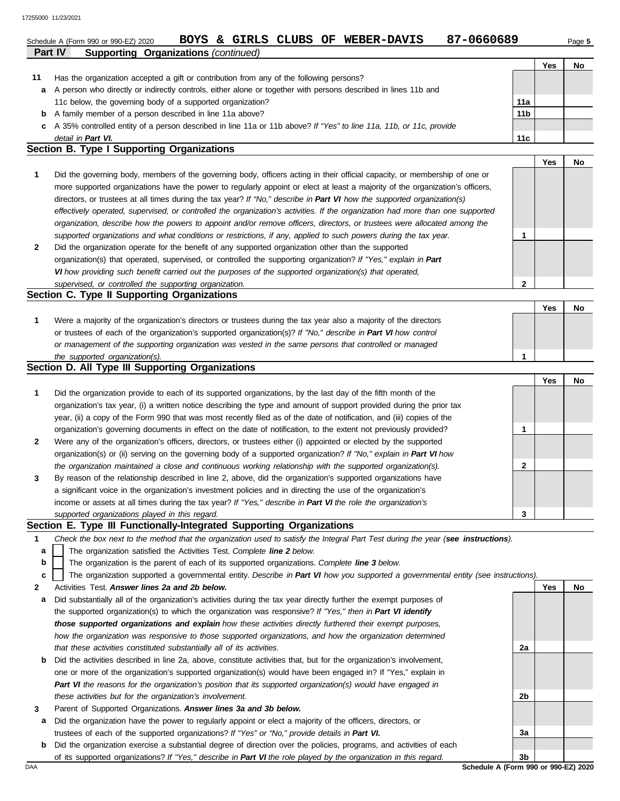|                | Schedule A (Form 990 or 990-EZ) 2020                                                                                          | <b>BOYS</b><br>&. | GIRLS | CLUBS OF | <b>WEBER-DAVIS</b> | 87-0660689 |                 |     | Page 5 |
|----------------|-------------------------------------------------------------------------------------------------------------------------------|-------------------|-------|----------|--------------------|------------|-----------------|-----|--------|
| <b>Part IV</b> | <b>Supporting Organizations (continued)</b>                                                                                   |                   |       |          |                    |            |                 |     |        |
|                |                                                                                                                               |                   |       |          |                    |            |                 | Yes | No     |
| 11             | Has the organization accepted a gift or contribution from any of the following persons?                                       |                   |       |          |                    |            |                 |     |        |
| а              | A person who directly or indirectly controls, either alone or together with persons described in lines 11b and                |                   |       |          |                    |            |                 |     |        |
|                | 11c below, the governing body of a supported organization?                                                                    |                   |       |          |                    |            | 11a             |     |        |
| b              | A family member of a person described in line 11a above?                                                                      |                   |       |          |                    |            | 11 <sub>b</sub> |     |        |
| c              | A 35% controlled entity of a person described in line 11a or 11b above? If "Yes" to line 11a, 11b, or 11c, provide            |                   |       |          |                    |            |                 |     |        |
|                | detail in Part VI.                                                                                                            |                   |       |          |                    |            | 11c             |     |        |
|                | Section B. Type I Supporting Organizations                                                                                    |                   |       |          |                    |            |                 |     |        |
|                |                                                                                                                               |                   |       |          |                    |            |                 | Yes | No     |
|                | Did the governing body, members of the governing body, officers acting in their official capacity, or membership of one or    |                   |       |          |                    |            |                 |     |        |
|                | more supported organizations have the power to regularly appoint or elect at least a majority of the organization's officers, |                   |       |          |                    |            |                 |     |        |
|                | directors, or trustees at all times during the tax year? If "No," describe in Part VI how the supported organization(s)       |                   |       |          |                    |            |                 |     |        |

| supported organizations and what conditions or restrictions, if any, applied to such powers during the tax year. |
|------------------------------------------------------------------------------------------------------------------|
| Did the organization operate for the benefit of any supported organization other than the supported              |
| organization(s) that operated, supervised, or controlled the supporting organization? If "Yes," explain in Part  |
| VI how providing such benefit carried out the purposes of the supported organization(s) that operated,           |
| supervised, or controlled the supporting organization.                                                           |

*organization, describe how the powers to appoint and/or remove officers, directors, or trustees were allocated among the effectively operated, supervised, or controlled the organization's activities. If the organization had more than one supported*

#### **Section C. Type II Supporting Organizations** Were a majority of the organization's directors or trustees during the tax year also a majority of the directors or trustees of each of the organization's supported organization(s)? *If "No," describe in Part VI how control* **1** *or management of the supporting organization was vested in the same persons that controlled or managed the supported organization(s).* **Yes No 1**

## **Section D. All Type III Supporting Organizations**

|              |                                                                                                                        | Yes | No |
|--------------|------------------------------------------------------------------------------------------------------------------------|-----|----|
| 1            | Did the organization provide to each of its supported organizations, by the last day of the fifth month of the         |     |    |
|              | organization's tax year, (i) a written notice describing the type and amount of support provided during the prior tax  |     |    |
|              | year, (ii) a copy of the Form 990 that was most recently filed as of the date of notification, and (iii) copies of the |     |    |
|              | organization's governing documents in effect on the date of notification, to the extent not previously provided?       |     |    |
| $\mathbf{2}$ | Were any of the organization's officers, directors, or trustees either (i) appointed or elected by the supported       |     |    |
|              | organization(s) or (ii) serving on the governing body of a supported organization? If "No," explain in Part VI how     |     |    |
|              | the organization maintained a close and continuous working relationship with the supported organization(s).            |     |    |
| $\mathbf{3}$ | By reason of the relationship described in line 2, above, did the organization's supported organizations have          |     |    |
|              | a significant voice in the organization's investment policies and in directing the use of the organization's           |     |    |
|              | income or assets at all times during the tax year? If "Yes," describe in Part VI the role the organization's           |     |    |
|              | supported organizations played in this regard.                                                                         |     |    |

## **Section E. Type III Functionally-Integrated Supporting Organizations**

- **1** *Check the box next to the method that the organization used to satisfy the Integral Part Test during the year (see instructions).*
	- The organization satisfied the Activities Test. *Complete line 2 below.* **a**
	- The organization is the parent of each of its supported organizations. *Complete line 3 below.* **b**

|  |  |  | c   The organization supported a governmental entity. Describe in Part VI how you supported a governmental entity (see instructions). |  |
|--|--|--|---------------------------------------------------------------------------------------------------------------------------------------|--|
|--|--|--|---------------------------------------------------------------------------------------------------------------------------------------|--|

- **2** Activities Test. *Answer lines 2a and 2b below.*
- **a** Did substantially all of the organization's activities during the tax year directly further the exempt purposes of the supported organization(s) to which the organization was responsive? *If "Yes," then in Part VI identify those supported organizations and explain how these activities directly furthered their exempt purposes,*  how the organization was responsive to those supported organizations, and how the organization determined *that these activities constituted substantially all of its activities.*
- **b** Did the activities described in line 2a, above, constitute activities that, but for the organization's involvement, one or more of the organization's supported organization(s) would have been engaged in? If "Yes," explain in *Part VI the reasons for the organization's position that its supported organization(s) would have engaged in these activities but for the organization's involvement.*
- **3** Parent of Supported Organizations. *Answer lines 3a and 3b below.*
- **a** Did the organization have the power to regularly appoint or elect a majority of the officers, directors, or trustees of each of the supported organizations? *If "Yes" or "No," provide details in Part VI.*
- **b** Did the organization exercise a substantial degree of direction over the policies, programs, and activities of each of its supported organizations? *If "Yes," describe in Part VI the role played by the organization in this regard.*

**2a 2b 3a 3b**

**Yes No**

**2**

**1**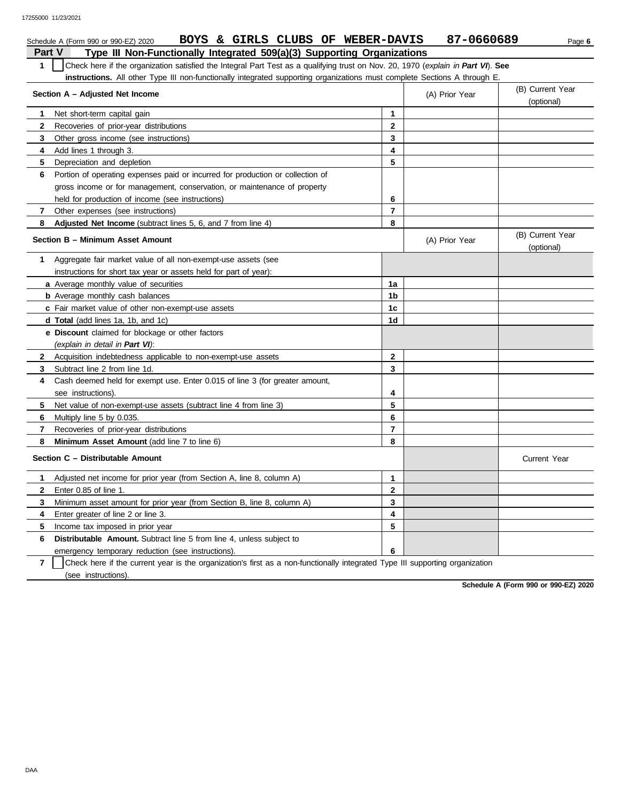|              | BOYS & GIRLS CLUBS OF WEBER-DAVIS<br>Schedule A (Form 990 or 990-EZ) 2020                                                        |                | 87-0660689     | Page 6                         |  |  |  |  |  |
|--------------|----------------------------------------------------------------------------------------------------------------------------------|----------------|----------------|--------------------------------|--|--|--|--|--|
|              | Type III Non-Functionally Integrated 509(a)(3) Supporting Organizations<br>Part V                                                |                |                |                                |  |  |  |  |  |
| $\mathbf{1}$ | Check here if the organization satisfied the Integral Part Test as a qualifying trust on Nov. 20, 1970 (explain in Part VI). See |                |                |                                |  |  |  |  |  |
|              | <b>instructions.</b> All other Type III non-functionally integrated supporting organizations must complete Sections A through E. |                |                |                                |  |  |  |  |  |
|              | Section A - Adjusted Net Income                                                                                                  |                | (A) Prior Year | (B) Current Year               |  |  |  |  |  |
|              |                                                                                                                                  |                |                | (optional)                     |  |  |  |  |  |
| 1            | Net short-term capital gain                                                                                                      | 1              |                |                                |  |  |  |  |  |
| $\mathbf{2}$ | Recoveries of prior-year distributions                                                                                           | $\overline{2}$ |                |                                |  |  |  |  |  |
| 3            | Other gross income (see instructions)                                                                                            | 3              |                |                                |  |  |  |  |  |
| 4            | Add lines 1 through 3.                                                                                                           | 4              |                |                                |  |  |  |  |  |
| 5            | Depreciation and depletion                                                                                                       | 5              |                |                                |  |  |  |  |  |
| 6            | Portion of operating expenses paid or incurred for production or collection of                                                   |                |                |                                |  |  |  |  |  |
|              | gross income or for management, conservation, or maintenance of property                                                         |                |                |                                |  |  |  |  |  |
|              | held for production of income (see instructions)                                                                                 | 6              |                |                                |  |  |  |  |  |
| 7            | Other expenses (see instructions)                                                                                                | $\overline{7}$ |                |                                |  |  |  |  |  |
| 8            | <b>Adjusted Net Income</b> (subtract lines 5, 6, and 7 from line 4)                                                              | 8              |                |                                |  |  |  |  |  |
|              | Section B - Minimum Asset Amount                                                                                                 |                | (A) Prior Year | (B) Current Year<br>(optional) |  |  |  |  |  |
| 1            | Aggregate fair market value of all non-exempt-use assets (see                                                                    |                |                |                                |  |  |  |  |  |
|              | instructions for short tax year or assets held for part of year):                                                                |                |                |                                |  |  |  |  |  |
|              | a Average monthly value of securities                                                                                            | 1a             |                |                                |  |  |  |  |  |
|              | <b>b</b> Average monthly cash balances                                                                                           | 1b             |                |                                |  |  |  |  |  |
|              | c Fair market value of other non-exempt-use assets                                                                               | 1c             |                |                                |  |  |  |  |  |
|              | d Total (add lines 1a, 1b, and 1c)                                                                                               | 1 <sub>d</sub> |                |                                |  |  |  |  |  |
|              | <b>e Discount</b> claimed for blockage or other factors                                                                          |                |                |                                |  |  |  |  |  |
|              | (explain in detail in Part VI):                                                                                                  |                |                |                                |  |  |  |  |  |
| $\mathbf{2}$ | Acquisition indebtedness applicable to non-exempt-use assets                                                                     | 2              |                |                                |  |  |  |  |  |
| 3            | Subtract line 2 from line 1d.                                                                                                    | 3              |                |                                |  |  |  |  |  |
| 4            | Cash deemed held for exempt use. Enter 0.015 of line 3 (for greater amount,                                                      |                |                |                                |  |  |  |  |  |
|              | see instructions).                                                                                                               | 4              |                |                                |  |  |  |  |  |
| 5            | Net value of non-exempt-use assets (subtract line 4 from line 3)                                                                 | 5              |                |                                |  |  |  |  |  |
| 6            | Multiply line 5 by 0.035.                                                                                                        | 6              |                |                                |  |  |  |  |  |
| 7            | Recoveries of prior-year distributions                                                                                           | 7              |                |                                |  |  |  |  |  |
| 8            | Minimum Asset Amount (add line 7 to line 6)                                                                                      | 8              |                |                                |  |  |  |  |  |
|              | Section C - Distributable Amount                                                                                                 |                |                | <b>Current Year</b>            |  |  |  |  |  |
| 1            | Adjusted net income for prior year (from Section A, line 8, column A)                                                            | 1              |                |                                |  |  |  |  |  |
| 2            | Enter 0.85 of line 1.                                                                                                            | $\mathbf 2$    |                |                                |  |  |  |  |  |
| 3            | Minimum asset amount for prior year (from Section B, line 8, column A)                                                           | 3              |                |                                |  |  |  |  |  |
| 4            | Enter greater of line 2 or line 3.                                                                                               | 4              |                |                                |  |  |  |  |  |
| 5            | Income tax imposed in prior year                                                                                                 | 5              |                |                                |  |  |  |  |  |
| 6            | <b>Distributable Amount.</b> Subtract line 5 from line 4, unless subject to                                                      |                |                |                                |  |  |  |  |  |
|              | emergency temporary reduction (see instructions).                                                                                | 6              |                |                                |  |  |  |  |  |

**7** | Check here if the current year is the organization's first as a non-functionally integrated Type III supporting organization (see instructions).

**Schedule A (Form 990 or 990-EZ) 2020**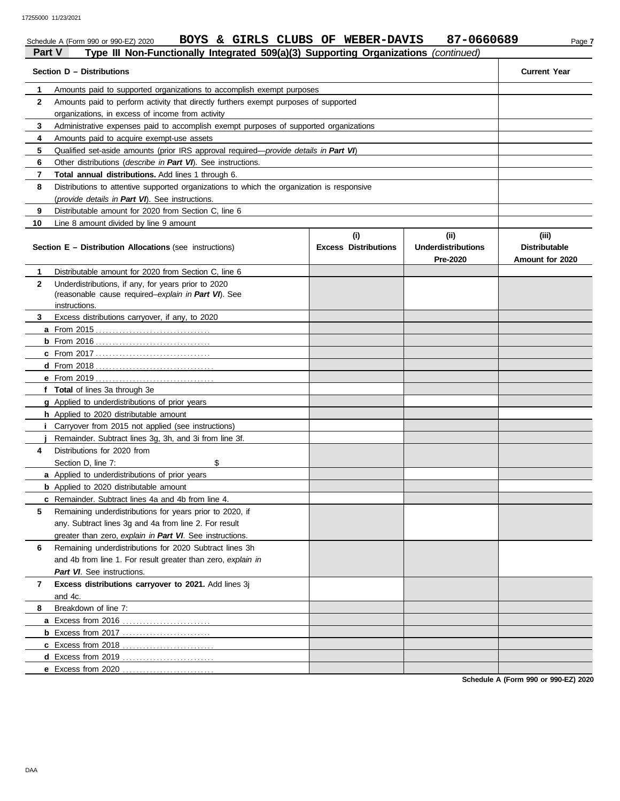|              | 17255000 11/23/2021                                                                           |                             |                           |                      |
|--------------|-----------------------------------------------------------------------------------------------|-----------------------------|---------------------------|----------------------|
|              | BOYS & GIRLS CLUBS OF WEBER-DAVIS<br>Schedule A (Form 990 or 990-EZ) 2020                     |                             | 87-0660689                | Page 7               |
| Part V       | Type III Non-Functionally Integrated 509(a)(3) Supporting Organizations (continued)           |                             |                           |                      |
|              | Section D - Distributions                                                                     |                             |                           | <b>Current Year</b>  |
| 1            | Amounts paid to supported organizations to accomplish exempt purposes                         |                             |                           |                      |
| $\mathbf{2}$ | Amounts paid to perform activity that directly furthers exempt purposes of supported          |                             |                           |                      |
|              | organizations, in excess of income from activity                                              |                             |                           |                      |
| 3            | Administrative expenses paid to accomplish exempt purposes of supported organizations         |                             |                           |                      |
| 4            | Amounts paid to acquire exempt-use assets                                                     |                             |                           |                      |
| 5            | Qualified set-aside amounts (prior IRS approval required— <i>provide details in Part VI</i> ) |                             |                           |                      |
| 6            | Other distributions ( <i>describe in Part VI</i> ). See instructions.                         |                             |                           |                      |
| 7            | Total annual distributions. Add lines 1 through 6.                                            |                             |                           |                      |
| 8            | Distributions to attentive supported organizations to which the organization is responsive    |                             |                           |                      |
|              | (provide details in Part VI). See instructions.                                               |                             |                           |                      |
| 9            | Distributable amount for 2020 from Section C, line 6                                          |                             |                           |                      |
| 10           | Line 8 amount divided by line 9 amount                                                        |                             |                           |                      |
|              |                                                                                               | (ii)                        | (iii)                     |                      |
|              | Section E - Distribution Allocations (see instructions)                                       | <b>Excess Distributions</b> | <b>Underdistributions</b> | <b>Distributable</b> |
|              |                                                                                               |                             | Pre-2020                  | Amount for 2020      |
| $\mathbf 1$  | Distributable amount for 2020 from Section C. line 6                                          |                             |                           |                      |
| $\mathbf{2}$ | Underdistributions, if any, for years prior to 2020                                           |                             |                           |                      |
|              | (reasonable cause required-explain in Part VI). See                                           |                             |                           |                      |
|              | instructions.                                                                                 |                             |                           |                      |
| 3            | Excess distributions carryover, if any, to 2020                                               |                             |                           |                      |
|              |                                                                                               |                             |                           |                      |
|              |                                                                                               |                             |                           |                      |
|              |                                                                                               |                             |                           |                      |
|              |                                                                                               |                             |                           |                      |
|              |                                                                                               |                             |                           |                      |
|              | f Total of lines 3a through 3e                                                                |                             |                           |                      |
|              | g Applied to underdistributions of prior years                                                |                             |                           |                      |
|              | h Applied to 2020 distributable amount                                                        |                             |                           |                      |
|              | Carryover from 2015 not applied (see instructions)                                            |                             |                           |                      |

|   | <b>h</b> Applied to 2020 distributable amount                |  |  |
|---|--------------------------------------------------------------|--|--|
|   | Carryover from 2015 not applied (see instructions)           |  |  |
|   | Remainder. Subtract lines 3g, 3h, and 3i from line 3f.       |  |  |
| 4 | Distributions for 2020 from                                  |  |  |
|   | Section D, line 7:<br>\$.                                    |  |  |
|   | a Applied to underdistributions of prior years               |  |  |
|   | <b>b</b> Applied to 2020 distributable amount                |  |  |
|   | <b>c</b> Remainder. Subtract lines 4a and 4b from line 4.    |  |  |
| 5 | Remaining underdistributions for years prior to 2020, if     |  |  |
|   | any. Subtract lines 3g and 4a from line 2. For result        |  |  |
|   | greater than zero, explain in Part VI. See instructions.     |  |  |
| 6 | Remaining underdistributions for 2020 Subtract lines 3h      |  |  |
|   | and 4b from line 1. For result greater than zero, explain in |  |  |
|   | Part VI. See instructions.                                   |  |  |
| 7 | <b>Excess distributions carryover to 2021.</b> Add lines 3j  |  |  |
|   | and 4c.                                                      |  |  |
| 8 | Breakdown of line 7:                                         |  |  |
|   |                                                              |  |  |
|   |                                                              |  |  |
|   |                                                              |  |  |
|   |                                                              |  |  |
|   | e Excess from 2020                                           |  |  |

**Schedule A (Form 990 or 990-EZ) 2020**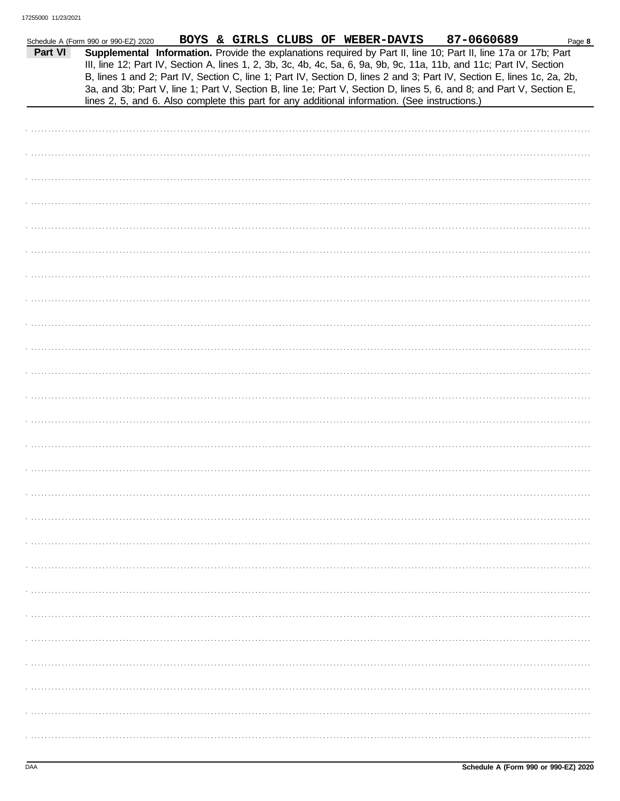|         | Schedule A (Form 990 or 990-EZ) 2020 |  |  | BOYS & GIRLS CLUBS OF WEBER-DAVIS                                                              | 87-0660689                                                                                                                                                                                                                                                                                                                                                                                                                                                                                | Page 8 |
|---------|--------------------------------------|--|--|------------------------------------------------------------------------------------------------|-------------------------------------------------------------------------------------------------------------------------------------------------------------------------------------------------------------------------------------------------------------------------------------------------------------------------------------------------------------------------------------------------------------------------------------------------------------------------------------------|--------|
| Part VI |                                      |  |  | lines 2, 5, and 6. Also complete this part for any additional information. (See instructions.) | Supplemental Information. Provide the explanations required by Part II, line 10; Part II, line 17a or 17b; Part<br>III, line 12; Part IV, Section A, lines 1, 2, 3b, 3c, 4b, 4c, 5a, 6, 9a, 9b, 9c, 11a, 11b, and 11c; Part IV, Section<br>B, lines 1 and 2; Part IV, Section C, line 1; Part IV, Section D, lines 2 and 3; Part IV, Section E, lines 1c, 2a, 2b,<br>3a, and 3b; Part V, line 1; Part V, Section B, line 1e; Part V, Section D, lines 5, 6, and 8; and Part V, Section E, |        |
|         |                                      |  |  |                                                                                                |                                                                                                                                                                                                                                                                                                                                                                                                                                                                                           |        |
|         |                                      |  |  |                                                                                                |                                                                                                                                                                                                                                                                                                                                                                                                                                                                                           |        |
|         |                                      |  |  |                                                                                                |                                                                                                                                                                                                                                                                                                                                                                                                                                                                                           |        |
|         |                                      |  |  |                                                                                                |                                                                                                                                                                                                                                                                                                                                                                                                                                                                                           |        |
|         |                                      |  |  |                                                                                                |                                                                                                                                                                                                                                                                                                                                                                                                                                                                                           |        |
|         |                                      |  |  |                                                                                                |                                                                                                                                                                                                                                                                                                                                                                                                                                                                                           |        |
|         |                                      |  |  |                                                                                                |                                                                                                                                                                                                                                                                                                                                                                                                                                                                                           |        |
|         |                                      |  |  |                                                                                                |                                                                                                                                                                                                                                                                                                                                                                                                                                                                                           |        |
|         |                                      |  |  |                                                                                                |                                                                                                                                                                                                                                                                                                                                                                                                                                                                                           |        |
|         |                                      |  |  |                                                                                                |                                                                                                                                                                                                                                                                                                                                                                                                                                                                                           |        |
|         |                                      |  |  |                                                                                                |                                                                                                                                                                                                                                                                                                                                                                                                                                                                                           |        |
|         |                                      |  |  |                                                                                                |                                                                                                                                                                                                                                                                                                                                                                                                                                                                                           |        |
|         |                                      |  |  |                                                                                                |                                                                                                                                                                                                                                                                                                                                                                                                                                                                                           |        |
|         |                                      |  |  |                                                                                                |                                                                                                                                                                                                                                                                                                                                                                                                                                                                                           |        |
|         |                                      |  |  |                                                                                                |                                                                                                                                                                                                                                                                                                                                                                                                                                                                                           |        |
|         |                                      |  |  |                                                                                                |                                                                                                                                                                                                                                                                                                                                                                                                                                                                                           |        |
|         |                                      |  |  |                                                                                                |                                                                                                                                                                                                                                                                                                                                                                                                                                                                                           |        |
|         |                                      |  |  |                                                                                                |                                                                                                                                                                                                                                                                                                                                                                                                                                                                                           |        |
|         |                                      |  |  |                                                                                                |                                                                                                                                                                                                                                                                                                                                                                                                                                                                                           |        |
|         |                                      |  |  |                                                                                                |                                                                                                                                                                                                                                                                                                                                                                                                                                                                                           |        |
|         |                                      |  |  |                                                                                                |                                                                                                                                                                                                                                                                                                                                                                                                                                                                                           |        |
|         |                                      |  |  |                                                                                                |                                                                                                                                                                                                                                                                                                                                                                                                                                                                                           |        |
|         |                                      |  |  |                                                                                                |                                                                                                                                                                                                                                                                                                                                                                                                                                                                                           |        |
|         |                                      |  |  |                                                                                                |                                                                                                                                                                                                                                                                                                                                                                                                                                                                                           |        |
|         |                                      |  |  |                                                                                                |                                                                                                                                                                                                                                                                                                                                                                                                                                                                                           |        |
|         |                                      |  |  |                                                                                                |                                                                                                                                                                                                                                                                                                                                                                                                                                                                                           |        |
|         |                                      |  |  |                                                                                                |                                                                                                                                                                                                                                                                                                                                                                                                                                                                                           |        |
|         |                                      |  |  |                                                                                                |                                                                                                                                                                                                                                                                                                                                                                                                                                                                                           |        |
|         |                                      |  |  |                                                                                                |                                                                                                                                                                                                                                                                                                                                                                                                                                                                                           |        |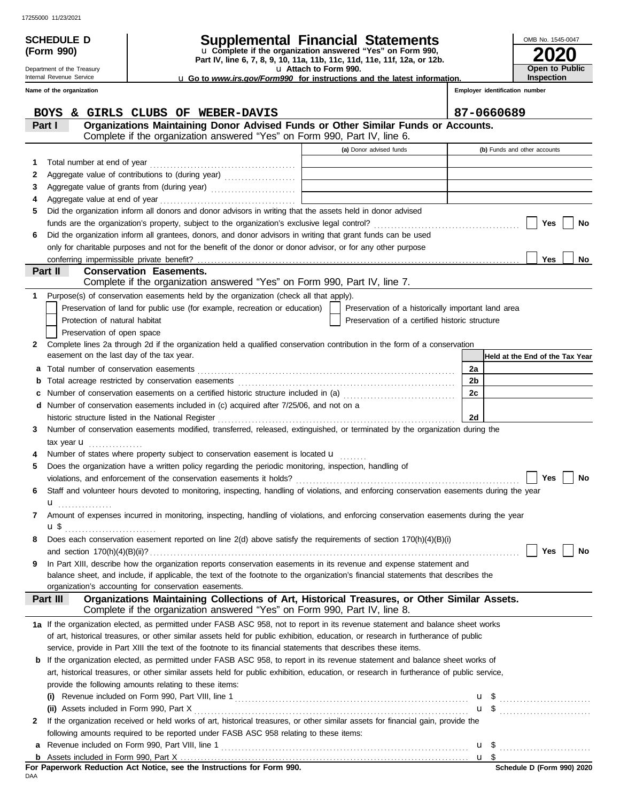**(Form 990)**

Department of the Treasury Internal Revenue Service

# **SCHEDULE D Supplemental Financial Statements**

**Part IV, line 6, 7, 8, 9, 10, 11a, 11b, 11c, 11d, 11e, 11f, 12a, or 12b.** u **Complete if the organization answered "Yes" on Form 990,**

u **Attach to Form 990.** 

u **Go to** *www.irs.gov/Form990* **for instructions and the latest information.**

**2020** OMB No. 1545-0047 **Open to Public Inspection**

**Employer identification number**

|              | Name of the organization                                                                                       |                                                                                                                                           | Employer identification number                                                                       |                |                                 |  |  |  |  |
|--------------|----------------------------------------------------------------------------------------------------------------|-------------------------------------------------------------------------------------------------------------------------------------------|------------------------------------------------------------------------------------------------------|----------------|---------------------------------|--|--|--|--|
|              |                                                                                                                | BOYS & GIRLS CLUBS OF WEBER-DAVIS                                                                                                         |                                                                                                      |                | 87-0660689                      |  |  |  |  |
|              | Part I                                                                                                         | Organizations Maintaining Donor Advised Funds or Other Similar Funds or Accounts.                                                         |                                                                                                      |                |                                 |  |  |  |  |
|              |                                                                                                                | Complete if the organization answered "Yes" on Form 990, Part IV, line 6.                                                                 |                                                                                                      |                |                                 |  |  |  |  |
|              |                                                                                                                |                                                                                                                                           | (a) Donor advised funds                                                                              |                | (b) Funds and other accounts    |  |  |  |  |
| 1            |                                                                                                                | Total number at end of year                                                                                                               |                                                                                                      |                |                                 |  |  |  |  |
| 2            |                                                                                                                | Aggregate value of contributions to (during year)                                                                                         |                                                                                                      |                |                                 |  |  |  |  |
| 3            |                                                                                                                |                                                                                                                                           |                                                                                                      |                |                                 |  |  |  |  |
| 4            |                                                                                                                |                                                                                                                                           |                                                                                                      |                |                                 |  |  |  |  |
| 5            |                                                                                                                | Did the organization inform all donors and donor advisors in writing that the assets held in donor advised                                |                                                                                                      |                |                                 |  |  |  |  |
|              |                                                                                                                |                                                                                                                                           |                                                                                                      |                | Yes<br>No                       |  |  |  |  |
| 6            |                                                                                                                | Did the organization inform all grantees, donors, and donor advisors in writing that grant funds can be used                              |                                                                                                      |                |                                 |  |  |  |  |
|              |                                                                                                                | only for charitable purposes and not for the benefit of the donor or donor advisor, or for any other purpose                              |                                                                                                      |                |                                 |  |  |  |  |
|              |                                                                                                                |                                                                                                                                           |                                                                                                      |                | Yes<br>No                       |  |  |  |  |
|              | Part II                                                                                                        | <b>Conservation Easements.</b><br>Complete if the organization answered "Yes" on Form 990, Part IV, line 7.                               |                                                                                                      |                |                                 |  |  |  |  |
|              |                                                                                                                |                                                                                                                                           |                                                                                                      |                |                                 |  |  |  |  |
| 1            |                                                                                                                | Purpose(s) of conservation easements held by the organization (check all that apply).                                                     |                                                                                                      |                |                                 |  |  |  |  |
|              |                                                                                                                | Preservation of land for public use (for example, recreation or education)<br>Protection of natural habitat                               | Preservation of a historically important land area<br>Preservation of a certified historic structure |                |                                 |  |  |  |  |
|              |                                                                                                                | Preservation of open space                                                                                                                |                                                                                                      |                |                                 |  |  |  |  |
| 2            |                                                                                                                | Complete lines 2a through 2d if the organization held a qualified conservation contribution in the form of a conservation                 |                                                                                                      |                |                                 |  |  |  |  |
|              |                                                                                                                | easement on the last day of the tax year.                                                                                                 |                                                                                                      |                | Held at the End of the Tax Year |  |  |  |  |
| а            |                                                                                                                |                                                                                                                                           |                                                                                                      | 2a             |                                 |  |  |  |  |
| $\mathbf b$  |                                                                                                                |                                                                                                                                           |                                                                                                      | 2 <sub>b</sub> |                                 |  |  |  |  |
| c            |                                                                                                                | Number of conservation easements on a certified historic structure included in (a) [[[[[[[[[[[[[[[[[[[[[[[[[]]]]]]]                       |                                                                                                      | 2c             |                                 |  |  |  |  |
| d            |                                                                                                                | Number of conservation easements included in (c) acquired after 7/25/06, and not on a                                                     |                                                                                                      |                |                                 |  |  |  |  |
|              |                                                                                                                |                                                                                                                                           |                                                                                                      | 2d             |                                 |  |  |  |  |
| 3            |                                                                                                                | Number of conservation easements modified, transferred, released, extinguished, or terminated by the organization during the              |                                                                                                      |                |                                 |  |  |  |  |
|              |                                                                                                                | tax year $\mathbf u$                                                                                                                      |                                                                                                      |                |                                 |  |  |  |  |
|              |                                                                                                                | Number of states where property subject to conservation easement is located u                                                             |                                                                                                      |                |                                 |  |  |  |  |
| 5            |                                                                                                                | Does the organization have a written policy regarding the periodic monitoring, inspection, handling of                                    |                                                                                                      |                |                                 |  |  |  |  |
|              |                                                                                                                |                                                                                                                                           |                                                                                                      |                | No<br>Yes                       |  |  |  |  |
| 6            |                                                                                                                | Staff and volunteer hours devoted to monitoring, inspecting, handling of violations, and enforcing conservation easements during the year |                                                                                                      |                |                                 |  |  |  |  |
|              | u                                                                                                              |                                                                                                                                           |                                                                                                      |                |                                 |  |  |  |  |
| 7            |                                                                                                                | Amount of expenses incurred in monitoring, inspecting, handling of violations, and enforcing conservation easements during the year       |                                                                                                      |                |                                 |  |  |  |  |
|              | $\mathbf{u}$                                                                                                   |                                                                                                                                           |                                                                                                      |                |                                 |  |  |  |  |
|              |                                                                                                                | Does each conservation easement reported on line 2(d) above satisfy the requirements of section 170(h)(4)(B)(i)                           |                                                                                                      |                | Yes<br>No                       |  |  |  |  |
| 9            |                                                                                                                | In Part XIII, describe how the organization reports conservation easements in its revenue and expense statement and                       |                                                                                                      |                |                                 |  |  |  |  |
|              |                                                                                                                | balance sheet, and include, if applicable, the text of the footnote to the organization's financial statements that describes the         |                                                                                                      |                |                                 |  |  |  |  |
|              |                                                                                                                | organization's accounting for conservation easements.                                                                                     |                                                                                                      |                |                                 |  |  |  |  |
|              | Part III                                                                                                       | Organizations Maintaining Collections of Art, Historical Treasures, or Other Similar Assets.                                              |                                                                                                      |                |                                 |  |  |  |  |
|              |                                                                                                                | Complete if the organization answered "Yes" on Form 990, Part IV, line 8.                                                                 |                                                                                                      |                |                                 |  |  |  |  |
|              |                                                                                                                | 1a If the organization elected, as permitted under FASB ASC 958, not to report in its revenue statement and balance sheet works           |                                                                                                      |                |                                 |  |  |  |  |
|              |                                                                                                                | of art, historical treasures, or other similar assets held for public exhibition, education, or research in furtherance of public         |                                                                                                      |                |                                 |  |  |  |  |
|              | service, provide in Part XIII the text of the footnote to its financial statements that describes these items. |                                                                                                                                           |                                                                                                      |                |                                 |  |  |  |  |
| b            |                                                                                                                | If the organization elected, as permitted under FASB ASC 958, to report in its revenue statement and balance sheet works of               |                                                                                                      |                |                                 |  |  |  |  |
|              |                                                                                                                | art, historical treasures, or other similar assets held for public exhibition, education, or research in furtherance of public service,   |                                                                                                      |                |                                 |  |  |  |  |
|              | provide the following amounts relating to these items:                                                         |                                                                                                                                           |                                                                                                      |                |                                 |  |  |  |  |
|              | $\left( 1\right)$                                                                                              |                                                                                                                                           |                                                                                                      |                |                                 |  |  |  |  |
|              |                                                                                                                |                                                                                                                                           |                                                                                                      |                | $\mathbf{u}$ \$                 |  |  |  |  |
| $\mathbf{2}$ |                                                                                                                | If the organization received or held works of art, historical treasures, or other similar assets for financial gain, provide the          |                                                                                                      |                |                                 |  |  |  |  |
|              |                                                                                                                | following amounts required to be reported under FASB ASC 958 relating to these items:                                                     |                                                                                                      |                |                                 |  |  |  |  |
| а            |                                                                                                                |                                                                                                                                           |                                                                                                      |                |                                 |  |  |  |  |
|              |                                                                                                                |                                                                                                                                           |                                                                                                      |                |                                 |  |  |  |  |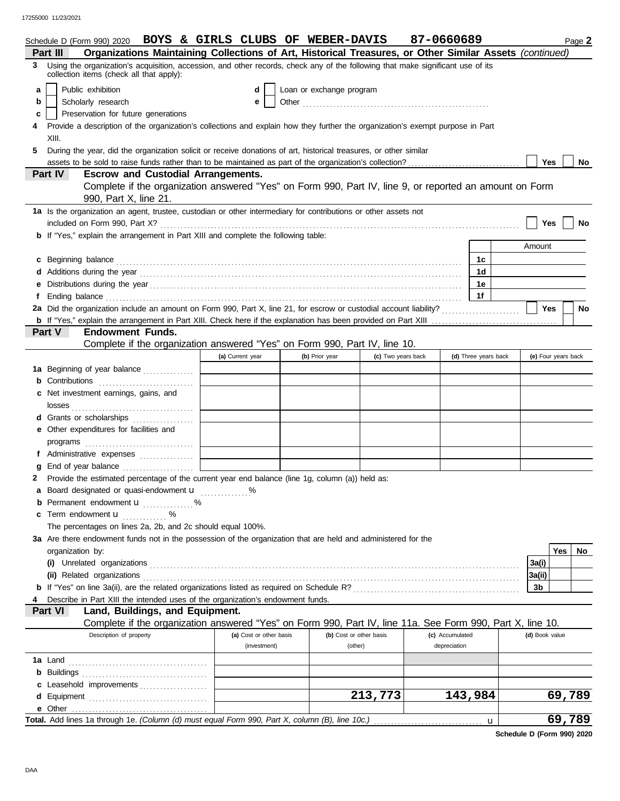|   | Schedule D (Form 990) 2020 BOYS & GIRLS CLUBS OF WEBER-DAVIS                                                                                                                |                         |                          |                         | 87-0660689      |                      |                     |     | Page 2    |
|---|-----------------------------------------------------------------------------------------------------------------------------------------------------------------------------|-------------------------|--------------------------|-------------------------|-----------------|----------------------|---------------------|-----|-----------|
|   | Organizations Maintaining Collections of Art, Historical Treasures, or Other Similar Assets (continued)<br>Part III                                                         |                         |                          |                         |                 |                      |                     |     |           |
|   | Using the organization's acquisition, accession, and other records, check any of the following that make significant use of its<br>collection items (check all that apply): |                         |                          |                         |                 |                      |                     |     |           |
| a | Public exhibition                                                                                                                                                           | d                       | Loan or exchange program |                         |                 |                      |                     |     |           |
| b | Scholarly research                                                                                                                                                          | е                       |                          |                         |                 |                      |                     |     |           |
| c | Preservation for future generations                                                                                                                                         |                         |                          |                         |                 |                      |                     |     |           |
|   | Provide a description of the organization's collections and explain how they further the organization's exempt purpose in Part                                              |                         |                          |                         |                 |                      |                     |     |           |
|   | XIII.                                                                                                                                                                       |                         |                          |                         |                 |                      |                     |     |           |
| 5 | During the year, did the organization solicit or receive donations of art, historical treasures, or other similar                                                           |                         |                          |                         |                 |                      |                     |     |           |
|   |                                                                                                                                                                             |                         |                          |                         |                 |                      | <b>Yes</b>          |     | No        |
|   | Part IV<br><b>Escrow and Custodial Arrangements.</b>                                                                                                                        |                         |                          |                         |                 |                      |                     |     |           |
|   | Complete if the organization answered "Yes" on Form 990, Part IV, line 9, or reported an amount on Form                                                                     |                         |                          |                         |                 |                      |                     |     |           |
|   | 990, Part X, line 21.                                                                                                                                                       |                         |                          |                         |                 |                      |                     |     |           |
|   | 1a Is the organization an agent, trustee, custodian or other intermediary for contributions or other assets not                                                             |                         |                          |                         |                 |                      |                     |     |           |
|   |                                                                                                                                                                             |                         |                          |                         |                 |                      | Yes                 |     | No        |
|   | <b>b</b> If "Yes," explain the arrangement in Part XIII and complete the following table:                                                                                   |                         |                          |                         |                 |                      |                     |     |           |
|   |                                                                                                                                                                             |                         |                          |                         |                 |                      | Amount              |     |           |
| C |                                                                                                                                                                             |                         |                          |                         |                 | 1c                   |                     |     |           |
|   |                                                                                                                                                                             |                         |                          |                         |                 | 1d                   |                     |     |           |
|   |                                                                                                                                                                             |                         |                          |                         |                 | 1e                   |                     |     |           |
|   |                                                                                                                                                                             |                         |                          |                         |                 | 1f                   |                     |     |           |
|   |                                                                                                                                                                             |                         |                          |                         |                 |                      | <b>Yes</b>          |     | No        |
|   |                                                                                                                                                                             |                         |                          |                         |                 |                      |                     |     |           |
|   | <b>Part V</b><br><b>Endowment Funds.</b>                                                                                                                                    |                         |                          |                         |                 |                      |                     |     |           |
|   | Complete if the organization answered "Yes" on Form 990, Part IV, line 10.                                                                                                  |                         |                          |                         |                 |                      |                     |     |           |
|   |                                                                                                                                                                             | (a) Current year        | (b) Prior year           | (c) Two years back      |                 | (d) Three years back | (e) Four years back |     |           |
|   |                                                                                                                                                                             |                         |                          |                         |                 |                      |                     |     |           |
|   | <b>1a</b> Beginning of year balance<br>Contributions                                                                                                                        |                         |                          |                         |                 |                      |                     |     |           |
|   |                                                                                                                                                                             |                         |                          |                         |                 |                      |                     |     |           |
|   | Net investment earnings, gains, and                                                                                                                                         |                         |                          |                         |                 |                      |                     |     |           |
|   | losses                                                                                                                                                                      |                         |                          |                         |                 |                      |                     |     |           |
|   | Grants or scholarships<br>.                                                                                                                                                 |                         |                          |                         |                 |                      |                     |     |           |
|   | Other expenditures for facilities and                                                                                                                                       |                         |                          |                         |                 |                      |                     |     |           |
|   |                                                                                                                                                                             |                         |                          |                         |                 |                      |                     |     |           |
| f | Administrative expenses                                                                                                                                                     |                         |                          |                         |                 |                      |                     |     |           |
|   | End of year balance                                                                                                                                                         |                         |                          |                         |                 |                      |                     |     |           |
|   | Provide the estimated percentage of the current year end balance (line 1g, column (a)) held as:                                                                             |                         |                          |                         |                 |                      |                     |     |           |
|   | Board designated or quasi-endowment <b>u</b> %                                                                                                                              |                         |                          |                         |                 |                      |                     |     |           |
|   | Permanent endowment <b>u</b> %                                                                                                                                              |                         |                          |                         |                 |                      |                     |     |           |
|   | Term endowment <b>u</b>                                                                                                                                                     |                         |                          |                         |                 |                      |                     |     |           |
|   | The percentages on lines 2a, 2b, and 2c should equal 100%.                                                                                                                  |                         |                          |                         |                 |                      |                     |     |           |
|   | 3a Are there endowment funds not in the possession of the organization that are held and administered for the                                                               |                         |                          |                         |                 |                      |                     |     |           |
|   | organization by:                                                                                                                                                            |                         |                          |                         |                 |                      |                     | Yes | <b>No</b> |
|   |                                                                                                                                                                             |                         |                          |                         |                 |                      | 3a(i)               |     |           |
|   | (ii) Related organizations                                                                                                                                                  |                         |                          |                         |                 |                      | 3a(ii)              |     |           |
|   |                                                                                                                                                                             |                         |                          |                         |                 |                      | 3b                  |     |           |
|   | Describe in Part XIII the intended uses of the organization's endowment funds.                                                                                              |                         |                          |                         |                 |                      |                     |     |           |
|   | Part VI<br>Land, Buildings, and Equipment.                                                                                                                                  |                         |                          |                         |                 |                      |                     |     |           |
|   | Complete if the organization answered "Yes" on Form 990, Part IV, line 11a. See Form 990, Part X, line 10.                                                                  |                         |                          |                         |                 |                      |                     |     |           |
|   | Description of property                                                                                                                                                     | (a) Cost or other basis |                          | (b) Cost or other basis | (c) Accumulated |                      | (d) Book value      |     |           |
|   |                                                                                                                                                                             | (investment)            |                          | (other)                 | depreciation    |                      |                     |     |           |
|   | <b>1a</b> Land                                                                                                                                                              |                         |                          |                         |                 |                      |                     |     |           |
|   | <b>b</b> Buildings                                                                                                                                                          |                         |                          |                         |                 |                      |                     |     |           |
|   | c Leasehold improvements                                                                                                                                                    |                         |                          |                         |                 |                      |                     |     |           |
|   |                                                                                                                                                                             |                         |                          | 213,773                 |                 | 143,984              |                     |     | 69,789    |
|   | e Other                                                                                                                                                                     |                         |                          |                         |                 |                      |                     |     |           |
|   |                                                                                                                                                                             |                         |                          |                         |                 | u                    |                     |     | 69,789    |

**Schedule D (Form 990) 2020**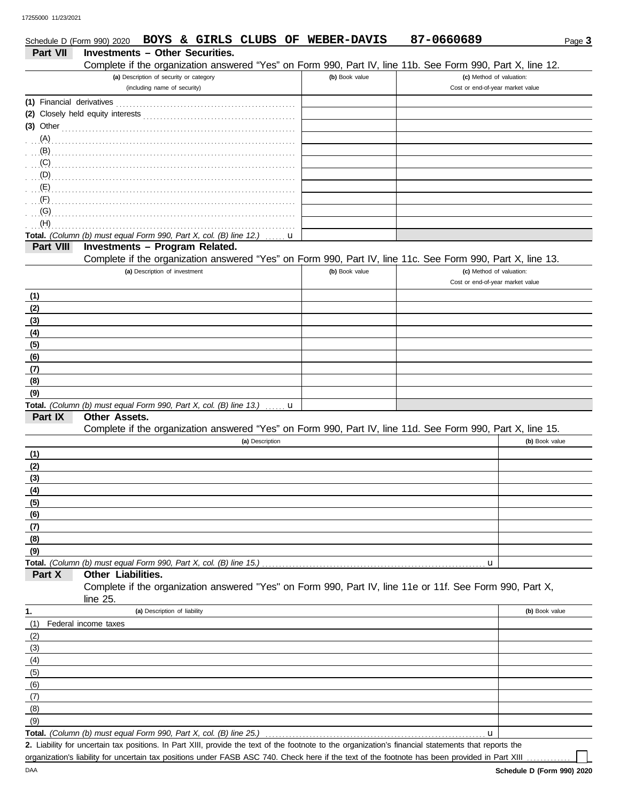|                           |                                                                    |                                         |                 |   | Schedule D (Form 990) 2020 BOYS & GIRLS CLUBS OF WEBER-DAVIS | 87-0660689                                                                                                                                          | Page 3         |
|---------------------------|--------------------------------------------------------------------|-----------------------------------------|-----------------|---|--------------------------------------------------------------|-----------------------------------------------------------------------------------------------------------------------------------------------------|----------------|
| Part VII                  | <b>Investments - Other Securities.</b>                             |                                         |                 |   |                                                              |                                                                                                                                                     |                |
|                           |                                                                    |                                         |                 |   |                                                              | Complete if the organization answered "Yes" on Form 990, Part IV, line 11b. See Form 990, Part X, line 12.                                          |                |
|                           |                                                                    | (a) Description of security or category |                 |   | (b) Book value                                               | (c) Method of valuation:                                                                                                                            |                |
|                           |                                                                    | (including name of security)            |                 |   |                                                              | Cost or end-of-year market value                                                                                                                    |                |
| (1) Financial derivatives |                                                                    |                                         |                 |   |                                                              |                                                                                                                                                     |                |
|                           |                                                                    |                                         |                 |   |                                                              |                                                                                                                                                     |                |
| $(3)$ Other               |                                                                    |                                         |                 |   |                                                              |                                                                                                                                                     |                |
| (A)                       |                                                                    |                                         |                 |   |                                                              |                                                                                                                                                     |                |
| (B)                       |                                                                    |                                         |                 |   |                                                              |                                                                                                                                                     |                |
| (C)                       |                                                                    |                                         |                 |   |                                                              |                                                                                                                                                     |                |
| (D)                       |                                                                    |                                         |                 |   |                                                              |                                                                                                                                                     |                |
| (E)                       |                                                                    |                                         |                 |   |                                                              |                                                                                                                                                     |                |
| (F)                       |                                                                    |                                         |                 |   |                                                              |                                                                                                                                                     |                |
| (G)                       |                                                                    |                                         |                 |   |                                                              |                                                                                                                                                     |                |
| (H)                       |                                                                    |                                         |                 |   |                                                              |                                                                                                                                                     |                |
|                           | Total. (Column (b) must equal Form 990, Part X, col. (B) line 12.) |                                         |                 | u |                                                              |                                                                                                                                                     |                |
| Part VIII                 | <b>Investments - Program Related.</b>                              |                                         |                 |   |                                                              |                                                                                                                                                     |                |
|                           |                                                                    |                                         |                 |   |                                                              | Complete if the organization answered "Yes" on Form 990, Part IV, line 11c. See Form 990, Part X, line 13.                                          |                |
|                           |                                                                    | (a) Description of investment           |                 |   | (b) Book value                                               | (c) Method of valuation:<br>Cost or end-of-year market value                                                                                        |                |
|                           |                                                                    |                                         |                 |   |                                                              |                                                                                                                                                     |                |
| (1)                       |                                                                    |                                         |                 |   |                                                              |                                                                                                                                                     |                |
| (2)                       |                                                                    |                                         |                 |   |                                                              |                                                                                                                                                     |                |
| (3)                       |                                                                    |                                         |                 |   |                                                              |                                                                                                                                                     |                |
| (4)                       |                                                                    |                                         |                 |   |                                                              |                                                                                                                                                     |                |
| (5)                       |                                                                    |                                         |                 |   |                                                              |                                                                                                                                                     |                |
| (6)                       |                                                                    |                                         |                 |   |                                                              |                                                                                                                                                     |                |
| (7)                       |                                                                    |                                         |                 |   |                                                              |                                                                                                                                                     |                |
| (8)                       |                                                                    |                                         |                 |   |                                                              |                                                                                                                                                     |                |
| (9)                       | Total. (Column (b) must equal Form 990, Part X, col. (B) line 13.) |                                         |                 |   |                                                              |                                                                                                                                                     |                |
| Part IX                   | <b>Other Assets.</b>                                               |                                         |                 | u |                                                              |                                                                                                                                                     |                |
|                           |                                                                    |                                         |                 |   |                                                              | Complete if the organization answered "Yes" on Form 990, Part IV, line 11d. See Form 990, Part X, line 15.                                          |                |
|                           |                                                                    |                                         | (a) Description |   |                                                              |                                                                                                                                                     | (b) Book value |
| (1)                       |                                                                    |                                         |                 |   |                                                              |                                                                                                                                                     |                |
| (2)                       |                                                                    |                                         |                 |   |                                                              |                                                                                                                                                     |                |
| (3)                       |                                                                    |                                         |                 |   |                                                              |                                                                                                                                                     |                |
| (4)                       |                                                                    |                                         |                 |   |                                                              |                                                                                                                                                     |                |
| (5)                       |                                                                    |                                         |                 |   |                                                              |                                                                                                                                                     |                |
| (6)                       |                                                                    |                                         |                 |   |                                                              |                                                                                                                                                     |                |
| (7)                       |                                                                    |                                         |                 |   |                                                              |                                                                                                                                                     |                |
| (8)                       |                                                                    |                                         |                 |   |                                                              |                                                                                                                                                     |                |
| (9)                       |                                                                    |                                         |                 |   |                                                              |                                                                                                                                                     |                |
|                           | Total. (Column (b) must equal Form 990, Part X, col. (B) line 15.) |                                         |                 |   |                                                              | u                                                                                                                                                   |                |
| Part X                    | Other Liabilities.                                                 |                                         |                 |   |                                                              |                                                                                                                                                     |                |
|                           |                                                                    |                                         |                 |   |                                                              | Complete if the organization answered "Yes" on Form 990, Part IV, line 11e or 11f. See Form 990, Part X,                                            |                |
|                           | line $25$ .                                                        |                                         |                 |   |                                                              |                                                                                                                                                     |                |
| 1.                        |                                                                    | (a) Description of liability            |                 |   |                                                              |                                                                                                                                                     | (b) Book value |
| (1)                       | Federal income taxes                                               |                                         |                 |   |                                                              |                                                                                                                                                     |                |
| (2)                       |                                                                    |                                         |                 |   |                                                              |                                                                                                                                                     |                |
| (3)                       |                                                                    |                                         |                 |   |                                                              |                                                                                                                                                     |                |
| (4)                       |                                                                    |                                         |                 |   |                                                              |                                                                                                                                                     |                |
| (5)                       |                                                                    |                                         |                 |   |                                                              |                                                                                                                                                     |                |
| (6)                       |                                                                    |                                         |                 |   |                                                              |                                                                                                                                                     |                |
| (7)                       |                                                                    |                                         |                 |   |                                                              |                                                                                                                                                     |                |
| (8)                       |                                                                    |                                         |                 |   |                                                              |                                                                                                                                                     |                |
| (9)                       |                                                                    |                                         |                 |   |                                                              |                                                                                                                                                     |                |
|                           | Total. (Column (b) must equal Form 990, Part X, col. (B) line 25.) |                                         |                 |   |                                                              | u                                                                                                                                                   |                |
|                           |                                                                    |                                         |                 |   |                                                              | 2. Lipbility for uncertain tax positions, In Part YIII, provide the toy of the feetnets to the erganization's financial statements that reports the |                |

Liability for uncertain tax positions. In Part XIII, provide the text of the footnote to the organization's financial statements that reports the **2.** organization's liability for uncertain tax positions under FASB ASC 740. Check here if the text of the footnote has been provided in Part XIII

|  |                     | I DUID & GIKLD CLUDD UP |  |
|--|---------------------|-------------------------|--|
|  | nto Athor Conviting |                         |  |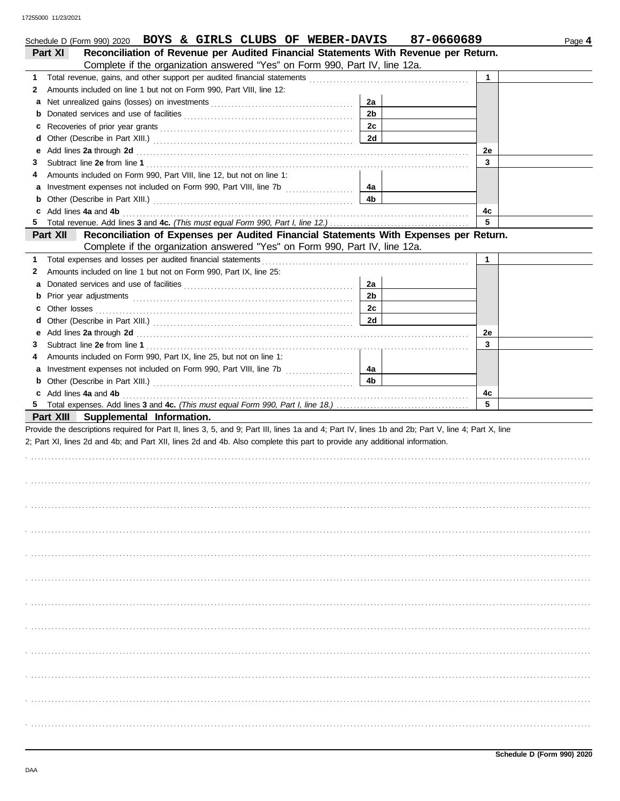|    | Schedule D (Form 990) 2020 BOYS & GIRLS CLUBS OF WEBER-DAVIS                                                                                                                                                                  |                | 87-0660689 |              | Page 4 |
|----|-------------------------------------------------------------------------------------------------------------------------------------------------------------------------------------------------------------------------------|----------------|------------|--------------|--------|
|    | Reconciliation of Revenue per Audited Financial Statements With Revenue per Return.<br>Part XI                                                                                                                                |                |            |              |        |
|    | Complete if the organization answered "Yes" on Form 990, Part IV, line 12a.                                                                                                                                                   |                |            |              |        |
| 1. |                                                                                                                                                                                                                               |                |            | $\mathbf{1}$ |        |
| 2  | Amounts included on line 1 but not on Form 990, Part VIII, line 12:                                                                                                                                                           |                |            |              |        |
| a  |                                                                                                                                                                                                                               | 2a             |            |              |        |
| b  |                                                                                                                                                                                                                               | 2 <sub>b</sub> |            |              |        |
| c  |                                                                                                                                                                                                                               | 2c             |            |              |        |
| d  |                                                                                                                                                                                                                               | <b>2d</b>      |            |              |        |
| е  | Add lines 2a through 2d [11] Add [12] Add lines 2a through 2d [12] Add lines 2a through 2d [12] Add lines 2a through 2d [12] Add and Addu                                                                                     |                |            | 2e           |        |
| З  |                                                                                                                                                                                                                               |                |            | 3            |        |
| 4  | Amounts included on Form 990, Part VIII, line 12, but not on line 1:                                                                                                                                                          |                |            |              |        |
| a  |                                                                                                                                                                                                                               | 4a             |            |              |        |
| b  |                                                                                                                                                                                                                               | 4b             |            |              |        |
| c  | Add lines 4a and 4b                                                                                                                                                                                                           |                |            | 4с           |        |
| 5. |                                                                                                                                                                                                                               |                |            | 5            |        |
|    | Reconciliation of Expenses per Audited Financial Statements With Expenses per Return.<br>Part XII                                                                                                                             |                |            |              |        |
|    | Complete if the organization answered "Yes" on Form 990, Part IV, line 12a.                                                                                                                                                   |                |            |              |        |
| 1. | Total expenses and losses per audited financial statements                                                                                                                                                                    |                |            | 1            |        |
| 2  | Amounts included on line 1 but not on Form 990, Part IX, line 25:                                                                                                                                                             |                |            |              |        |
| а  |                                                                                                                                                                                                                               | 2a             |            |              |        |
| b  |                                                                                                                                                                                                                               | 2 <sub>b</sub> |            |              |        |
| c  | Other losses                                                                                                                                                                                                                  | 2c             |            |              |        |
| d  |                                                                                                                                                                                                                               | 2d             |            |              |        |
| е  | Add lines 2a through 2d [11] Additional Property and Property and Property and Property and Property and Property and Property and Property and Property and Property and Property and Property and Property and Property and |                |            | 2e           |        |
| 3  |                                                                                                                                                                                                                               |                |            | 3            |        |
| 4  | Amounts included on Form 990, Part IX, line 25, but not on line 1:                                                                                                                                                            |                |            |              |        |
| a  | Investment expenses not included on Form 990, Part VIII, line 7b [                                                                                                                                                            | 4a             |            |              |        |
| b  |                                                                                                                                                                                                                               | 4b             |            |              |        |
|    | c Add lines 4a and 4b                                                                                                                                                                                                         |                |            | 4c           |        |
|    |                                                                                                                                                                                                                               |                |            | 5            |        |
|    | Part XIII Supplemental Information.                                                                                                                                                                                           |                |            |              |        |
|    | Provide the descriptions required for Part II, lines 3, 5, and 9; Part III, lines 1a and 4; Part IV, lines 1b and 2b; Part V, line 4; Part X, line                                                                            |                |            |              |        |
|    | 2; Part XI, lines 2d and 4b; and Part XII, lines 2d and 4b. Also complete this part to provide any additional information.                                                                                                    |                |            |              |        |
|    |                                                                                                                                                                                                                               |                |            |              |        |
|    |                                                                                                                                                                                                                               |                |            |              |        |
|    |                                                                                                                                                                                                                               |                |            |              |        |
|    |                                                                                                                                                                                                                               |                |            |              |        |
|    |                                                                                                                                                                                                                               |                |            |              |        |
|    |                                                                                                                                                                                                                               |                |            |              |        |
|    |                                                                                                                                                                                                                               |                |            |              |        |
|    |                                                                                                                                                                                                                               |                |            |              |        |
|    |                                                                                                                                                                                                                               |                |            |              |        |
|    |                                                                                                                                                                                                                               |                |            |              |        |
|    |                                                                                                                                                                                                                               |                |            |              |        |
|    |                                                                                                                                                                                                                               |                |            |              |        |
|    |                                                                                                                                                                                                                               |                |            |              |        |
|    |                                                                                                                                                                                                                               |                |            |              |        |
|    |                                                                                                                                                                                                                               |                |            |              |        |
|    |                                                                                                                                                                                                                               |                |            |              |        |
|    |                                                                                                                                                                                                                               |                |            |              |        |
|    |                                                                                                                                                                                                                               |                |            |              |        |
|    |                                                                                                                                                                                                                               |                |            |              |        |
|    |                                                                                                                                                                                                                               |                |            |              |        |
|    |                                                                                                                                                                                                                               |                |            |              |        |
|    |                                                                                                                                                                                                                               |                |            |              |        |
|    |                                                                                                                                                                                                                               |                |            |              |        |
|    |                                                                                                                                                                                                                               |                |            |              |        |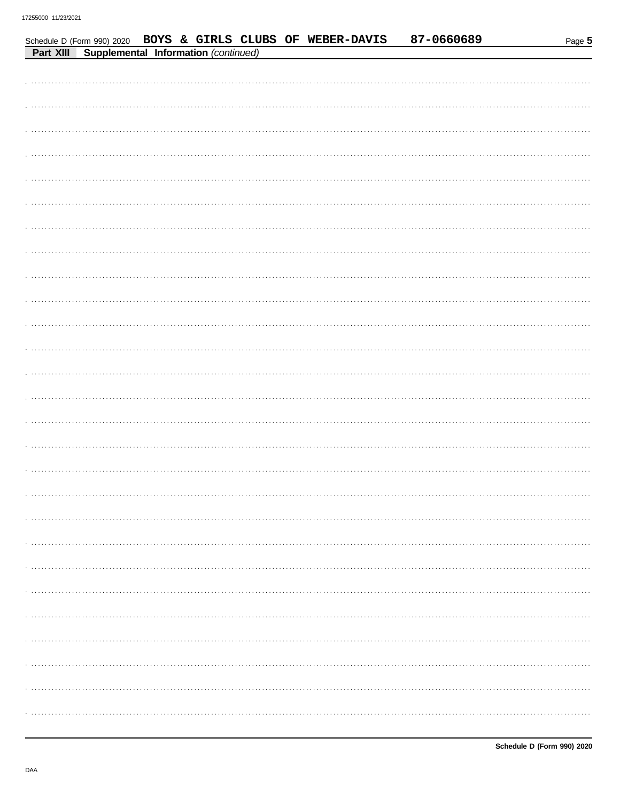|           |                                      |  |  | Schedule D (Form 990) 2020 BOYS & GIRLS CLUBS OF WEBER-DAVIS | 87-0660689 | Page 5 |
|-----------|--------------------------------------|--|--|--------------------------------------------------------------|------------|--------|
| Part XIII | Supplemental Information (continued) |  |  |                                                              |            |        |
|           |                                      |  |  |                                                              |            |        |
|           |                                      |  |  |                                                              |            |        |
|           |                                      |  |  |                                                              |            |        |
|           |                                      |  |  |                                                              |            |        |
|           |                                      |  |  |                                                              |            |        |
|           |                                      |  |  |                                                              |            |        |
|           |                                      |  |  |                                                              |            |        |
|           |                                      |  |  |                                                              |            |        |
|           |                                      |  |  |                                                              |            |        |
|           |                                      |  |  |                                                              |            |        |
|           |                                      |  |  |                                                              |            |        |
|           |                                      |  |  |                                                              |            |        |
|           |                                      |  |  |                                                              |            |        |
|           |                                      |  |  |                                                              |            |        |
|           |                                      |  |  |                                                              |            |        |
|           |                                      |  |  |                                                              |            |        |
|           |                                      |  |  |                                                              |            |        |
|           |                                      |  |  |                                                              |            |        |
|           |                                      |  |  |                                                              |            |        |
|           |                                      |  |  |                                                              |            |        |
|           |                                      |  |  |                                                              |            |        |
|           |                                      |  |  |                                                              |            |        |
|           |                                      |  |  |                                                              |            |        |
|           |                                      |  |  |                                                              |            |        |
|           |                                      |  |  |                                                              |            |        |
|           |                                      |  |  |                                                              |            |        |
|           |                                      |  |  |                                                              |            |        |
|           |                                      |  |  |                                                              |            |        |
|           |                                      |  |  |                                                              |            |        |
|           |                                      |  |  |                                                              |            |        |
|           |                                      |  |  |                                                              |            |        |
|           |                                      |  |  |                                                              |            |        |
|           |                                      |  |  |                                                              |            |        |
|           |                                      |  |  |                                                              |            |        |
|           |                                      |  |  |                                                              |            |        |
|           |                                      |  |  |                                                              |            |        |
|           |                                      |  |  |                                                              |            |        |
|           |                                      |  |  |                                                              |            |        |
|           |                                      |  |  |                                                              |            |        |
|           |                                      |  |  |                                                              |            |        |
|           |                                      |  |  |                                                              |            |        |
|           |                                      |  |  |                                                              |            |        |
|           |                                      |  |  |                                                              |            |        |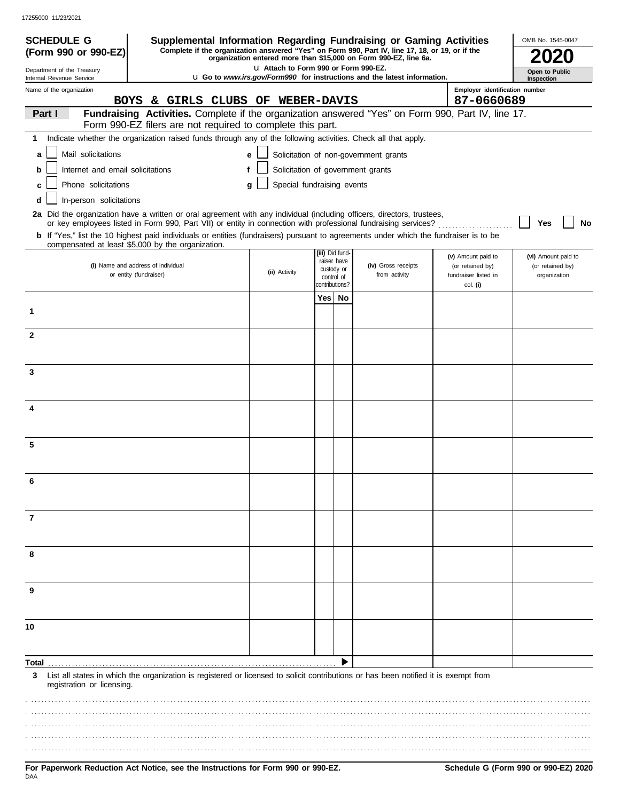17255000 11/23/2021

| <b>SCHEDULE G</b>                                      | Supplemental Information Regarding Fundraising or Gaming Activities<br>Complete if the organization answered "Yes" on Form 990, Part IV, line 17, 18, or 19, or if the                                                                   |                                       |                 |             |                                                                                 |                                              | OMB No. 1545-0047                |
|--------------------------------------------------------|------------------------------------------------------------------------------------------------------------------------------------------------------------------------------------------------------------------------------------------|---------------------------------------|-----------------|-------------|---------------------------------------------------------------------------------|----------------------------------------------|----------------------------------|
| (Form 990 or 990-EZ)                                   |                                                                                                                                                                                                                                          |                                       |                 |             | organization entered more than \$15,000 on Form 990-EZ, line 6a.                |                                              |                                  |
| Department of the Treasury<br>Internal Revenue Service |                                                                                                                                                                                                                                          | LI Attach to Form 990 or Form 990-EZ. |                 |             | <b>u</b> Go to www.irs.gov/Form990 for instructions and the latest information. |                                              | Open to Public<br>Inspection     |
| Name of the organization                               | BOYS & GIRLS CLUBS OF WEBER-DAVIS                                                                                                                                                                                                        |                                       |                 |             |                                                                                 | Employer identification number<br>87-0660689 |                                  |
| Part I                                                 | Fundraising Activities. Complete if the organization answered "Yes" on Form 990, Part IV, line 17.                                                                                                                                       |                                       |                 |             |                                                                                 |                                              |                                  |
|                                                        | Form 990-EZ filers are not required to complete this part.                                                                                                                                                                               |                                       |                 |             |                                                                                 |                                              |                                  |
| 1                                                      | Indicate whether the organization raised funds through any of the following activities. Check all that apply.                                                                                                                            |                                       |                 |             |                                                                                 |                                              |                                  |
| Mail solicitations<br>a                                |                                                                                                                                                                                                                                          | e                                     |                 |             | Solicitation of non-government grants                                           |                                              |                                  |
| Internet and email solicitations<br>b                  |                                                                                                                                                                                                                                          | f                                     |                 |             | Solicitation of government grants                                               |                                              |                                  |
| Phone solicitations<br>с                               |                                                                                                                                                                                                                                          | Special fundraising events<br>g       |                 |             |                                                                                 |                                              |                                  |
| In-person solicitations<br>d                           |                                                                                                                                                                                                                                          |                                       |                 |             |                                                                                 |                                              |                                  |
|                                                        | 2a Did the organization have a written or oral agreement with any individual (including officers, directors, trustees,<br>or key employees listed in Form 990, Part VII) or entity in connection with professional fundraising services? |                                       |                 |             |                                                                                 |                                              | Yes<br>No                        |
|                                                        | <b>b</b> If "Yes," list the 10 highest paid individuals or entities (fundraisers) pursuant to agreements under which the fundraiser is to be<br>compensated at least \$5,000 by the organization.                                        |                                       |                 |             |                                                                                 |                                              |                                  |
|                                                        |                                                                                                                                                                                                                                          |                                       | (iii) Did fund- | raiser have |                                                                                 | (v) Amount paid to                           | (vi) Amount paid to              |
|                                                        | (i) Name and address of individual<br>or entity (fundraiser)                                                                                                                                                                             | (ii) Activity                         | custody or      | control of  | (iv) Gross receipts<br>from activity                                            | (or retained by)<br>fundraiser listed in     | (or retained by)<br>organization |
|                                                        |                                                                                                                                                                                                                                          |                                       | contributions?  |             |                                                                                 | col. (i)                                     |                                  |
|                                                        |                                                                                                                                                                                                                                          |                                       | Yes   No        |             |                                                                                 |                                              |                                  |
| 1                                                      |                                                                                                                                                                                                                                          |                                       |                 |             |                                                                                 |                                              |                                  |
| $\mathbf{2}$                                           |                                                                                                                                                                                                                                          |                                       |                 |             |                                                                                 |                                              |                                  |
|                                                        |                                                                                                                                                                                                                                          |                                       |                 |             |                                                                                 |                                              |                                  |
| 3                                                      |                                                                                                                                                                                                                                          |                                       |                 |             |                                                                                 |                                              |                                  |
|                                                        |                                                                                                                                                                                                                                          |                                       |                 |             |                                                                                 |                                              |                                  |
| 4                                                      |                                                                                                                                                                                                                                          |                                       |                 |             |                                                                                 |                                              |                                  |
|                                                        |                                                                                                                                                                                                                                          |                                       |                 |             |                                                                                 |                                              |                                  |
| 5                                                      |                                                                                                                                                                                                                                          |                                       |                 |             |                                                                                 |                                              |                                  |
|                                                        |                                                                                                                                                                                                                                          |                                       |                 |             |                                                                                 |                                              |                                  |
|                                                        |                                                                                                                                                                                                                                          |                                       |                 |             |                                                                                 |                                              |                                  |
| 7                                                      |                                                                                                                                                                                                                                          |                                       |                 |             |                                                                                 |                                              |                                  |
|                                                        |                                                                                                                                                                                                                                          |                                       |                 |             |                                                                                 |                                              |                                  |
| 8                                                      |                                                                                                                                                                                                                                          |                                       |                 |             |                                                                                 |                                              |                                  |
|                                                        |                                                                                                                                                                                                                                          |                                       |                 |             |                                                                                 |                                              |                                  |
| 9                                                      |                                                                                                                                                                                                                                          |                                       |                 |             |                                                                                 |                                              |                                  |
| 10                                                     |                                                                                                                                                                                                                                          |                                       |                 |             |                                                                                 |                                              |                                  |
|                                                        |                                                                                                                                                                                                                                          |                                       |                 |             |                                                                                 |                                              |                                  |
| Total                                                  |                                                                                                                                                                                                                                          |                                       |                 |             |                                                                                 |                                              |                                  |
| 3<br>registration or licensing.                        | List all states in which the organization is registered or licensed to solicit contributions or has been notified it is exempt from                                                                                                      |                                       |                 |             |                                                                                 |                                              |                                  |
|                                                        |                                                                                                                                                                                                                                          |                                       |                 |             |                                                                                 |                                              |                                  |
|                                                        |                                                                                                                                                                                                                                          |                                       |                 |             |                                                                                 |                                              |                                  |
|                                                        |                                                                                                                                                                                                                                          |                                       |                 |             |                                                                                 |                                              |                                  |
|                                                        |                                                                                                                                                                                                                                          |                                       |                 |             |                                                                                 |                                              |                                  |
|                                                        |                                                                                                                                                                                                                                          |                                       |                 |             |                                                                                 |                                              |                                  |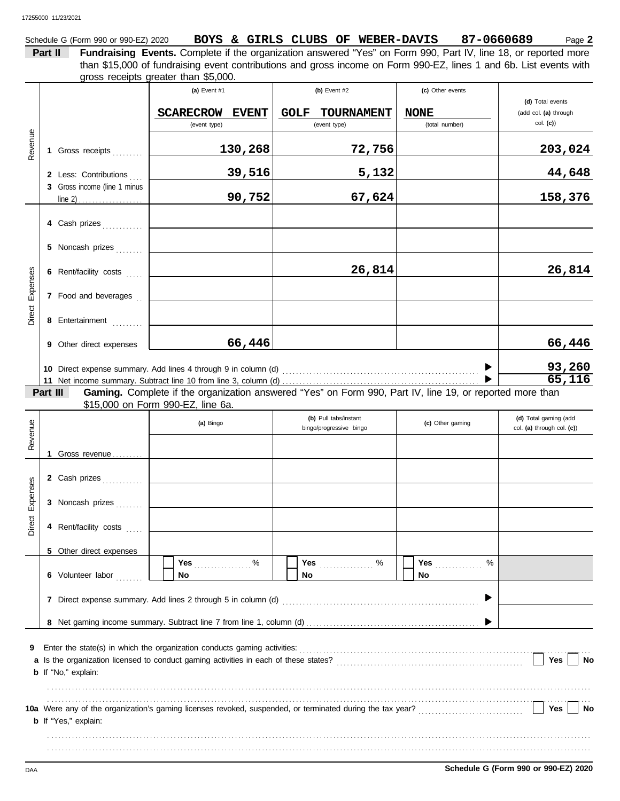| Schedule G (Form 990 or 990-EZ) 2020 |  |  | BOYS & GIRLS CLUBS OF WEBER-DAVIS | 87-0660689 | Page Z |
|--------------------------------------|--|--|-----------------------------------|------------|--------|
|                                      |  |  |                                   |            |        |

**Part II Fundraising Events.** Complete if the organization answered "Yes" on Form 990, Part IV, line 18, or reported more gross receipts greater than \$5,000. than \$15,000 of fundraising event contributions and gross income on Form 990-EZ, lines 1 and 6b. List events with

|                 |          |                                                                                      | (a) Event #1                      |              | (b) Event $#2$                                                                                           | (c) Other events |                                                     |
|-----------------|----------|--------------------------------------------------------------------------------------|-----------------------------------|--------------|----------------------------------------------------------------------------------------------------------|------------------|-----------------------------------------------------|
|                 |          |                                                                                      | <b>SCARECROW</b>                  | <b>EVENT</b> | <b>GOLF</b><br>TOURNAMENT                                                                                | <b>NONE</b>      | (d) Total events<br>(add col. (a) through           |
|                 |          |                                                                                      | (event type)                      |              | (event type)                                                                                             | (total number)   | col. (c)                                            |
| Revenue         |          | 1 Gross receipts                                                                     |                                   | 130,268      | 72,756                                                                                                   |                  | 203,024                                             |
|                 |          | 2 Less: Contributions                                                                |                                   | 39,516       | 5,132                                                                                                    |                  | 44,648                                              |
|                 |          | 3 Gross income (line 1 minus                                                         |                                   |              |                                                                                                          |                  |                                                     |
|                 |          |                                                                                      |                                   | 90,752       | 67,624                                                                                                   |                  | 158,376                                             |
|                 |          | 4 Cash prizes                                                                        |                                   |              |                                                                                                          |                  |                                                     |
|                 |          | 5 Noncash prizes                                                                     |                                   |              |                                                                                                          |                  |                                                     |
|                 |          | 6 Rent/facility costs                                                                |                                   |              | 26,814                                                                                                   |                  | 26,814                                              |
| Direct Expenses |          | 7 Food and beverages                                                                 |                                   |              |                                                                                                          |                  |                                                     |
|                 |          | 8 Entertainment                                                                      |                                   |              |                                                                                                          |                  |                                                     |
|                 |          | 9 Other direct expenses                                                              |                                   | 66,446       |                                                                                                          |                  | 66,446                                              |
|                 |          |                                                                                      |                                   |              |                                                                                                          |                  |                                                     |
|                 |          |                                                                                      |                                   |              |                                                                                                          |                  | $\frac{93,260}{65,116}$                             |
|                 | Part III |                                                                                      |                                   |              | Gaming. Complete if the organization answered "Yes" on Form 990, Part IV, line 19, or reported more than |                  |                                                     |
|                 |          |                                                                                      | \$15,000 on Form 990-EZ, line 6a. |              |                                                                                                          |                  |                                                     |
|                 |          |                                                                                      | (a) Bingo                         |              | (b) Pull tabs/instant<br>bingo/progressive bingo                                                         | (c) Other gaming | (d) Total gaming (add<br>col. (a) through col. (c)) |
| Revenue         |          |                                                                                      |                                   |              |                                                                                                          |                  |                                                     |
|                 |          | 1 Gross revenue                                                                      |                                   |              |                                                                                                          |                  |                                                     |
|                 |          | 2 Cash prizes                                                                        |                                   |              |                                                                                                          |                  |                                                     |
| Direct Expenses |          | 3 Noncash prizes                                                                     |                                   |              |                                                                                                          |                  |                                                     |
|                 |          | 4 Rent/facility costs                                                                |                                   |              |                                                                                                          |                  |                                                     |
|                 |          | 5 Other direct expenses                                                              |                                   |              |                                                                                                          |                  |                                                     |
|                 |          | 6 Volunteer labor                                                                    | Yes<br>No                         | $\%$         | Yes<br>$\%$<br>.<br>No                                                                                   | Yes<br>%<br>No.  |                                                     |
|                 |          | 7 Direct expense summary. Add lines 2 through 5 in column (d)                        |                                   |              |                                                                                                          |                  |                                                     |
|                 |          |                                                                                      |                                   |              |                                                                                                          |                  |                                                     |
|                 |          |                                                                                      |                                   |              |                                                                                                          |                  |                                                     |
| 9               |          | Enter the state(s) in which the organization conducts gaming activities:             |                                   |              |                                                                                                          |                  |                                                     |
|                 |          | a Is the organization licensed to conduct gaming activities in each of these states? |                                   |              |                                                                                                          |                  | Yes<br><b>No</b>                                    |
|                 |          | <b>b</b> If "No," explain:                                                           |                                   |              |                                                                                                          |                  |                                                     |
|                 |          |                                                                                      |                                   |              |                                                                                                          |                  |                                                     |
|                 |          | <b>b</b> If "Yes," explain:                                                          |                                   |              |                                                                                                          |                  | Yes<br>No                                           |
|                 |          |                                                                                      |                                   |              |                                                                                                          |                  |                                                     |
|                 |          |                                                                                      |                                   |              |                                                                                                          |                  |                                                     |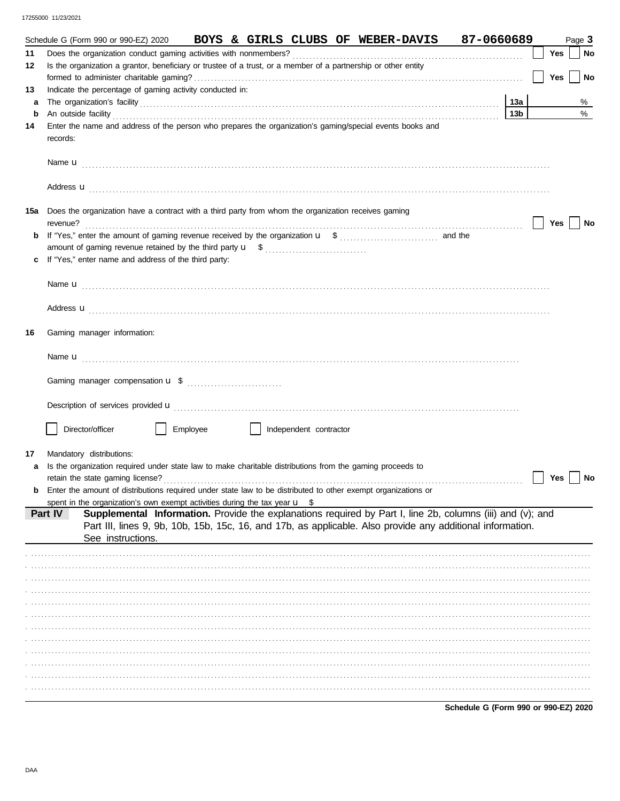|    | 87-0660689<br>Schedule G (Form 990 or 990-EZ) 2020<br>BOYS & GIRLS CLUBS OF WEBER-DAVIS                               |                 |                     | Page 3 |
|----|-----------------------------------------------------------------------------------------------------------------------|-----------------|---------------------|--------|
| 11 | Does the organization conduct gaming activities with nonmembers?                                                      |                 | Yes                 | $ $ No |
| 12 | Is the organization a grantor, beneficiary or trustee of a trust, or a member of a partnership or other entity        |                 |                     |        |
|    |                                                                                                                       |                 | Yes                 | No     |
| 13 | Indicate the percentage of gaming activity conducted in:                                                              |                 |                     |        |
| a  |                                                                                                                       |                 |                     | %      |
| b  | An outside facility                                                                                                   | 13 <sub>b</sub> |                     | %      |
| 14 | Enter the name and address of the person who prepares the organization's gaming/special events books and              |                 |                     |        |
|    | records:                                                                                                              |                 |                     |        |
|    |                                                                                                                       |                 |                     |        |
|    |                                                                                                                       |                 |                     |        |
|    |                                                                                                                       |                 |                     |        |
|    |                                                                                                                       |                 |                     |        |
|    | Address <b>u</b>                                                                                                      |                 |                     |        |
|    | <b>15a</b> Does the organization have a contract with a third party from whom the organization receives gaming        |                 |                     |        |
|    | revenue?                                                                                                              |                 | $\vert$ $\vert$ Yes | No     |
|    |                                                                                                                       |                 |                     |        |
|    |                                                                                                                       |                 |                     |        |
| c  | If "Yes," enter name and address of the third party:                                                                  |                 |                     |        |
|    |                                                                                                                       |                 |                     |        |
|    |                                                                                                                       |                 |                     |        |
|    |                                                                                                                       |                 |                     |        |
|    | Address <b>u</b>                                                                                                      |                 |                     |        |
|    |                                                                                                                       |                 |                     |        |
| 16 | Gaming manager information:                                                                                           |                 |                     |        |
|    |                                                                                                                       |                 |                     |        |
|    |                                                                                                                       |                 |                     |        |
|    |                                                                                                                       |                 |                     |        |
|    |                                                                                                                       |                 |                     |        |
|    |                                                                                                                       |                 |                     |        |
|    |                                                                                                                       |                 |                     |        |
|    | Director/officer<br>Employee<br>    Independent contractor                                                            |                 |                     |        |
|    |                                                                                                                       |                 |                     |        |
| 17 | Mandatory distributions:                                                                                              |                 |                     |        |
| a  | Is the organization required under state law to make charitable distributions from the gaming proceeds to             |                 |                     |        |
|    |                                                                                                                       |                 | Yes                 | No     |
|    | Enter the amount of distributions required under state law to be distributed to other exempt organizations or         |                 |                     |        |
|    | spent in the organization's own exempt activities during the tax year $\mathbf{u}$ \$                                 |                 |                     |        |
|    | Supplemental Information. Provide the explanations required by Part I, line 2b, columns (iii) and (v); and<br>Part IV |                 |                     |        |
|    | Part III, lines 9, 9b, 10b, 15b, 15c, 16, and 17b, as applicable. Also provide any additional information.            |                 |                     |        |
|    | See instructions.                                                                                                     |                 |                     |        |
|    |                                                                                                                       |                 |                     |        |
|    |                                                                                                                       |                 |                     |        |
|    |                                                                                                                       |                 |                     |        |
|    |                                                                                                                       |                 |                     |        |
|    |                                                                                                                       |                 |                     |        |
|    |                                                                                                                       |                 |                     |        |
|    |                                                                                                                       |                 |                     |        |
|    |                                                                                                                       |                 |                     |        |
|    |                                                                                                                       |                 |                     |        |
|    |                                                                                                                       |                 |                     |        |
|    |                                                                                                                       |                 |                     |        |
|    |                                                                                                                       |                 |                     |        |
|    |                                                                                                                       |                 |                     |        |
|    |                                                                                                                       |                 |                     |        |

Schedule G (Form 990 or 990-EZ) 2020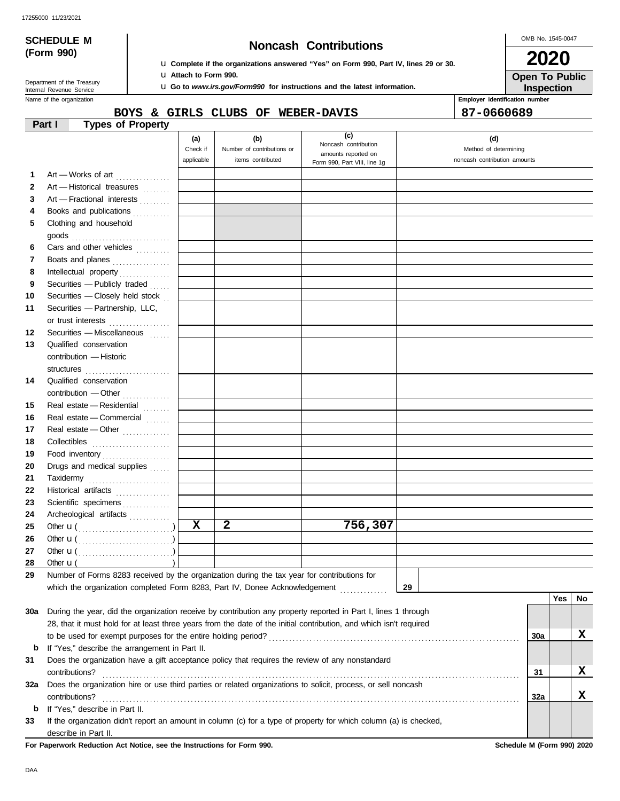OMB No. 1545-0047

|     | <b>SCHEDULE M</b>                                     |                          |                                                                                        | OMB No. 1545-0047                                                                           |                                                                                                                    |                              |            |            |    |  |
|-----|-------------------------------------------------------|--------------------------|----------------------------------------------------------------------------------------|---------------------------------------------------------------------------------------------|--------------------------------------------------------------------------------------------------------------------|------------------------------|------------|------------|----|--|
|     | (Form 990)                                            |                          | <b>Noncash Contributions</b>                                                           |                                                                                             |                                                                                                                    |                              |            |            |    |  |
|     |                                                       |                          |                                                                                        |                                                                                             | <b>u</b> Complete if the organizations answered "Yes" on Form 990, Part IV, lines 29 or 30.                        |                              | 2020       |            |    |  |
|     | Department of the Treasury                            |                          | <b>u</b> Attach to Form 990.                                                           |                                                                                             |                                                                                                                    | <b>Open To Public</b>        |            |            |    |  |
|     | Internal Revenue Service                              |                          | <b>u</b> Go to <i>www.irs.gov/Form990</i> for instructions and the latest information. | Inspection                                                                                  |                                                                                                                    |                              |            |            |    |  |
|     | Name of the organization                              |                          |                                                                                        |                                                                                             | Employer identification number                                                                                     |                              |            |            |    |  |
|     | Part I                                                | <b>Types of Property</b> |                                                                                        | BOYS & GIRLS CLUBS OF WEBER-DAVIS                                                           |                                                                                                                    |                              | 87-0660689 |            |    |  |
|     |                                                       |                          |                                                                                        |                                                                                             | (c)                                                                                                                |                              |            |            |    |  |
|     |                                                       |                          | (a)<br>Check if                                                                        | (b)<br>Number of contributions or                                                           | Noncash contribution                                                                                               | (d)<br>Method of determining |            |            |    |  |
|     |                                                       |                          | applicable                                                                             | items contributed                                                                           | amounts reported on<br>Form 990, Part VIII, line 1g                                                                | noncash contribution amounts |            |            |    |  |
| 1   | Art - Works of art                                    |                          |                                                                                        |                                                                                             |                                                                                                                    |                              |            |            |    |  |
| 2   | Art - Historical treasures                            |                          |                                                                                        |                                                                                             |                                                                                                                    |                              |            |            |    |  |
| 3   | Art - Fractional interests                            |                          |                                                                                        |                                                                                             |                                                                                                                    |                              |            |            |    |  |
| 4   | Books and publications                                |                          |                                                                                        |                                                                                             |                                                                                                                    |                              |            |            |    |  |
| 5   | Clothing and household                                |                          |                                                                                        |                                                                                             |                                                                                                                    |                              |            |            |    |  |
|     |                                                       |                          |                                                                                        |                                                                                             |                                                                                                                    |                              |            |            |    |  |
| 6   | Cars and other vehicles                               |                          |                                                                                        |                                                                                             |                                                                                                                    |                              |            |            |    |  |
| 7   | Boats and planes                                      |                          |                                                                                        |                                                                                             |                                                                                                                    |                              |            |            |    |  |
| 8   |                                                       |                          |                                                                                        |                                                                                             |                                                                                                                    |                              |            |            |    |  |
| 9   | Securities - Publicly traded                          |                          |                                                                                        |                                                                                             |                                                                                                                    |                              |            |            |    |  |
| 10  | Securities - Closely held stock                       |                          |                                                                                        |                                                                                             |                                                                                                                    |                              |            |            |    |  |
| 11  | Securities - Partnership, LLC,                        |                          |                                                                                        |                                                                                             |                                                                                                                    |                              |            |            |    |  |
|     | or trust interests                                    |                          |                                                                                        |                                                                                             |                                                                                                                    |                              |            |            |    |  |
| 12  | Securities - Miscellaneous                            |                          |                                                                                        |                                                                                             |                                                                                                                    |                              |            |            |    |  |
| 13  | Qualified conservation                                |                          |                                                                                        |                                                                                             |                                                                                                                    |                              |            |            |    |  |
|     | contribution - Historic                               |                          |                                                                                        |                                                                                             |                                                                                                                    |                              |            |            |    |  |
|     | structures                                            |                          |                                                                                        |                                                                                             |                                                                                                                    |                              |            |            |    |  |
| 14  | Qualified conservation                                |                          |                                                                                        |                                                                                             |                                                                                                                    |                              |            |            |    |  |
|     |                                                       |                          |                                                                                        |                                                                                             |                                                                                                                    |                              |            |            |    |  |
| 15  | Real estate - Residential                             |                          |                                                                                        |                                                                                             |                                                                                                                    |                              |            |            |    |  |
| 16  | Real estate - Commercial                              |                          |                                                                                        |                                                                                             |                                                                                                                    |                              |            |            |    |  |
| 17  | Real estate - Other                                   |                          |                                                                                        |                                                                                             |                                                                                                                    |                              |            |            |    |  |
| 18  |                                                       |                          |                                                                                        |                                                                                             |                                                                                                                    |                              |            |            |    |  |
| 19  | Food inventory                                        |                          |                                                                                        |                                                                                             |                                                                                                                    |                              |            |            |    |  |
| 20  | Drugs and medical supplies                            |                          |                                                                                        |                                                                                             |                                                                                                                    |                              |            |            |    |  |
| 21  |                                                       |                          |                                                                                        |                                                                                             |                                                                                                                    |                              |            |            |    |  |
| 22  | Historical artifacts                                  | .                        |                                                                                        |                                                                                             |                                                                                                                    |                              |            |            |    |  |
| 23  | Scientific specimens                                  |                          |                                                                                        |                                                                                             |                                                                                                                    |                              |            |            |    |  |
| 24  | Archeological artifacts                               |                          |                                                                                        |                                                                                             |                                                                                                                    |                              |            |            |    |  |
| 25  |                                                       |                          | $\mathbf x$                                                                            | $\overline{\mathbf{2}}$                                                                     | 756,307                                                                                                            |                              |            |            |    |  |
| 26  | Other $\mathbf{u}(\dots, \dots, \dots, \dots, \dots)$ |                          |                                                                                        |                                                                                             |                                                                                                                    |                              |            |            |    |  |
| 27  |                                                       |                          |                                                                                        |                                                                                             |                                                                                                                    |                              |            |            |    |  |
| 28  | Other $\mathbf{u}$ (                                  |                          |                                                                                        |                                                                                             |                                                                                                                    |                              |            |            |    |  |
| 29  |                                                       |                          |                                                                                        | Number of Forms 8283 received by the organization during the tax year for contributions for |                                                                                                                    |                              |            |            |    |  |
|     |                                                       |                          |                                                                                        | which the organization completed Form 8283, Part IV, Donee Acknowledgement [ [ [ [ [ ] ] ]  |                                                                                                                    | 29                           |            |            |    |  |
|     |                                                       |                          |                                                                                        |                                                                                             |                                                                                                                    |                              |            | <b>Yes</b> | No |  |
| 30a |                                                       |                          |                                                                                        |                                                                                             | During the year, did the organization receive by contribution any property reported in Part I, lines 1 through     |                              |            |            |    |  |
|     |                                                       |                          |                                                                                        |                                                                                             | 28, that it must hold for at least three years from the date of the initial contribution, and which isn't required |                              |            |            |    |  |
|     |                                                       |                          |                                                                                        |                                                                                             |                                                                                                                    |                              | 30a        |            | X  |  |
| b   | If "Yes," describe the arrangement in Part II.        |                          |                                                                                        |                                                                                             |                                                                                                                    |                              |            |            |    |  |
| 31  |                                                       |                          |                                                                                        |                                                                                             | Does the organization have a gift acceptance policy that requires the review of any nonstandard                    |                              |            |            |    |  |
|     | contributions?                                        |                          |                                                                                        |                                                                                             |                                                                                                                    |                              | 31         |            | x  |  |
| 32a |                                                       |                          |                                                                                        |                                                                                             | Does the organization hire or use third parties or related organizations to solicit, process, or sell noncash      |                              |            |            |    |  |
|     | contributions?                                        |                          |                                                                                        |                                                                                             |                                                                                                                    |                              | 32a        |            | X  |  |
|     | <b>b</b> If "Yes," describe in Part II.               |                          |                                                                                        |                                                                                             |                                                                                                                    |                              |            |            |    |  |

**33** If the organization didn't report an amount in column (c) for a type of property for which column (a) is checked, describe in Part II.

**For Paperwork Reduction Act Notice, see the Instructions for Form 990. Schedule M (Form 990) 2020**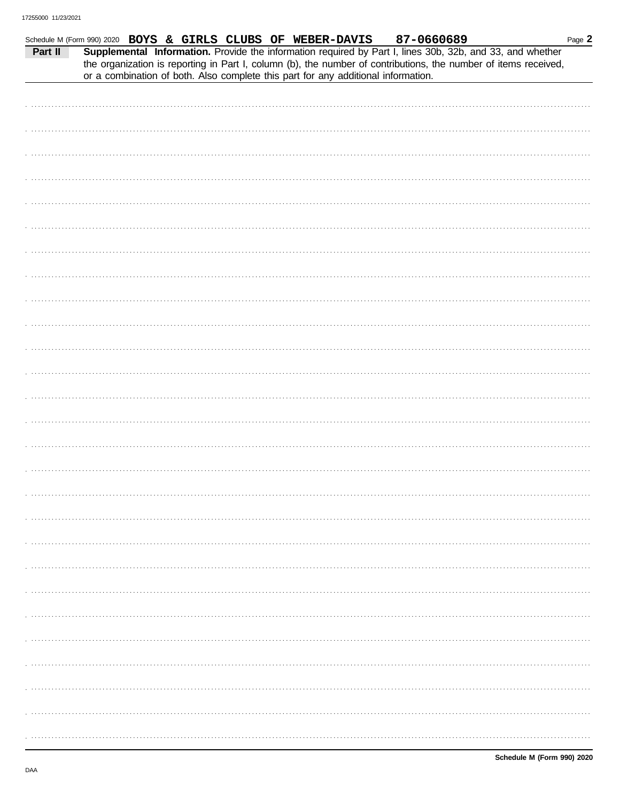|         | Schedule M (Form 990) 2020 BOYS & GIRLS CLUBS OF WEBER-DAVIS                      |  |  | 87-0660689 | Page 2                                                                                                                                                                                                                       |
|---------|-----------------------------------------------------------------------------------|--|--|------------|------------------------------------------------------------------------------------------------------------------------------------------------------------------------------------------------------------------------------|
| Part II |                                                                                   |  |  |            | Supplemental Information. Provide the information required by Part I, lines 30b, 32b, and 33, and whether<br>the organization is reporting in Part I, column (b), the number of contributions, the number of items received, |
|         | or a combination of both. Also complete this part for any additional information. |  |  |            |                                                                                                                                                                                                                              |
|         |                                                                                   |  |  |            |                                                                                                                                                                                                                              |
|         |                                                                                   |  |  |            |                                                                                                                                                                                                                              |
|         |                                                                                   |  |  |            |                                                                                                                                                                                                                              |
|         |                                                                                   |  |  |            |                                                                                                                                                                                                                              |
|         |                                                                                   |  |  |            |                                                                                                                                                                                                                              |
|         |                                                                                   |  |  |            |                                                                                                                                                                                                                              |
|         |                                                                                   |  |  |            |                                                                                                                                                                                                                              |
|         |                                                                                   |  |  |            |                                                                                                                                                                                                                              |
|         |                                                                                   |  |  |            |                                                                                                                                                                                                                              |
|         |                                                                                   |  |  |            |                                                                                                                                                                                                                              |
|         |                                                                                   |  |  |            |                                                                                                                                                                                                                              |
|         |                                                                                   |  |  |            |                                                                                                                                                                                                                              |
|         |                                                                                   |  |  |            |                                                                                                                                                                                                                              |
|         |                                                                                   |  |  |            |                                                                                                                                                                                                                              |
|         |                                                                                   |  |  |            |                                                                                                                                                                                                                              |
|         |                                                                                   |  |  |            |                                                                                                                                                                                                                              |
|         |                                                                                   |  |  |            |                                                                                                                                                                                                                              |
|         |                                                                                   |  |  |            |                                                                                                                                                                                                                              |
|         |                                                                                   |  |  |            |                                                                                                                                                                                                                              |
|         |                                                                                   |  |  |            |                                                                                                                                                                                                                              |
|         |                                                                                   |  |  |            |                                                                                                                                                                                                                              |
|         |                                                                                   |  |  |            |                                                                                                                                                                                                                              |
|         |                                                                                   |  |  |            |                                                                                                                                                                                                                              |
|         |                                                                                   |  |  |            |                                                                                                                                                                                                                              |
|         |                                                                                   |  |  |            |                                                                                                                                                                                                                              |
|         |                                                                                   |  |  |            |                                                                                                                                                                                                                              |
|         |                                                                                   |  |  |            |                                                                                                                                                                                                                              |
|         |                                                                                   |  |  |            |                                                                                                                                                                                                                              |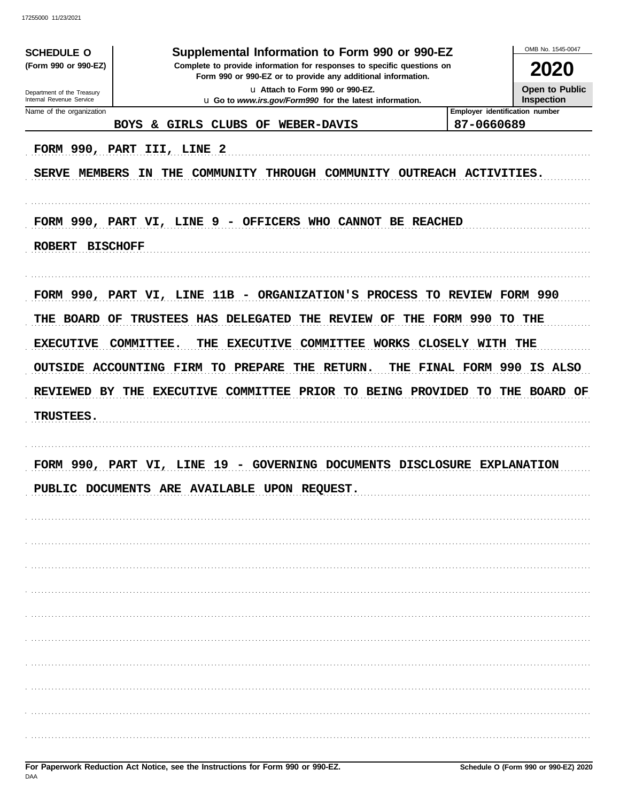17255000 11/23/2021

| <b>SCHEDULE O</b>                                                                                                                                                                                                               | Supplemental Information to Form 990 or 990-EZ                                                                          |                                              | OMB No. 1545-0047     |
|---------------------------------------------------------------------------------------------------------------------------------------------------------------------------------------------------------------------------------|-------------------------------------------------------------------------------------------------------------------------|----------------------------------------------|-----------------------|
| (Form 990 or 990-EZ)<br>Complete to provide information for responses to specific questions on<br>Form 990 or 990-EZ or to provide any additional information.<br>u Attach to Form 990 or 990-EZ.<br>Department of the Treasury |                                                                                                                         |                                              | 2020                  |
|                                                                                                                                                                                                                                 |                                                                                                                         |                                              | <b>Open to Public</b> |
| Internal Revenue Service                                                                                                                                                                                                        | u Go to www.irs.gov/Form990 for the latest information.                                                                 |                                              | Inspection            |
| Name of the organization                                                                                                                                                                                                        | & GIRLS CLUBS OF<br><b>WEBER-DAVIS</b><br><b>BOYS</b>                                                                   | Employer identification number<br>87-0660689 |                       |
| SERVE MEMBERS                                                                                                                                                                                                                   | FORM 990, PART III, LINE 2<br>ΙN<br>THE<br>COMMUNITY<br>THROUGH COMMUNITY OUTREACH ACTIVITIES.                          |                                              |                       |
| <b>ROBERT</b>                                                                                                                                                                                                                   | FORM 990, PART VI, LINE 9 - OFFICERS WHO CANNOT BE REACHED<br><b>BISCHOFF</b>                                           |                                              |                       |
|                                                                                                                                                                                                                                 | FORM 990, PART VI, LINE 11B - ORGANIZATION'S PROCESS TO REVIEW FORM 990                                                 |                                              |                       |
| THE BOARD OF                                                                                                                                                                                                                    | TRUSTEES HAS DELEGATED<br>THE REVIEW OF                                                                                 | THE FORM 990 TO THE                          |                       |
| <b>EXECUTIVE</b>                                                                                                                                                                                                                | COMMITTEE WORKS CLOSELY WITH THE<br>COMMITTEE.<br><b>EXECUTIVE</b><br>THE                                               |                                              |                       |
|                                                                                                                                                                                                                                 | OUTSIDE ACCOUNTING FIRM TO PREPARE<br>THE RETURN.                                                                       | THE FINAL FORM 990 IS ALSO                   |                       |
|                                                                                                                                                                                                                                 | REVIEWED BY THE EXECUTIVE COMMITTEE PRIOR TO BEING PROVIDED TO                                                          |                                              | THE BOARD OF          |
| <b>TRUSTEES.</b>                                                                                                                                                                                                                |                                                                                                                         |                                              |                       |
|                                                                                                                                                                                                                                 |                                                                                                                         |                                              |                       |
|                                                                                                                                                                                                                                 | FORM 990, PART VI, LINE 19 - GOVERNING DOCUMENTS DISCLOSURE EXPLANATION<br>PIJBLIC DOCUMENTS ARE AVAILABLE UPON REQUEST |                                              |                       |
|                                                                                                                                                                                                                                 |                                                                                                                         |                                              |                       |
|                                                                                                                                                                                                                                 |                                                                                                                         |                                              |                       |
|                                                                                                                                                                                                                                 |                                                                                                                         |                                              |                       |
|                                                                                                                                                                                                                                 |                                                                                                                         |                                              |                       |
|                                                                                                                                                                                                                                 |                                                                                                                         |                                              |                       |
|                                                                                                                                                                                                                                 |                                                                                                                         |                                              |                       |
|                                                                                                                                                                                                                                 |                                                                                                                         |                                              |                       |
|                                                                                                                                                                                                                                 |                                                                                                                         |                                              |                       |
|                                                                                                                                                                                                                                 |                                                                                                                         |                                              |                       |
|                                                                                                                                                                                                                                 |                                                                                                                         |                                              |                       |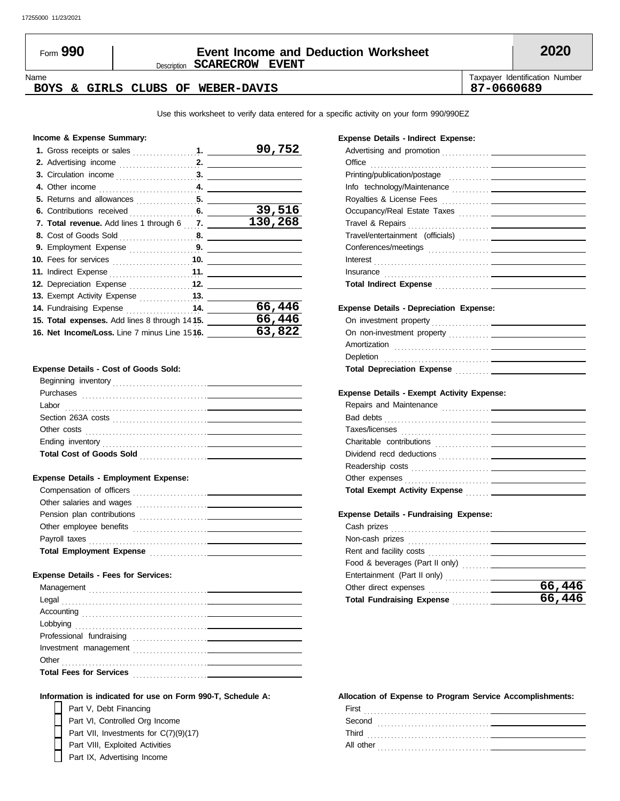# Description **SCARECROW EVENT** Form **990 Event Income and Deduction Worksheet 2020**

Name Taxpayer Identification Number

# **BOYS & GIRLS CLUBS OF WEBER-DAVIS 187-0660689**

Use this worksheet to verify data entered for a specific activity on your form 990/990EZ

#### **Income & Expense Summary:**

|                                                    |  | 90,752  |
|----------------------------------------------------|--|---------|
|                                                    |  |         |
|                                                    |  |         |
|                                                    |  |         |
| 5. Returns and allowances $\ldots$ , $\ldots$ , 5. |  |         |
|                                                    |  | 39,516  |
| 7. Total revenue. Add lines 1 through 6 7.         |  | 130,268 |
|                                                    |  |         |
| 9. Employment Expense 9.                           |  |         |
|                                                    |  |         |
| 11. Indirect Expense <b>11.</b> 11.                |  |         |
| 12. Depreciation Expense  12.                      |  |         |
| 13. Exempt Activity Expense <b>13.</b>             |  |         |
| 14. Fundraising Expense 14.                        |  | 66,446  |
| 15. Total expenses. Add lines 8 through 1415.      |  | 66,446  |
| 16. Net Income/Loss. Line 7 minus Line 1516.       |  | 63,822  |

#### **Expense Details - Cost of Goods Sold:**

| Beginning inventory             |
|---------------------------------|
| Purchases                       |
| Labor                           |
| Section 263A costs              |
| Other costs                     |
| Ending inventory                |
| <b>Total Cost of Goods Sold</b> |
|                                 |

#### **Expense Details - Employment Expense:**

| Compensation of officers                                                                                    |
|-------------------------------------------------------------------------------------------------------------|
| Other salaries and wages<br>the contract of the contract of the contract of the contract of the contract of |
| Pension plan contributions                                                                                  |
| Other employee benefits                                                                                     |
| Payroll taxes                                                                                               |
| <b>Total Employment Expense</b>                                                                             |

#### **Expense Details - Fees for Services:**

| Other                          |  |
|--------------------------------|--|
| <b>Total Fees for Services</b> |  |
|                                |  |

**Expense Details - Indirect Expense:**

| Total Indirect Expense <b>Construction Construction</b> |
|---------------------------------------------------------|
|                                                         |

Printing/publication/postage . . . . . . . . . . . .

Office . . . . . . . . . . . . . . . . . . . . . . . . . . . . . . . . . . .

Advertising and promotion . . . . . . . . . . . . . .

#### **Expense Details - Depreciation Expense:**

| Amortization                      |  |
|-----------------------------------|--|
| Depletion                         |  |
| <b>Total Depreciation Expense</b> |  |

#### **Expense Details - Exempt Activity Expense:**

#### **Expense Details - Fundraising Expense:**

|                                      | 66,446 |
|--------------------------------------|--------|
| Total Fundraising Expense Manuscript | 66,446 |
|                                      |        |

#### **Information is indicated for use on Form 990-T, Schedule A:**

Part V, Debt Financing Part VIII, Exploited Activities Part VI, Controlled Org Income Part VII, Investments for C(7)(9)(17)

Part IX, Advertising Income

#### **Allocation of Expense to Program Service Accomplishments:**

| First<br>.     |
|----------------|
| Second         |
| Third<br>.     |
| All other<br>. |
|                |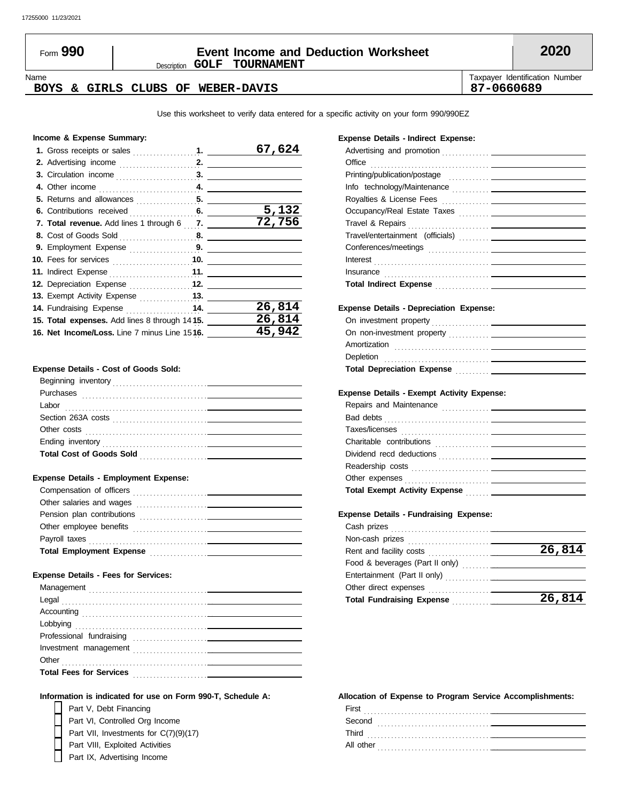# Description **GOLF TOURNAMENT** Form **990 Event Income and Deduction Worksheet 2020**

#### Name Taxpayer Identification Number **BOYS & GIRLS CLUBS OF WEBER-DAVIS 87-0660689**

Use this worksheet to verify data entered for a specific activity on your form 990/990EZ

#### **Income & Expense Summary:**

|                                               | 67,624 |
|-----------------------------------------------|--------|
|                                               |        |
|                                               |        |
|                                               |        |
|                                               |        |
|                                               | 5,132  |
| 7. Total revenue. Add lines 1 through 6 7.    | 72,756 |
|                                               |        |
| 9. Employment Expense 9.                      |        |
|                                               |        |
| 11. Indirect Expense <b>11.</b> 11.           |        |
| 12. Depreciation Expense  12.                 |        |
|                                               |        |
| 14. Fundraising Expense  14.                  | 26,814 |
| 15. Total expenses. Add lines 8 through 1415. | 26,814 |
| 16. Net Income/Loss. Line 7 minus Line 1516.  | 45,942 |

#### **Expense Details - Cost of Goods Sold:**

| Beginning inventory             |  |
|---------------------------------|--|
| Purchases                       |  |
| Labor                           |  |
| Section 263A costs              |  |
| Other costs                     |  |
| Ending inventory                |  |
| <b>Total Cost of Goods Sold</b> |  |
|                                 |  |

#### **Expense Details - Employment Expense:**

| Compensation of officers                                                                                    |
|-------------------------------------------------------------------------------------------------------------|
| Other salaries and wages<br>the contract of the contract of the contract of the contract of the contract of |
| Pension plan contributions                                                                                  |
| Other employee benefits                                                                                     |
| Payroll taxes                                                                                               |
| <b>Total Employment Expense</b>                                                                             |

#### **Expense Details - Fees for Services:**

| Other                          |  |
|--------------------------------|--|
| <b>Total Fees for Services</b> |  |
|                                |  |

#### **Expense Details - Indirect Expense:**

| Office                                                                                                                                                                                                                               |
|--------------------------------------------------------------------------------------------------------------------------------------------------------------------------------------------------------------------------------------|
| Printing/publication/postage contact and the contact of the contact of the contact of the contact of the contact of the contact of the contact of the contact of the contact of the contact of the contact of the contact of t       |
|                                                                                                                                                                                                                                      |
|                                                                                                                                                                                                                                      |
|                                                                                                                                                                                                                                      |
|                                                                                                                                                                                                                                      |
|                                                                                                                                                                                                                                      |
|                                                                                                                                                                                                                                      |
| Interest <b>contract the contract of the contract of the contract of the contract of the contract of the contract of the contract of the contract of the contract of the contract of the contract of the contract of the contrac</b> |
| Insurance                                                                                                                                                                                                                            |
| Total Indirect Expense <b>Commission Commission Commission</b>                                                                                                                                                                       |
| <b>Expense Details - Depreciation Expense:</b>                                                                                                                                                                                       |
|                                                                                                                                                                                                                                      |
|                                                                                                                                                                                                                                      |
| Amortization                                                                                                                                                                                                                         |

#### **Expense Details - Exempt Activity Expense:**

Depletion . . . . . . . . . . . . . . . . . . . . . . . . . . . . . . .

**Total Depreciation Expense** . . . . . . . . . .

| Repairs and Maintenance              |
|--------------------------------------|
| Bad debts                            |
|                                      |
|                                      |
|                                      |
|                                      |
|                                      |
| <b>Total Exempt Activity Expense</b> |
|                                      |

#### **Expense Details - Fundraising Expense:**

| Rent and facility costs [11] [11] Rent and facility costs | 26,814 |
|-----------------------------------------------------------|--------|
|                                                           |        |
|                                                           |        |
| Other direct expenses                                     |        |
| <b>Total Fundraising Expense</b>                          | 26,814 |
|                                                           |        |

#### **Information is indicated for use on Form 990-T, Schedule A:**

Part V, Debt Financing Part VIII, Exploited Activities Part VI, Controlled Org Income Part VII, Investments for C(7)(9)(17)

Part IX, Advertising Income

#### **Allocation of Expense to Program Service Accomplishments:**

| First<br>.     |  |
|----------------|--|
| Second<br>.    |  |
| Third<br>.     |  |
| All other<br>. |  |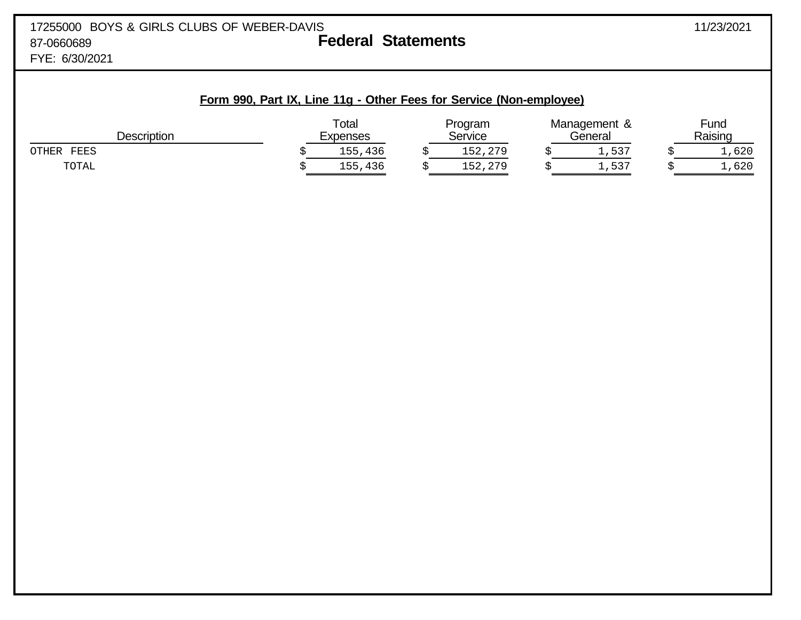|  | Form 990, Part IX, Line 11g - Other Fees for Service (Non-employee) |
|--|---------------------------------------------------------------------|
|  |                                                                     |

| <b>Description</b> | Total<br>Expenses | Program<br><b>Service</b> | Management &<br>General | $F$ und<br>Raising |
|--------------------|-------------------|---------------------------|-------------------------|--------------------|
| FEES<br>OTHER      | 155,436           | 152,279                   | 1,537                   | 1,620              |
| TOTAL              | ,436<br>155       | 152,279                   | 1,537                   | 1,620              |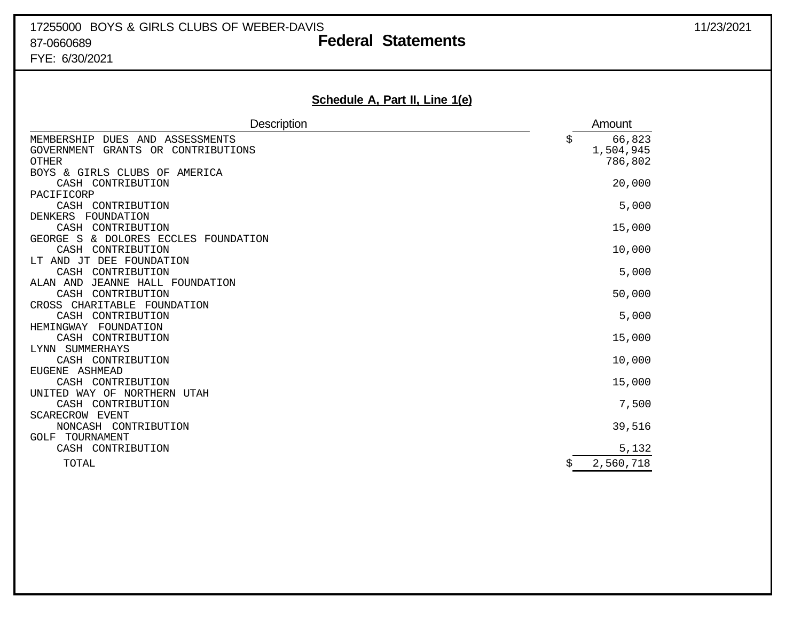# 17255000 BOYS & GIRLS CLUBS OF WEBER-DAVIS 1725/2021 87-0660689 **Federal Statements** FYE: 6/30/2021

# **Schedule A, Part II, Line 1(e)**

| Description                                                                              |    | Amount                         |
|------------------------------------------------------------------------------------------|----|--------------------------------|
| MEMBERSHIP DUES AND ASSESSMENTS<br>GRANTS OR CONTRIBUTIONS<br>GOVERNMENT<br><b>OTHER</b> | Ş  | 66,823<br>1,504,945<br>786,802 |
| BOYS & GIRLS CLUBS OF<br>AMERICA<br>CASH CONTRIBUTION                                    |    | 20,000                         |
| PACIFICORP<br>CASH CONTRIBUTION                                                          |    | 5,000                          |
| FOUNDATION<br><b>DENKERS</b><br>CONTRIBUTION<br>CASH                                     |    | 15,000                         |
| GEORGE S<br>& DOLORES ECCLES FOUNDATION<br>CASH<br>CONTRIBUTION                          |    | 10,000                         |
| LT AND JT DEE FOUNDATION<br>CASH<br>CONTRIBUTION                                         |    | 5,000                          |
| JEANNE HALL FOUNDATION<br>ALAN AND<br>CASH<br>CONTRIBUTION                               |    | 50,000                         |
| CROSS CHARITABLE FOUNDATION<br>CONTRIBUTION<br>CASH                                      |    | 5,000                          |
| HEMINGWAY<br>FOUNDATION<br>CASH CONTRIBUTION                                             |    | 15,000                         |
| LYNN SUMMERHAYS<br>CASH CONTRIBUTION                                                     |    | 10,000                         |
| EUGENE ASHMEAD<br>CASH CONTRIBUTION                                                      |    | 15,000                         |
| UNITED WAY OF NORTHERN<br>UTAH<br>CASH CONTRIBUTION                                      |    | 7,500                          |
| SCARECROW EVENT<br>NONCASH CONTRIBUTION                                                  |    | 39,516                         |
| TOURNAMENT<br>GOLF<br>CASH CONTRIBUTION                                                  |    | 5,132                          |
| TOTAL                                                                                    | \$ | 2,560,718                      |